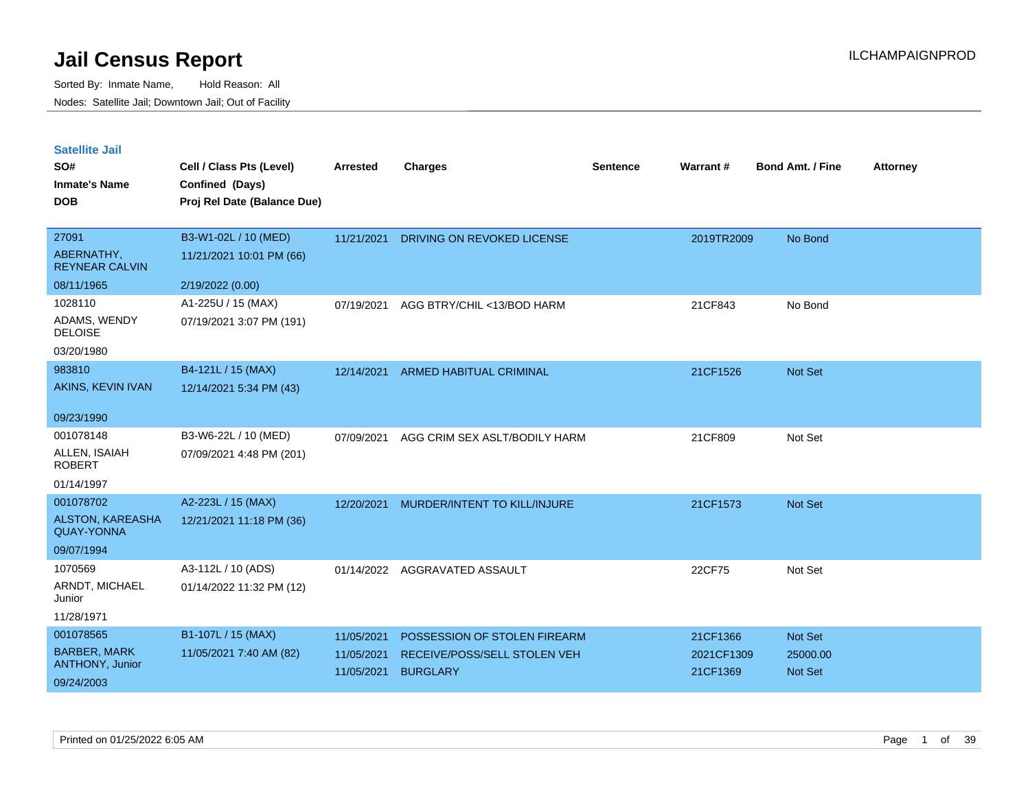| <b>Satellite Jail</b> |  |
|-----------------------|--|
|                       |  |

| SO#<br><b>Inmate's Name</b><br><b>DOB</b>    | Cell / Class Pts (Level)<br>Confined (Days)<br>Proj Rel Date (Balance Due) | <b>Arrested</b> | <b>Charges</b>                 | <b>Sentence</b> | Warrant#   | <b>Bond Amt. / Fine</b> | <b>Attorney</b> |
|----------------------------------------------|----------------------------------------------------------------------------|-----------------|--------------------------------|-----------------|------------|-------------------------|-----------------|
| 27091<br>ABERNATHY,                          | B3-W1-02L / 10 (MED)<br>11/21/2021 10:01 PM (66)                           | 11/21/2021      | DRIVING ON REVOKED LICENSE     |                 | 2019TR2009 | No Bond                 |                 |
| <b>REYNEAR CALVIN</b><br>08/11/1965          |                                                                            |                 |                                |                 |            |                         |                 |
|                                              | 2/19/2022 (0.00)                                                           |                 |                                |                 |            |                         |                 |
| 1028110<br>ADAMS, WENDY<br><b>DELOISE</b>    | A1-225U / 15 (MAX)<br>07/19/2021 3:07 PM (191)                             | 07/19/2021      | AGG BTRY/CHIL <13/BOD HARM     |                 | 21CF843    | No Bond                 |                 |
| 03/20/1980                                   |                                                                            |                 |                                |                 |            |                         |                 |
| 983810                                       | B4-121L / 15 (MAX)                                                         | 12/14/2021      | <b>ARMED HABITUAL CRIMINAL</b> |                 | 21CF1526   | Not Set                 |                 |
| AKINS, KEVIN IVAN                            | 12/14/2021 5:34 PM (43)                                                    |                 |                                |                 |            |                         |                 |
| 09/23/1990                                   |                                                                            |                 |                                |                 |            |                         |                 |
| 001078148                                    | B3-W6-22L / 10 (MED)                                                       | 07/09/2021      | AGG CRIM SEX ASLT/BODILY HARM  |                 | 21CF809    | Not Set                 |                 |
| ALLEN, ISAIAH<br><b>ROBERT</b>               | 07/09/2021 4:48 PM (201)                                                   |                 |                                |                 |            |                         |                 |
| 01/14/1997                                   |                                                                            |                 |                                |                 |            |                         |                 |
| 001078702                                    | A2-223L / 15 (MAX)                                                         | 12/20/2021      | MURDER/INTENT TO KILL/INJURE   |                 | 21CF1573   | Not Set                 |                 |
| <b>ALSTON, KAREASHA</b><br><b>QUAY-YONNA</b> | 12/21/2021 11:18 PM (36)                                                   |                 |                                |                 |            |                         |                 |
| 09/07/1994                                   |                                                                            |                 |                                |                 |            |                         |                 |
| 1070569                                      | A3-112L / 10 (ADS)                                                         | 01/14/2022      | AGGRAVATED ASSAULT             |                 | 22CF75     | Not Set                 |                 |
| ARNDT, MICHAEL<br>Junior                     | 01/14/2022 11:32 PM (12)                                                   |                 |                                |                 |            |                         |                 |
| 11/28/1971                                   |                                                                            |                 |                                |                 |            |                         |                 |
| 001078565                                    | B1-107L / 15 (MAX)                                                         | 11/05/2021      | POSSESSION OF STOLEN FIREARM   |                 | 21CF1366   | Not Set                 |                 |
| <b>BARBER, MARK</b>                          | 11/05/2021 7:40 AM (82)                                                    | 11/05/2021      | RECEIVE/POSS/SELL STOLEN VEH   |                 | 2021CF1309 | 25000.00                |                 |
| ANTHONY, Junior                              |                                                                            | 11/05/2021      | <b>BURGLARY</b>                |                 | 21CF1369   | <b>Not Set</b>          |                 |
| 09/24/2003                                   |                                                                            |                 |                                |                 |            |                         |                 |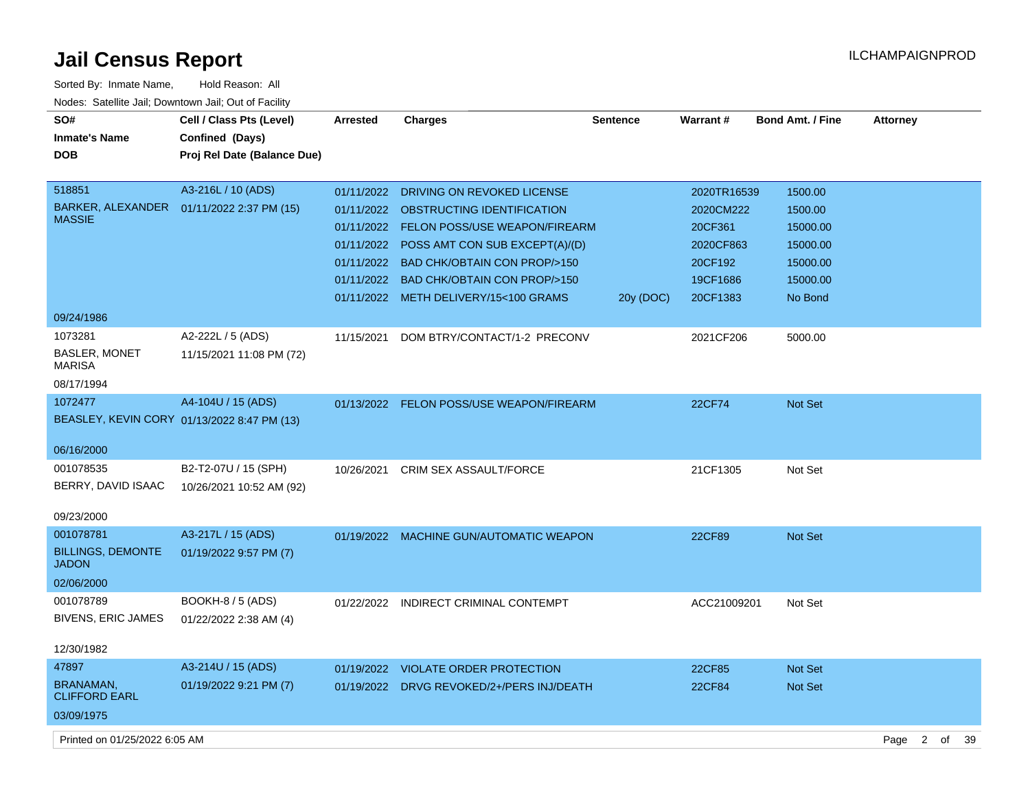| Sorted By: Inmate Name,                               | Hold Reason: All                            |                 |                                           |                 |             |                  |                        |    |    |
|-------------------------------------------------------|---------------------------------------------|-----------------|-------------------------------------------|-----------------|-------------|------------------|------------------------|----|----|
| Nodes: Satellite Jail; Downtown Jail; Out of Facility |                                             |                 |                                           |                 |             |                  |                        |    |    |
| SO#                                                   | Cell / Class Pts (Level)                    | <b>Arrested</b> | <b>Charges</b>                            | <b>Sentence</b> | Warrant#    | Bond Amt. / Fine | <b>Attorney</b>        |    |    |
| <b>Inmate's Name</b>                                  | Confined (Days)                             |                 |                                           |                 |             |                  |                        |    |    |
| <b>DOB</b>                                            | Proj Rel Date (Balance Due)                 |                 |                                           |                 |             |                  |                        |    |    |
| 518851                                                | A3-216L / 10 (ADS)                          | 01/11/2022      | DRIVING ON REVOKED LICENSE                |                 | 2020TR16539 | 1500.00          |                        |    |    |
| BARKER, ALEXANDER                                     | 01/11/2022 2:37 PM (15)                     | 01/11/2022      | OBSTRUCTING IDENTIFICATION                |                 | 2020CM222   | 1500.00          |                        |    |    |
| <b>MASSIE</b>                                         |                                             | 01/11/2022      | <b>FELON POSS/USE WEAPON/FIREARM</b>      |                 | 20CF361     | 15000.00         |                        |    |    |
|                                                       |                                             | 01/11/2022      | POSS AMT CON SUB EXCEPT(A)/(D)            |                 | 2020CF863   | 15000.00         |                        |    |    |
|                                                       |                                             | 01/11/2022      | <b>BAD CHK/OBTAIN CON PROP/&gt;150</b>    |                 | 20CF192     | 15000.00         |                        |    |    |
|                                                       |                                             | 01/11/2022      | <b>BAD CHK/OBTAIN CON PROP/&gt;150</b>    |                 | 19CF1686    | 15000.00         |                        |    |    |
|                                                       |                                             |                 | 01/11/2022 METH DELIVERY/15<100 GRAMS     | 20y (DOC)       | 20CF1383    | No Bond          |                        |    |    |
| 09/24/1986                                            |                                             |                 |                                           |                 |             |                  |                        |    |    |
| 1073281                                               | A2-222L / 5 (ADS)                           | 11/15/2021      | DOM BTRY/CONTACT/1-2 PRECONV              |                 | 2021CF206   | 5000.00          |                        |    |    |
| <b>BASLER, MONET</b><br><b>MARISA</b>                 | 11/15/2021 11:08 PM (72)                    |                 |                                           |                 |             |                  |                        |    |    |
| 08/17/1994                                            |                                             |                 |                                           |                 |             |                  |                        |    |    |
| 1072477                                               | A4-104U / 15 (ADS)                          | 01/13/2022      | FELON POSS/USE WEAPON/FIREARM             |                 | 22CF74      | Not Set          |                        |    |    |
|                                                       | BEASLEY, KEVIN CORY 01/13/2022 8:47 PM (13) |                 |                                           |                 |             |                  |                        |    |    |
|                                                       |                                             |                 |                                           |                 |             |                  |                        |    |    |
| 06/16/2000                                            |                                             |                 |                                           |                 |             |                  |                        |    |    |
| 001078535                                             | B2-T2-07U / 15 (SPH)                        | 10/26/2021      | CRIM SEX ASSAULT/FORCE                    |                 | 21CF1305    | Not Set          |                        |    |    |
| BERRY, DAVID ISAAC                                    | 10/26/2021 10:52 AM (92)                    |                 |                                           |                 |             |                  |                        |    |    |
| 09/23/2000                                            |                                             |                 |                                           |                 |             |                  |                        |    |    |
| 001078781                                             |                                             |                 |                                           |                 |             |                  |                        |    |    |
| <b>BILLINGS, DEMONTE</b>                              | A3-217L / 15 (ADS)                          |                 | 01/19/2022 MACHINE GUN/AUTOMATIC WEAPON   |                 | 22CF89      | Not Set          |                        |    |    |
| <b>JADON</b>                                          | 01/19/2022 9:57 PM (7)                      |                 |                                           |                 |             |                  |                        |    |    |
| 02/06/2000                                            |                                             |                 |                                           |                 |             |                  |                        |    |    |
| 001078789                                             | <b>BOOKH-8 / 5 (ADS)</b>                    | 01/22/2022      | INDIRECT CRIMINAL CONTEMPT                |                 | ACC21009201 | Not Set          |                        |    |    |
| <b>BIVENS, ERIC JAMES</b>                             | 01/22/2022 2:38 AM (4)                      |                 |                                           |                 |             |                  |                        |    |    |
|                                                       |                                             |                 |                                           |                 |             |                  |                        |    |    |
| 12/30/1982                                            |                                             |                 |                                           |                 |             |                  |                        |    |    |
| 47897                                                 | A3-214U / 15 (ADS)                          |                 | 01/19/2022 VIOLATE ORDER PROTECTION       |                 | 22CF85      | Not Set          |                        |    |    |
| <b>BRANAMAN,</b><br><b>CLIFFORD EARL</b>              | 01/19/2022 9:21 PM (7)                      |                 | 01/19/2022 DRVG REVOKED/2+/PERS INJ/DEATH |                 | 22CF84      | Not Set          |                        |    |    |
| 03/09/1975                                            |                                             |                 |                                           |                 |             |                  |                        |    |    |
| Printed on 01/25/2022 6:05 AM                         |                                             |                 |                                           |                 |             |                  | Page<br>$\overline{2}$ | of | 39 |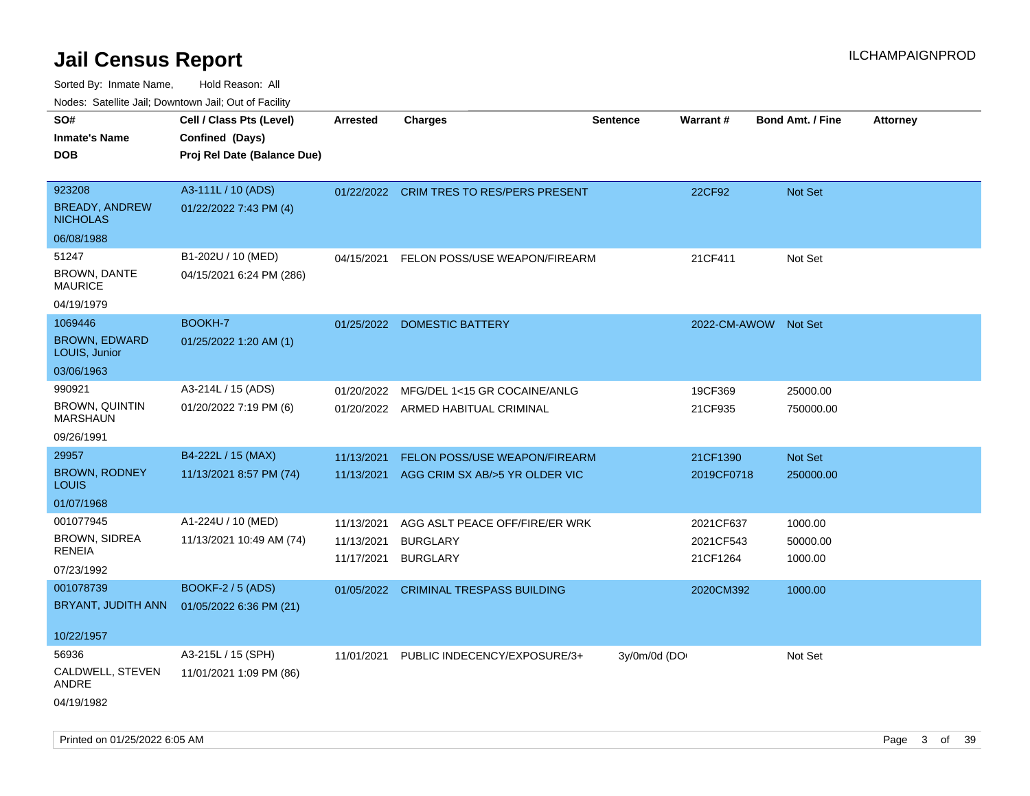Sorted By: Inmate Name, Hold Reason: All Nodes: Satellite Jail; Downtown Jail; Out of Facility

| roaco. Calcinio dan, Downtown dan, Oal or Fability |                             |            |                                          |                 |                      |                         |                 |
|----------------------------------------------------|-----------------------------|------------|------------------------------------------|-----------------|----------------------|-------------------------|-----------------|
| SO#                                                | Cell / Class Pts (Level)    | Arrested   | <b>Charges</b>                           | <b>Sentence</b> | <b>Warrant#</b>      | <b>Bond Amt. / Fine</b> | <b>Attorney</b> |
| <b>Inmate's Name</b>                               | Confined (Days)             |            |                                          |                 |                      |                         |                 |
| DOB                                                | Proj Rel Date (Balance Due) |            |                                          |                 |                      |                         |                 |
|                                                    |                             |            |                                          |                 |                      |                         |                 |
| 923208                                             | A3-111L / 10 (ADS)          |            | 01/22/2022 CRIM TRES TO RES/PERS PRESENT |                 | 22CF92               | <b>Not Set</b>          |                 |
| <b>BREADY, ANDREW</b><br><b>NICHOLAS</b>           | 01/22/2022 7:43 PM (4)      |            |                                          |                 |                      |                         |                 |
| 06/08/1988                                         |                             |            |                                          |                 |                      |                         |                 |
| 51247                                              | B1-202U / 10 (MED)          | 04/15/2021 | FELON POSS/USE WEAPON/FIREARM            |                 | 21CF411              | Not Set                 |                 |
| <b>BROWN, DANTE</b><br>MAURICE                     | 04/15/2021 6:24 PM (286)    |            |                                          |                 |                      |                         |                 |
| 04/19/1979                                         |                             |            |                                          |                 |                      |                         |                 |
| 1069446                                            | BOOKH-7                     | 01/25/2022 | <b>DOMESTIC BATTERY</b>                  |                 | 2022-CM-AWOW Not Set |                         |                 |
| <b>BROWN, EDWARD</b><br>LOUIS, Junior              | 01/25/2022 1:20 AM (1)      |            |                                          |                 |                      |                         |                 |
| 03/06/1963                                         |                             |            |                                          |                 |                      |                         |                 |
| 990921                                             | A3-214L / 15 (ADS)          | 01/20/2022 | MFG/DEL 1<15 GR COCAINE/ANLG             |                 | 19CF369              | 25000.00                |                 |
| <b>BROWN, QUINTIN</b><br>MARSHAUN                  | 01/20/2022 7:19 PM (6)      |            | 01/20/2022 ARMED HABITUAL CRIMINAL       |                 | 21CF935              | 750000.00               |                 |
| 09/26/1991                                         |                             |            |                                          |                 |                      |                         |                 |
| 29957                                              | B4-222L / 15 (MAX)          | 11/13/2021 | <b>FELON POSS/USE WEAPON/FIREARM</b>     |                 | 21CF1390             | Not Set                 |                 |
| BROWN, RODNEY<br>Louis                             | 11/13/2021 8:57 PM (74)     | 11/13/2021 | AGG CRIM SX AB/>5 YR OLDER VIC           |                 | 2019CF0718           | 250000.00               |                 |
| 01/07/1968                                         |                             |            |                                          |                 |                      |                         |                 |
| 001077945                                          | A1-224U / 10 (MED)          | 11/13/2021 | AGG ASLT PEACE OFF/FIRE/ER WRK           |                 | 2021CF637            | 1000.00                 |                 |
| <b>BROWN, SIDREA</b>                               | 11/13/2021 10:49 AM (74)    | 11/13/2021 | <b>BURGLARY</b>                          |                 | 2021CF543            | 50000.00                |                 |
| RENEIA                                             |                             | 11/17/2021 | <b>BURGLARY</b>                          |                 | 21CF1264             | 1000.00                 |                 |
| 07/23/1992                                         |                             |            |                                          |                 |                      |                         |                 |
| 001078739                                          | <b>BOOKF-2 / 5 (ADS)</b>    | 01/05/2022 | <b>CRIMINAL TRESPASS BUILDING</b>        |                 | 2020CM392            | 1000.00                 |                 |
| BRYANT, JUDITH ANN                                 | 01/05/2022 6:36 PM (21)     |            |                                          |                 |                      |                         |                 |
| 10/22/1957                                         |                             |            |                                          |                 |                      |                         |                 |
| 56936                                              | A3-215L / 15 (SPH)          | 11/01/2021 | PUBLIC INDECENCY/EXPOSURE/3+             | 3y/0m/0d (DO    |                      | Not Set                 |                 |
| CALDWELL, STEVEN<br>ANDRE                          | 11/01/2021 1:09 PM (86)     |            |                                          |                 |                      |                         |                 |
| 04/19/1982                                         |                             |            |                                          |                 |                      |                         |                 |

Printed on 01/25/2022 6:05 AM **Page 3 of 39**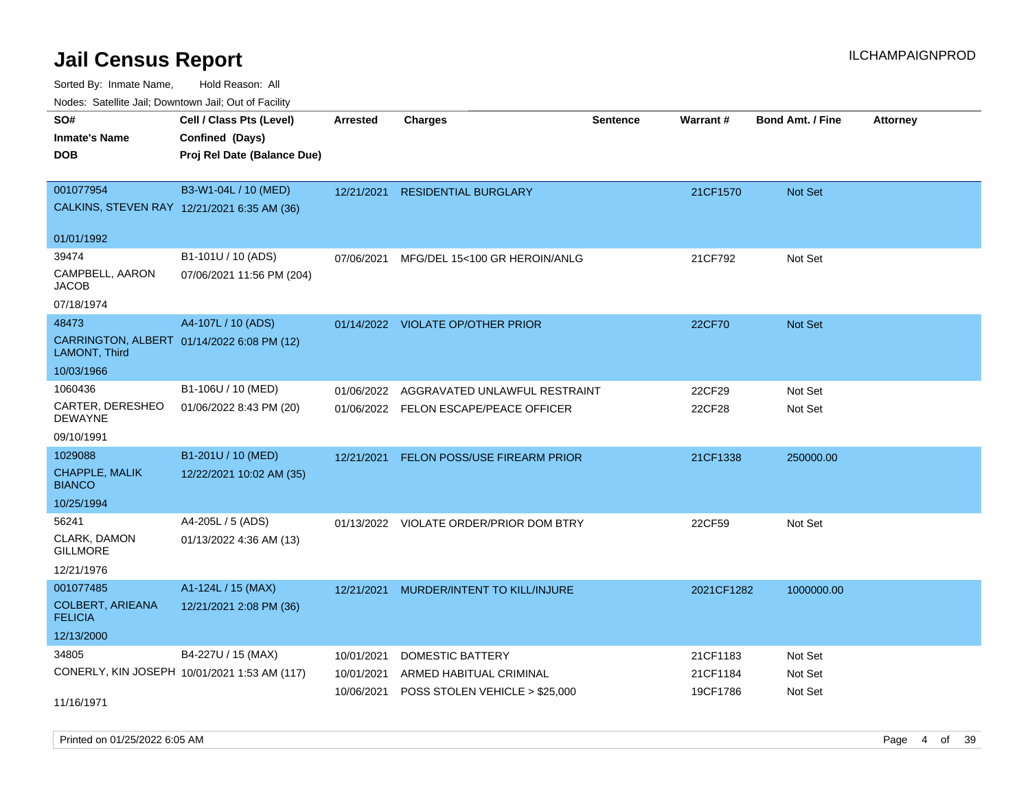Sorted By: Inmate Name, Hold Reason: All

Nodes: Satellite Jail; Downtown Jail; Out of Facility

| rougs. Calcing Jan, Downtown Jan, Out of Facinty            |                                              |                 |                                         |          |            |                         |                 |
|-------------------------------------------------------------|----------------------------------------------|-----------------|-----------------------------------------|----------|------------|-------------------------|-----------------|
| SO#                                                         | Cell / Class Pts (Level)                     | <b>Arrested</b> | <b>Charges</b>                          | Sentence | Warrant#   | <b>Bond Amt. / Fine</b> | <b>Attorney</b> |
| <b>Inmate's Name</b>                                        | Confined (Days)                              |                 |                                         |          |            |                         |                 |
| <b>DOB</b>                                                  | Proj Rel Date (Balance Due)                  |                 |                                         |          |            |                         |                 |
|                                                             |                                              |                 |                                         |          |            |                         |                 |
| 001077954                                                   | B3-W1-04L / 10 (MED)                         | 12/21/2021      | <b>RESIDENTIAL BURGLARY</b>             |          | 21CF1570   | Not Set                 |                 |
| CALKINS, STEVEN RAY 12/21/2021 6:35 AM (36)                 |                                              |                 |                                         |          |            |                         |                 |
|                                                             |                                              |                 |                                         |          |            |                         |                 |
| 01/01/1992                                                  |                                              |                 |                                         |          |            |                         |                 |
| 39474                                                       | B1-101U / 10 (ADS)                           | 07/06/2021      | MFG/DEL 15<100 GR HEROIN/ANLG           |          | 21CF792    | Not Set                 |                 |
| CAMPBELL, AARON<br><b>JACOB</b>                             | 07/06/2021 11:56 PM (204)                    |                 |                                         |          |            |                         |                 |
| 07/18/1974                                                  |                                              |                 |                                         |          |            |                         |                 |
| 48473                                                       | A4-107L / 10 (ADS)                           |                 | 01/14/2022 VIOLATE OP/OTHER PRIOR       |          | 22CF70     | Not Set                 |                 |
| CARRINGTON, ALBERT 01/14/2022 6:08 PM (12)<br>LAMONT, Third |                                              |                 |                                         |          |            |                         |                 |
| 10/03/1966                                                  |                                              |                 |                                         |          |            |                         |                 |
| 1060436                                                     | B1-106U / 10 (MED)                           | 01/06/2022      | AGGRAVATED UNLAWFUL RESTRAINT           |          | 22CF29     | Not Set                 |                 |
| CARTER, DERESHEO<br><b>DEWAYNE</b>                          | 01/06/2022 8:43 PM (20)                      |                 | 01/06/2022 FELON ESCAPE/PEACE OFFICER   |          | 22CF28     | Not Set                 |                 |
| 09/10/1991                                                  |                                              |                 |                                         |          |            |                         |                 |
| 1029088                                                     | B1-201U / 10 (MED)                           | 12/21/2021      | <b>FELON POSS/USE FIREARM PRIOR</b>     |          | 21CF1338   | 250000.00               |                 |
| CHAPPLE, MALIK<br><b>BIANCO</b>                             | 12/22/2021 10:02 AM (35)                     |                 |                                         |          |            |                         |                 |
| 10/25/1994                                                  |                                              |                 |                                         |          |            |                         |                 |
| 56241                                                       | A4-205L / 5 (ADS)                            |                 | 01/13/2022 VIOLATE ORDER/PRIOR DOM BTRY |          | 22CF59     | Not Set                 |                 |
| CLARK, DAMON<br><b>GILLMORE</b>                             | 01/13/2022 4:36 AM (13)                      |                 |                                         |          |            |                         |                 |
| 12/21/1976                                                  |                                              |                 |                                         |          |            |                         |                 |
| 001077485                                                   | A1-124L / 15 (MAX)                           |                 | 12/21/2021 MURDER/INTENT TO KILL/INJURE |          | 2021CF1282 | 1000000.00              |                 |
| <b>COLBERT, ARIEANA</b><br><b>FELICIA</b>                   | 12/21/2021 2:08 PM (36)                      |                 |                                         |          |            |                         |                 |
| 12/13/2000                                                  |                                              |                 |                                         |          |            |                         |                 |
| 34805                                                       | B4-227U / 15 (MAX)                           | 10/01/2021      | DOMESTIC BATTERY                        |          | 21CF1183   | Not Set                 |                 |
|                                                             | CONERLY, KIN JOSEPH 10/01/2021 1:53 AM (117) | 10/01/2021      | ARMED HABITUAL CRIMINAL                 |          | 21CF1184   | Not Set                 |                 |
|                                                             |                                              | 10/06/2021      | POSS STOLEN VEHICLE > \$25,000          |          | 19CF1786   | Not Set                 |                 |
| 11/16/1971                                                  |                                              |                 |                                         |          |            |                         |                 |

Printed on 01/25/2022 6:05 AM Page 4 of 39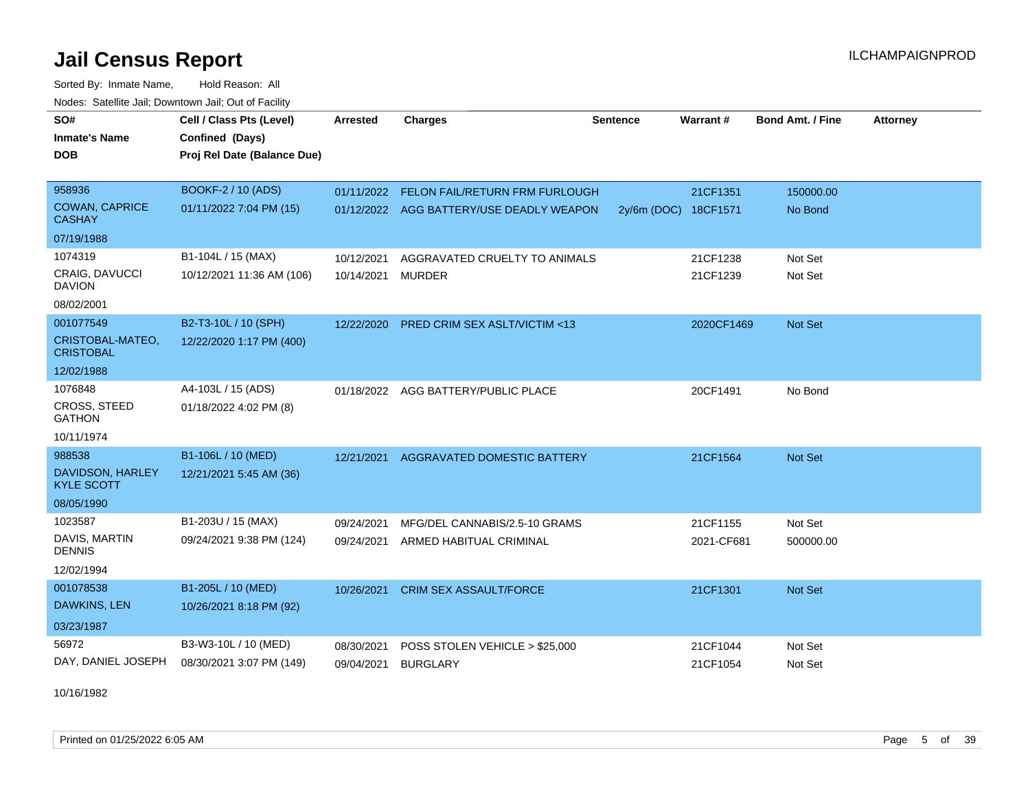Sorted By: Inmate Name, Hold Reason: All Nodes: Satellite Jail; Downtown Jail; Out of Facility

| SO#                                    | Cell / Class Pts (Level)    | <b>Arrested</b> | <b>Charges</b>                            | <b>Sentence</b> | <b>Warrant#</b>      | <b>Bond Amt. / Fine</b> | <b>Attorney</b> |
|----------------------------------------|-----------------------------|-----------------|-------------------------------------------|-----------------|----------------------|-------------------------|-----------------|
| <b>Inmate's Name</b>                   | Confined (Days)             |                 |                                           |                 |                      |                         |                 |
| <b>DOB</b>                             | Proj Rel Date (Balance Due) |                 |                                           |                 |                      |                         |                 |
|                                        |                             |                 |                                           |                 |                      |                         |                 |
| 958936                                 | BOOKF-2 / 10 (ADS)          |                 | 01/11/2022 FELON FAIL/RETURN FRM FURLOUGH |                 | 21CF1351             | 150000.00               |                 |
| <b>COWAN, CAPRICE</b><br><b>CASHAY</b> | 01/11/2022 7:04 PM (15)     |                 | 01/12/2022 AGG BATTERY/USE DEADLY WEAPON  |                 | 2y/6m (DOC) 18CF1571 | No Bond                 |                 |
| 07/19/1988                             |                             |                 |                                           |                 |                      |                         |                 |
| 1074319                                | B1-104L / 15 (MAX)          | 10/12/2021      | AGGRAVATED CRUELTY TO ANIMALS             |                 | 21CF1238             | Not Set                 |                 |
| CRAIG, DAVUCCI<br><b>DAVION</b>        | 10/12/2021 11:36 AM (106)   | 10/14/2021      | MURDER                                    |                 | 21CF1239             | Not Set                 |                 |
| 08/02/2001                             |                             |                 |                                           |                 |                      |                         |                 |
| 001077549                              | B2-T3-10L / 10 (SPH)        | 12/22/2020      | PRED CRIM SEX ASLT/VICTIM <13             |                 | 2020CF1469           | Not Set                 |                 |
| CRISTOBAL-MATEO,<br><b>CRISTOBAL</b>   | 12/22/2020 1:17 PM (400)    |                 |                                           |                 |                      |                         |                 |
| 12/02/1988                             |                             |                 |                                           |                 |                      |                         |                 |
| 1076848                                | A4-103L / 15 (ADS)          |                 | 01/18/2022 AGG BATTERY/PUBLIC PLACE       |                 | 20CF1491             | No Bond                 |                 |
| CROSS, STEED<br><b>GATHON</b>          | 01/18/2022 4:02 PM (8)      |                 |                                           |                 |                      |                         |                 |
| 10/11/1974                             |                             |                 |                                           |                 |                      |                         |                 |
| 988538                                 | B1-106L / 10 (MED)          |                 | 12/21/2021 AGGRAVATED DOMESTIC BATTERY    |                 | 21CF1564             | Not Set                 |                 |
| DAVIDSON, HARLEY<br><b>KYLE SCOTT</b>  | 12/21/2021 5:45 AM (36)     |                 |                                           |                 |                      |                         |                 |
| 08/05/1990                             |                             |                 |                                           |                 |                      |                         |                 |
| 1023587                                | B1-203U / 15 (MAX)          | 09/24/2021      | MFG/DEL CANNABIS/2.5-10 GRAMS             |                 | 21CF1155             | Not Set                 |                 |
| DAVIS, MARTIN<br><b>DENNIS</b>         | 09/24/2021 9:38 PM (124)    |                 | 09/24/2021 ARMED HABITUAL CRIMINAL        |                 | 2021-CF681           | 500000.00               |                 |
| 12/02/1994                             |                             |                 |                                           |                 |                      |                         |                 |
| 001078538                              | B1-205L / 10 (MED)          | 10/26/2021      | <b>CRIM SEX ASSAULT/FORCE</b>             |                 | 21CF1301             | <b>Not Set</b>          |                 |
| DAWKINS, LEN                           | 10/26/2021 8:18 PM (92)     |                 |                                           |                 |                      |                         |                 |
| 03/23/1987                             |                             |                 |                                           |                 |                      |                         |                 |
| 56972                                  | B3-W3-10L / 10 (MED)        | 08/30/2021      | POSS STOLEN VEHICLE > \$25,000            |                 | 21CF1044             | Not Set                 |                 |
| DAY, DANIEL JOSEPH                     | 08/30/2021 3:07 PM (149)    | 09/04/2021      | <b>BURGLARY</b>                           |                 | 21CF1054             | Not Set                 |                 |

10/16/1982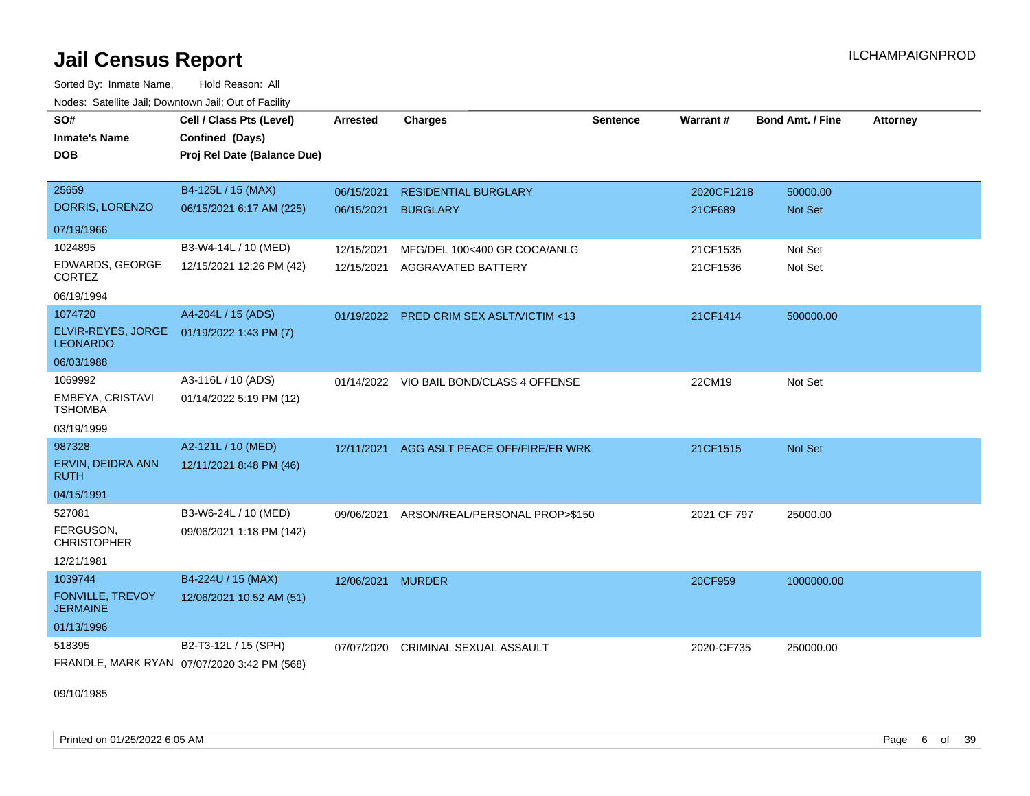Sorted By: Inmate Name, Hold Reason: All Nodes: Satellite Jail; Downtown Jail; Out of Facility

| Noucs. Catchite sail, Downtown sail, Out of Facility |                                             |                 |                                           |                 |             |                         |                 |
|------------------------------------------------------|---------------------------------------------|-----------------|-------------------------------------------|-----------------|-------------|-------------------------|-----------------|
| SO#                                                  | Cell / Class Pts (Level)                    | <b>Arrested</b> | <b>Charges</b>                            | <b>Sentence</b> | Warrant#    | <b>Bond Amt. / Fine</b> | <b>Attorney</b> |
| <b>Inmate's Name</b>                                 | Confined (Days)                             |                 |                                           |                 |             |                         |                 |
| <b>DOB</b>                                           | Proj Rel Date (Balance Due)                 |                 |                                           |                 |             |                         |                 |
|                                                      |                                             |                 |                                           |                 |             |                         |                 |
| 25659                                                | B4-125L / 15 (MAX)                          | 06/15/2021      | <b>RESIDENTIAL BURGLARY</b>               |                 | 2020CF1218  | 50000.00                |                 |
| DORRIS, LORENZO                                      | 06/15/2021 6:17 AM (225)                    | 06/15/2021      | <b>BURGLARY</b>                           |                 | 21CF689     | Not Set                 |                 |
| 07/19/1966                                           |                                             |                 |                                           |                 |             |                         |                 |
| 1024895                                              | B3-W4-14L / 10 (MED)                        | 12/15/2021      | MFG/DEL 100<400 GR COCA/ANLG              |                 | 21CF1535    | Not Set                 |                 |
| EDWARDS, GEORGE<br>CORTEZ                            | 12/15/2021 12:26 PM (42)                    | 12/15/2021      | AGGRAVATED BATTERY                        |                 | 21CF1536    | Not Set                 |                 |
| 06/19/1994                                           |                                             |                 |                                           |                 |             |                         |                 |
| 1074720                                              | A4-204L / 15 (ADS)                          |                 | 01/19/2022 PRED CRIM SEX ASLT/VICTIM <13  |                 | 21CF1414    | 500000.00               |                 |
| ELVIR-REYES, JORGE<br><b>LEONARDO</b>                | 01/19/2022 1:43 PM (7)                      |                 |                                           |                 |             |                         |                 |
| 06/03/1988                                           |                                             |                 |                                           |                 |             |                         |                 |
| 1069992                                              | A3-116L / 10 (ADS)                          |                 | 01/14/2022 VIO BAIL BOND/CLASS 4 OFFENSE  |                 | 22CM19      | Not Set                 |                 |
| EMBEYA, CRISTAVI<br><b>TSHOMBA</b>                   | 01/14/2022 5:19 PM (12)                     |                 |                                           |                 |             |                         |                 |
| 03/19/1999                                           |                                             |                 |                                           |                 |             |                         |                 |
| 987328                                               | A2-121L / 10 (MED)                          | 12/11/2021      | AGG ASLT PEACE OFF/FIRE/ER WRK            |                 | 21CF1515    | Not Set                 |                 |
| ERVIN, DEIDRA ANN<br><b>RUTH</b>                     | 12/11/2021 8:48 PM (46)                     |                 |                                           |                 |             |                         |                 |
| 04/15/1991                                           |                                             |                 |                                           |                 |             |                         |                 |
| 527081                                               | B3-W6-24L / 10 (MED)                        |                 | 09/06/2021 ARSON/REAL/PERSONAL PROP>\$150 |                 | 2021 CF 797 | 25000.00                |                 |
| FERGUSON,<br><b>CHRISTOPHER</b>                      | 09/06/2021 1:18 PM (142)                    |                 |                                           |                 |             |                         |                 |
| 12/21/1981                                           |                                             |                 |                                           |                 |             |                         |                 |
| 1039744                                              | B4-224U / 15 (MAX)                          | 12/06/2021      | <b>MURDER</b>                             |                 | 20CF959     | 1000000.00              |                 |
| <b>FONVILLE, TREVOY</b><br><b>JERMAINE</b>           | 12/06/2021 10:52 AM (51)                    |                 |                                           |                 |             |                         |                 |
| 01/13/1996                                           |                                             |                 |                                           |                 |             |                         |                 |
| 518395                                               | B2-T3-12L / 15 (SPH)                        | 07/07/2020      | CRIMINAL SEXUAL ASSAULT                   |                 | 2020-CF735  | 250000.00               |                 |
|                                                      | FRANDLE, MARK RYAN 07/07/2020 3:42 PM (568) |                 |                                           |                 |             |                         |                 |

09/10/1985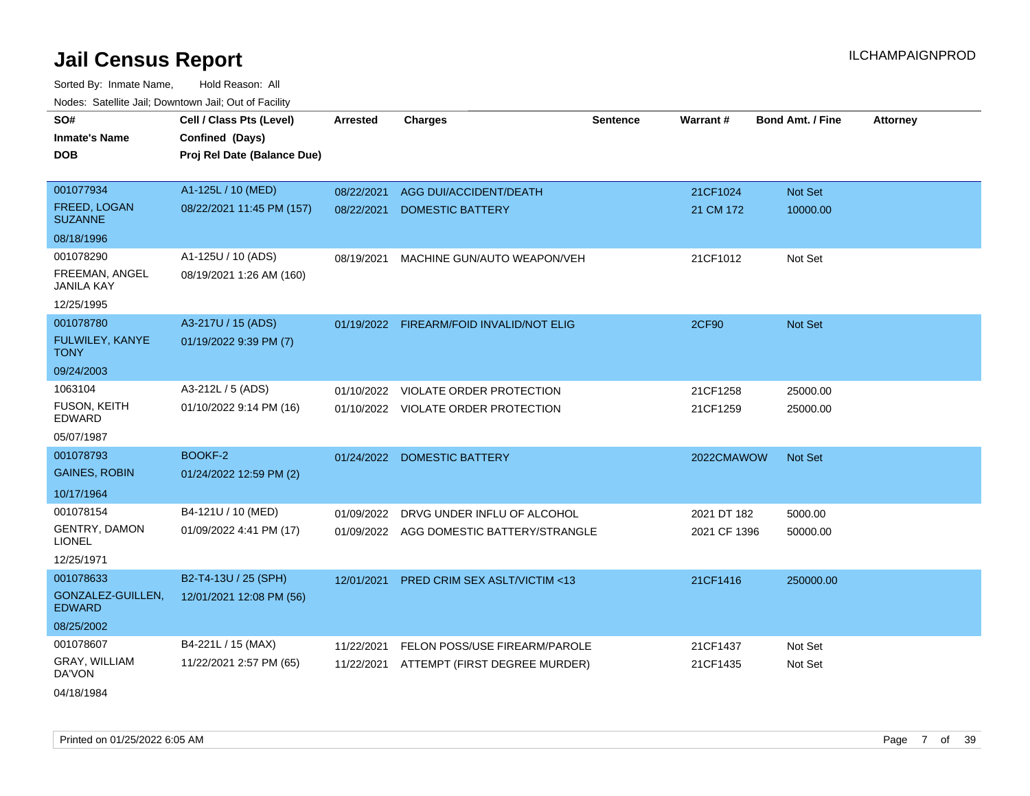Sorted By: Inmate Name, Hold Reason: All Nodes: Satellite Jail; Downtown Jail; Out of Facility

| SO#                                   | Cell / Class Pts (Level)    | <b>Arrested</b> | <b>Charges</b>                           | <b>Sentence</b> | Warrant#     | <b>Bond Amt. / Fine</b> | <b>Attorney</b> |
|---------------------------------------|-----------------------------|-----------------|------------------------------------------|-----------------|--------------|-------------------------|-----------------|
| <b>Inmate's Name</b>                  | Confined (Days)             |                 |                                          |                 |              |                         |                 |
| <b>DOB</b>                            | Proj Rel Date (Balance Due) |                 |                                          |                 |              |                         |                 |
|                                       |                             |                 |                                          |                 |              |                         |                 |
| 001077934                             | A1-125L / 10 (MED)          | 08/22/2021      | AGG DUI/ACCIDENT/DEATH                   |                 | 21CF1024     | Not Set                 |                 |
| <b>FREED, LOGAN</b><br><b>SUZANNE</b> | 08/22/2021 11:45 PM (157)   | 08/22/2021      | <b>DOMESTIC BATTERY</b>                  |                 | 21 CM 172    | 10000.00                |                 |
| 08/18/1996                            |                             |                 |                                          |                 |              |                         |                 |
| 001078290                             | A1-125U / 10 (ADS)          | 08/19/2021      | MACHINE GUN/AUTO WEAPON/VEH              |                 | 21CF1012     | Not Set                 |                 |
| FREEMAN, ANGEL<br><b>JANILA KAY</b>   | 08/19/2021 1:26 AM (160)    |                 |                                          |                 |              |                         |                 |
| 12/25/1995                            |                             |                 |                                          |                 |              |                         |                 |
| 001078780                             | A3-217U / 15 (ADS)          |                 | 01/19/2022 FIREARM/FOID INVALID/NOT ELIG |                 | <b>2CF90</b> | Not Set                 |                 |
| FULWILEY, KANYE<br><b>TONY</b>        | 01/19/2022 9:39 PM (7)      |                 |                                          |                 |              |                         |                 |
| 09/24/2003                            |                             |                 |                                          |                 |              |                         |                 |
| 1063104                               | A3-212L / 5 (ADS)           | 01/10/2022      | VIOLATE ORDER PROTECTION                 |                 | 21CF1258     | 25000.00                |                 |
| <b>FUSON, KEITH</b><br>EDWARD         | 01/10/2022 9:14 PM (16)     |                 | 01/10/2022 VIOLATE ORDER PROTECTION      |                 | 21CF1259     | 25000.00                |                 |
| 05/07/1987                            |                             |                 |                                          |                 |              |                         |                 |
| 001078793                             | <b>BOOKF-2</b>              |                 | 01/24/2022 DOMESTIC BATTERY              |                 | 2022CMAWOW   | <b>Not Set</b>          |                 |
| <b>GAINES, ROBIN</b>                  | 01/24/2022 12:59 PM (2)     |                 |                                          |                 |              |                         |                 |
| 10/17/1964                            |                             |                 |                                          |                 |              |                         |                 |
| 001078154                             | B4-121U / 10 (MED)          | 01/09/2022      | DRVG UNDER INFLU OF ALCOHOL              |                 | 2021 DT 182  | 5000.00                 |                 |
| GENTRY, DAMON<br><b>LIONEL</b>        | 01/09/2022 4:41 PM (17)     |                 | 01/09/2022 AGG DOMESTIC BATTERY/STRANGLE |                 | 2021 CF 1396 | 50000.00                |                 |
| 12/25/1971                            |                             |                 |                                          |                 |              |                         |                 |
| 001078633                             | B2-T4-13U / 25 (SPH)        | 12/01/2021      | PRED CRIM SEX ASLT/VICTIM <13            |                 | 21CF1416     | 250000.00               |                 |
| GONZALEZ-GUILLEN,<br><b>EDWARD</b>    | 12/01/2021 12:08 PM (56)    |                 |                                          |                 |              |                         |                 |
| 08/25/2002                            |                             |                 |                                          |                 |              |                         |                 |
| 001078607                             | B4-221L / 15 (MAX)          | 11/22/2021      | <b>FELON POSS/USE FIREARM/PAROLE</b>     |                 | 21CF1437     | Not Set                 |                 |
| GRAY, WILLIAM<br>DA'VON               | 11/22/2021 2:57 PM (65)     | 11/22/2021      | ATTEMPT (FIRST DEGREE MURDER)            |                 | 21CF1435     | Not Set                 |                 |
|                                       |                             |                 |                                          |                 |              |                         |                 |

04/18/1984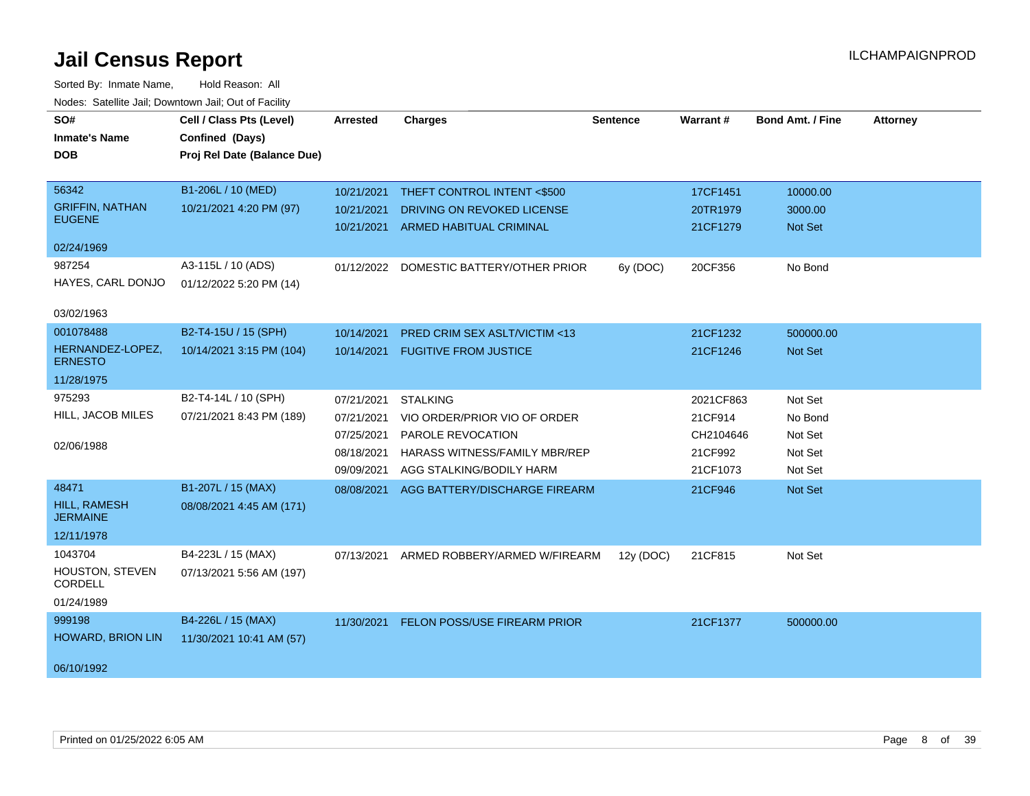| SO#<br><b>Inmate's Name</b><br><b>DOB</b><br>56342            | Cell / Class Pts (Level)<br>Confined (Days)<br>Proj Rel Date (Balance Due)<br>B1-206L / 10 (MED) | Arrested<br>10/21/2021                                             | <b>Charges</b><br>THEFT CONTROL INTENT <\$500                                                                                     | <b>Sentence</b> | Warrant#<br>17CF1451                                     | <b>Bond Amt. / Fine</b><br>10000.00                 | <b>Attorney</b> |
|---------------------------------------------------------------|--------------------------------------------------------------------------------------------------|--------------------------------------------------------------------|-----------------------------------------------------------------------------------------------------------------------------------|-----------------|----------------------------------------------------------|-----------------------------------------------------|-----------------|
| <b>GRIFFIN, NATHAN</b><br><b>EUGENE</b>                       | 10/21/2021 4:20 PM (97)                                                                          | 10/21/2021<br>10/21/2021                                           | DRIVING ON REVOKED LICENSE<br><b>ARMED HABITUAL CRIMINAL</b>                                                                      |                 | 20TR1979<br>21CF1279                                     | 3000.00<br>Not Set                                  |                 |
| 02/24/1969<br>987254<br>HAYES, CARL DONJO<br>03/02/1963       | A3-115L / 10 (ADS)<br>01/12/2022 5:20 PM (14)                                                    | 01/12/2022                                                         | DOMESTIC BATTERY/OTHER PRIOR                                                                                                      | 6y (DOC)        | 20CF356                                                  | No Bond                                             |                 |
| 001078488<br>HERNANDEZ-LOPEZ,<br><b>ERNESTO</b><br>11/28/1975 | B2-T4-15U / 15 (SPH)<br>10/14/2021 3:15 PM (104)                                                 | 10/14/2021<br>10/14/2021                                           | PRED CRIM SEX ASLT/VICTIM <13<br><b>FUGITIVE FROM JUSTICE</b>                                                                     |                 | 21CF1232<br>21CF1246                                     | 500000.00<br>Not Set                                |                 |
| 975293<br>HILL, JACOB MILES<br>02/06/1988                     | B2-T4-14L / 10 (SPH)<br>07/21/2021 8:43 PM (189)                                                 | 07/21/2021<br>07/21/2021<br>07/25/2021<br>08/18/2021<br>09/09/2021 | <b>STALKING</b><br>VIO ORDER/PRIOR VIO OF ORDER<br>PAROLE REVOCATION<br>HARASS WITNESS/FAMILY MBR/REP<br>AGG STALKING/BODILY HARM |                 | 2021CF863<br>21CF914<br>CH2104646<br>21CF992<br>21CF1073 | Not Set<br>No Bond<br>Not Set<br>Not Set<br>Not Set |                 |
| 48471<br>HILL, RAMESH<br><b>JERMAINE</b><br>12/11/1978        | B1-207L / 15 (MAX)<br>08/08/2021 4:45 AM (171)                                                   | 08/08/2021                                                         | AGG BATTERY/DISCHARGE FIREARM                                                                                                     |                 | 21CF946                                                  | Not Set                                             |                 |
| 1043704<br>HOUSTON, STEVEN<br>CORDELL<br>01/24/1989           | B4-223L / 15 (MAX)<br>07/13/2021 5:56 AM (197)                                                   | 07/13/2021                                                         | ARMED ROBBERY/ARMED W/FIREARM                                                                                                     | 12y (DOC)       | 21CF815                                                  | Not Set                                             |                 |
| 999198<br>HOWARD, BRION LIN<br>06/10/1992                     | B4-226L / 15 (MAX)<br>11/30/2021 10:41 AM (57)                                                   | 11/30/2021                                                         | FELON POSS/USE FIREARM PRIOR                                                                                                      |                 | 21CF1377                                                 | 500000.00                                           |                 |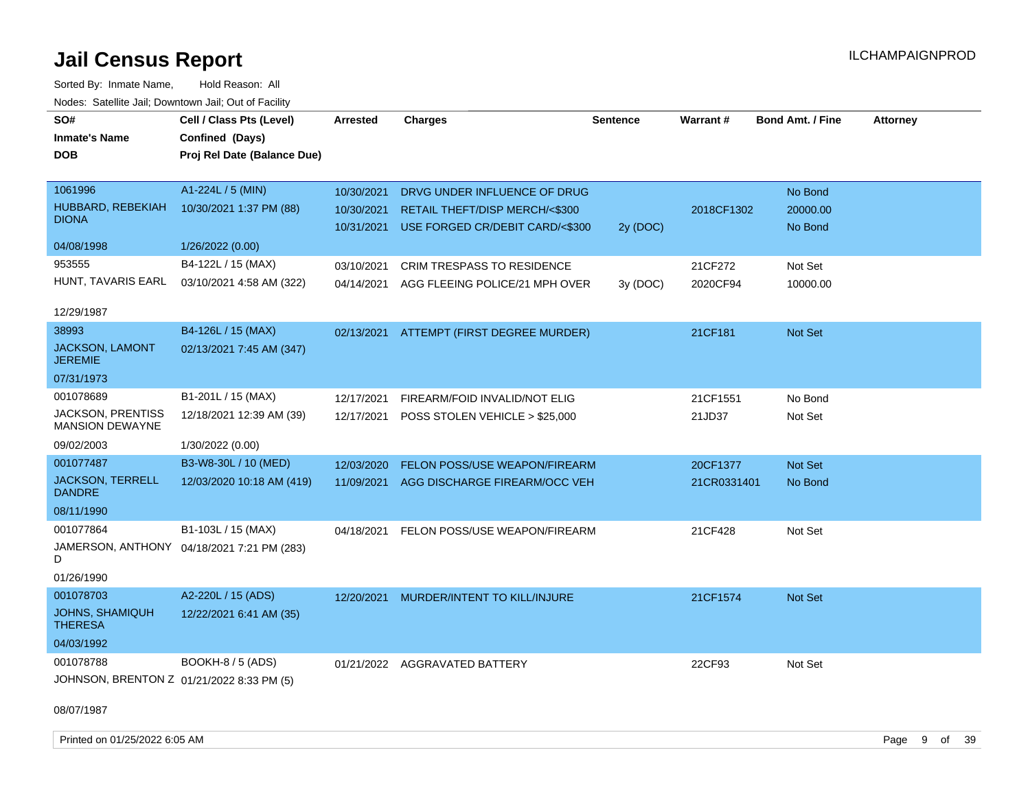Sorted By: Inmate Name, Hold Reason: All Nodes: Satellite Jail; Downtown Jail; Out of Facility

| ivuuto. Galeinle Jan, Downlown Jan, Oul of Facility |                                            |                 |                                          |                 |                 |                         |                 |
|-----------------------------------------------------|--------------------------------------------|-----------------|------------------------------------------|-----------------|-----------------|-------------------------|-----------------|
| SO#                                                 | Cell / Class Pts (Level)                   | <b>Arrested</b> | <b>Charges</b>                           | <b>Sentence</b> | <b>Warrant#</b> | <b>Bond Amt. / Fine</b> | <b>Attorney</b> |
| <b>Inmate's Name</b>                                | Confined (Days)                            |                 |                                          |                 |                 |                         |                 |
| <b>DOB</b>                                          | Proj Rel Date (Balance Due)                |                 |                                          |                 |                 |                         |                 |
|                                                     |                                            |                 |                                          |                 |                 |                         |                 |
| 1061996                                             | A1-224L / 5 (MIN)                          | 10/30/2021      | DRVG UNDER INFLUENCE OF DRUG             |                 |                 | No Bond                 |                 |
| HUBBARD, REBEKIAH                                   | 10/30/2021 1:37 PM (88)                    | 10/30/2021      | <b>RETAIL THEFT/DISP MERCH/&lt;\$300</b> |                 | 2018CF1302      | 20000.00                |                 |
| <b>DIONA</b>                                        |                                            | 10/31/2021      | USE FORGED CR/DEBIT CARD/<\$300          | 2y (DOC)        |                 | No Bond                 |                 |
| 04/08/1998                                          | 1/26/2022 (0.00)                           |                 |                                          |                 |                 |                         |                 |
| 953555                                              | B4-122L / 15 (MAX)                         | 03/10/2021      | <b>CRIM TRESPASS TO RESIDENCE</b>        |                 | 21CF272         | Not Set                 |                 |
| HUNT, TAVARIS EARL                                  | 03/10/2021 4:58 AM (322)                   | 04/14/2021      | AGG FLEEING POLICE/21 MPH OVER           | 3y(DOC)         | 2020CF94        | 10000.00                |                 |
|                                                     |                                            |                 |                                          |                 |                 |                         |                 |
| 12/29/1987                                          |                                            |                 |                                          |                 |                 |                         |                 |
| 38993                                               | B4-126L / 15 (MAX)                         | 02/13/2021      | ATTEMPT (FIRST DEGREE MURDER)            |                 | 21CF181         | <b>Not Set</b>          |                 |
| JACKSON, LAMONT<br><b>JEREMIE</b>                   | 02/13/2021 7:45 AM (347)                   |                 |                                          |                 |                 |                         |                 |
| 07/31/1973                                          |                                            |                 |                                          |                 |                 |                         |                 |
| 001078689                                           | B1-201L / 15 (MAX)                         | 12/17/2021      | FIREARM/FOID INVALID/NOT ELIG            |                 | 21CF1551        | No Bond                 |                 |
| <b>JACKSON, PRENTISS</b><br><b>MANSION DEWAYNE</b>  | 12/18/2021 12:39 AM (39)                   | 12/17/2021      | POSS STOLEN VEHICLE > \$25,000           |                 | 21JD37          | Not Set                 |                 |
| 09/02/2003                                          | 1/30/2022 (0.00)                           |                 |                                          |                 |                 |                         |                 |
| 001077487                                           | B3-W8-30L / 10 (MED)                       | 12/03/2020      | FELON POSS/USE WEAPON/FIREARM            |                 | 20CF1377        | <b>Not Set</b>          |                 |
| <b>JACKSON, TERRELL</b><br><b>DANDRE</b>            | 12/03/2020 10:18 AM (419)                  | 11/09/2021      | AGG DISCHARGE FIREARM/OCC VEH            |                 | 21CR0331401     | No Bond                 |                 |
| 08/11/1990                                          |                                            |                 |                                          |                 |                 |                         |                 |
| 001077864                                           | B1-103L / 15 (MAX)                         | 04/18/2021      | FELON POSS/USE WEAPON/FIREARM            |                 | 21CF428         | Not Set                 |                 |
| D                                                   | JAMERSON, ANTHONY 04/18/2021 7:21 PM (283) |                 |                                          |                 |                 |                         |                 |
| 01/26/1990                                          |                                            |                 |                                          |                 |                 |                         |                 |
| 001078703                                           | A2-220L / 15 (ADS)                         | 12/20/2021      | MURDER/INTENT TO KILL/INJURE             |                 | 21CF1574        | <b>Not Set</b>          |                 |
| <b>JOHNS, SHAMIQUH</b><br><b>THERESA</b>            | 12/22/2021 6:41 AM (35)                    |                 |                                          |                 |                 |                         |                 |
| 04/03/1992                                          |                                            |                 |                                          |                 |                 |                         |                 |
| 001078788                                           | BOOKH-8 / 5 (ADS)                          |                 | 01/21/2022 AGGRAVATED BATTERY            |                 | 22CF93          | Not Set                 |                 |
| JOHNSON, BRENTON Z 01/21/2022 8:33 PM (5)           |                                            |                 |                                          |                 |                 |                         |                 |
| 08/07/1987                                          |                                            |                 |                                          |                 |                 |                         |                 |

Printed on 01/25/2022 6:05 AM Page 9 of 39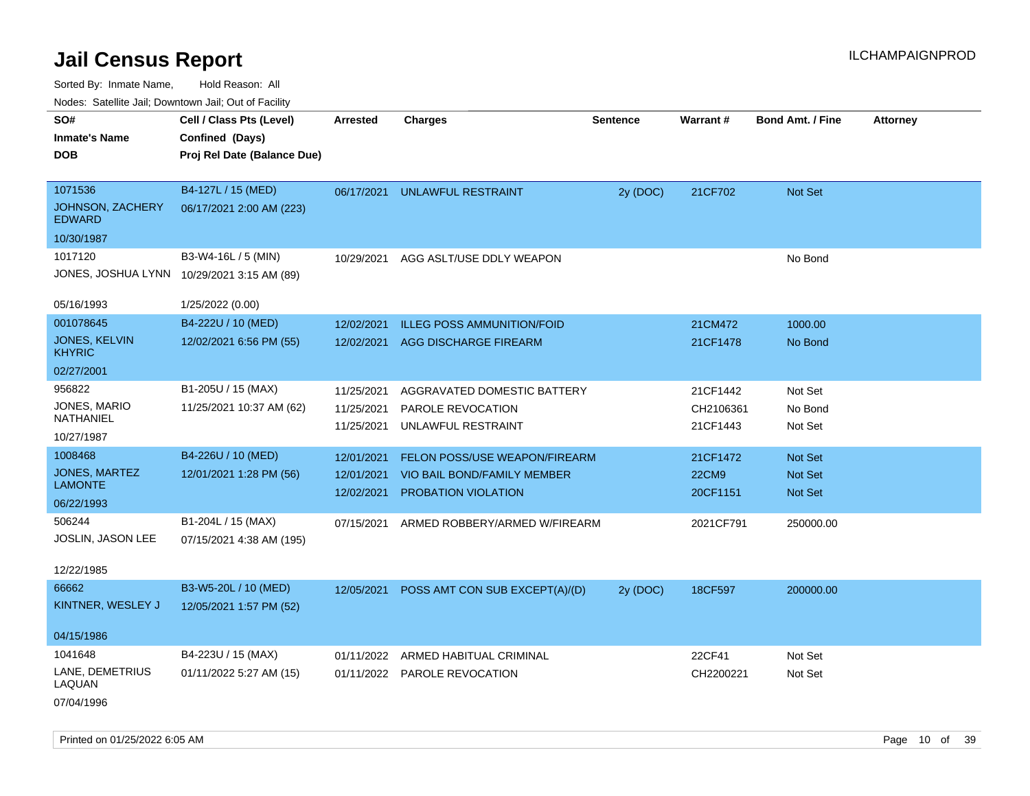Sorted By: Inmate Name, Hold Reason: All Nodes: Satellite Jail; Downtown Jail; Out of Facility

| Noues. Salemie Jan, Downtown Jan, Out of Facility |                                            |                 |                                   |                 |                 |                         |                 |
|---------------------------------------------------|--------------------------------------------|-----------------|-----------------------------------|-----------------|-----------------|-------------------------|-----------------|
| SO#                                               | Cell / Class Pts (Level)                   | <b>Arrested</b> | <b>Charges</b>                    | <b>Sentence</b> | <b>Warrant#</b> | <b>Bond Amt. / Fine</b> | <b>Attorney</b> |
| <b>Inmate's Name</b>                              | Confined (Days)                            |                 |                                   |                 |                 |                         |                 |
| <b>DOB</b>                                        | Proj Rel Date (Balance Due)                |                 |                                   |                 |                 |                         |                 |
|                                                   |                                            |                 |                                   |                 |                 |                         |                 |
| 1071536                                           | B4-127L / 15 (MED)                         | 06/17/2021      | UNLAWFUL RESTRAINT                | 2y (DOC)        | 21CF702         | Not Set                 |                 |
| JOHNSON, ZACHERY<br><b>EDWARD</b>                 | 06/17/2021 2:00 AM (223)                   |                 |                                   |                 |                 |                         |                 |
| 10/30/1987                                        |                                            |                 |                                   |                 |                 |                         |                 |
| 1017120                                           | B3-W4-16L / 5 (MIN)                        | 10/29/2021      | AGG ASLT/USE DDLY WEAPON          |                 |                 | No Bond                 |                 |
|                                                   | JONES, JOSHUA LYNN 10/29/2021 3:15 AM (89) |                 |                                   |                 |                 |                         |                 |
| 05/16/1993                                        | 1/25/2022 (0.00)                           |                 |                                   |                 |                 |                         |                 |
| 001078645                                         | B4-222U / 10 (MED)                         | 12/02/2021      | <b>ILLEG POSS AMMUNITION/FOID</b> |                 | 21CM472         | 1000.00                 |                 |
| JONES, KELVIN<br><b>KHYRIC</b>                    | 12/02/2021 6:56 PM (55)                    | 12/02/2021      | <b>AGG DISCHARGE FIREARM</b>      |                 | 21CF1478        | No Bond                 |                 |
| 02/27/2001                                        |                                            |                 |                                   |                 |                 |                         |                 |
| 956822                                            | B1-205U / 15 (MAX)                         | 11/25/2021      | AGGRAVATED DOMESTIC BATTERY       |                 | 21CF1442        | Not Set                 |                 |
| JONES, MARIO                                      | 11/25/2021 10:37 AM (62)                   | 11/25/2021      | PAROLE REVOCATION                 |                 | CH2106361       | No Bond                 |                 |
| NATHANIEL                                         |                                            | 11/25/2021      | UNLAWFUL RESTRAINT                |                 | 21CF1443        | Not Set                 |                 |
| 10/27/1987                                        |                                            |                 |                                   |                 |                 |                         |                 |
| 1008468                                           | B4-226U / 10 (MED)                         | 12/01/2021      | FELON POSS/USE WEAPON/FIREARM     |                 | 21CF1472        | <b>Not Set</b>          |                 |
| <b>JONES, MARTEZ</b>                              | 12/01/2021 1:28 PM (56)                    | 12/01/2021      | VIO BAIL BOND/FAMILY MEMBER       |                 | <b>22CM9</b>    | <b>Not Set</b>          |                 |
| LAMONTE                                           |                                            | 12/02/2021      | <b>PROBATION VIOLATION</b>        |                 | 20CF1151        | <b>Not Set</b>          |                 |
| 06/22/1993                                        |                                            |                 |                                   |                 |                 |                         |                 |
| 506244                                            | B1-204L / 15 (MAX)                         | 07/15/2021      | ARMED ROBBERY/ARMED W/FIREARM     |                 | 2021CF791       | 250000.00               |                 |
| JOSLIN, JASON LEE                                 | 07/15/2021 4:38 AM (195)                   |                 |                                   |                 |                 |                         |                 |
| 12/22/1985                                        |                                            |                 |                                   |                 |                 |                         |                 |
| 66662                                             | B3-W5-20L / 10 (MED)                       | 12/05/2021      | POSS AMT CON SUB EXCEPT(A)/(D)    | 2y (DOC)        | 18CF597         | 200000.00               |                 |
| KINTNER, WESLEY J                                 | 12/05/2021 1:57 PM (52)                    |                 |                                   |                 |                 |                         |                 |
|                                                   |                                            |                 |                                   |                 |                 |                         |                 |
| 04/15/1986                                        |                                            |                 |                                   |                 |                 |                         |                 |
| 1041648                                           | B4-223U / 15 (MAX)                         | 01/11/2022      | ARMED HABITUAL CRIMINAL           |                 | 22CF41          | Not Set                 |                 |
| LANE, DEMETRIUS<br>LAQUAN                         | 01/11/2022 5:27 AM (15)                    |                 | 01/11/2022 PAROLE REVOCATION      |                 | CH2200221       | Not Set                 |                 |
| 07/04/1996                                        |                                            |                 |                                   |                 |                 |                         |                 |

Printed on 01/25/2022 6:05 AM **Page 10** of 39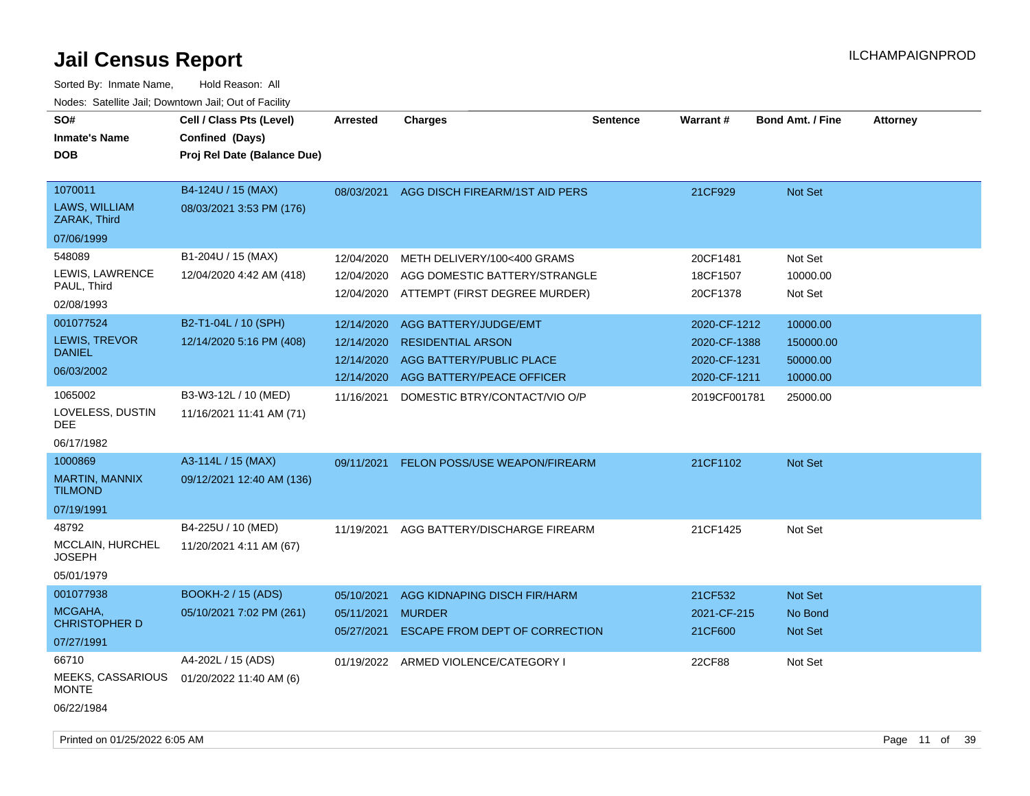| SO#<br><b>Inmate's Name</b><br><b>DOB</b>                       | Cell / Class Pts (Level)<br>Confined (Days)<br>Proj Rel Date (Balance Due) | <b>Arrested</b>                        | <b>Charges</b>                                                                                           | Sentence | <b>Warrant#</b>                              | <b>Bond Amt. / Fine</b>           | <b>Attorney</b> |
|-----------------------------------------------------------------|----------------------------------------------------------------------------|----------------------------------------|----------------------------------------------------------------------------------------------------------|----------|----------------------------------------------|-----------------------------------|-----------------|
| 1070011<br>LAWS, WILLIAM<br>ZARAK, Third                        | B4-124U / 15 (MAX)<br>08/03/2021 3:53 PM (176)                             | 08/03/2021                             | AGG DISCH FIREARM/1ST AID PERS                                                                           |          | 21CF929                                      | Not Set                           |                 |
| 07/06/1999                                                      |                                                                            |                                        |                                                                                                          |          |                                              |                                   |                 |
| 548089<br>LEWIS, LAWRENCE<br>PAUL, Third                        | B1-204U / 15 (MAX)<br>12/04/2020 4:42 AM (418)                             | 12/04/2020<br>12/04/2020               | METH DELIVERY/100<400 GRAMS<br>AGG DOMESTIC BATTERY/STRANGLE<br>12/04/2020 ATTEMPT (FIRST DEGREE MURDER) |          | 20CF1481<br>18CF1507<br>20CF1378             | Not Set<br>10000.00<br>Not Set    |                 |
| 02/08/1993                                                      |                                                                            |                                        |                                                                                                          |          |                                              |                                   |                 |
| 001077524<br>LEWIS, TREVOR<br><b>DANIEL</b>                     | B2-T1-04L / 10 (SPH)<br>12/14/2020 5:16 PM (408)                           | 12/14/2020<br>12/14/2020<br>12/14/2020 | AGG BATTERY/JUDGE/EMT<br><b>RESIDENTIAL ARSON</b><br>AGG BATTERY/PUBLIC PLACE                            |          | 2020-CF-1212<br>2020-CF-1388<br>2020-CF-1231 | 10000.00<br>150000.00<br>50000.00 |                 |
| 06/03/2002                                                      |                                                                            | 12/14/2020                             | AGG BATTERY/PEACE OFFICER                                                                                |          | 2020-CF-1211                                 | 10000.00                          |                 |
| 1065002<br>LOVELESS, DUSTIN<br>DEE<br>06/17/1982                | B3-W3-12L / 10 (MED)<br>11/16/2021 11:41 AM (71)                           | 11/16/2021                             | DOMESTIC BTRY/CONTACT/VIO O/P                                                                            |          | 2019CF001781                                 | 25000.00                          |                 |
| 1000869                                                         | A3-114L / 15 (MAX)                                                         | 09/11/2021                             | FELON POSS/USE WEAPON/FIREARM                                                                            |          | 21CF1102                                     | <b>Not Set</b>                    |                 |
| <b>MARTIN, MANNIX</b><br><b>TILMOND</b>                         | 09/12/2021 12:40 AM (136)                                                  |                                        |                                                                                                          |          |                                              |                                   |                 |
| 07/19/1991                                                      |                                                                            |                                        |                                                                                                          |          |                                              |                                   |                 |
| 48792<br>MCCLAIN, HURCHEL<br><b>JOSEPH</b><br>05/01/1979        | B4-225U / 10 (MED)<br>11/20/2021 4:11 AM (67)                              | 11/19/2021                             | AGG BATTERY/DISCHARGE FIREARM                                                                            |          | 21CF1425                                     | Not Set                           |                 |
| 001077938                                                       | <b>BOOKH-2 / 15 (ADS)</b>                                                  |                                        |                                                                                                          |          |                                              |                                   |                 |
| MCGAHA,<br><b>CHRISTOPHER D</b><br>07/27/1991                   | 05/10/2021 7:02 PM (261)                                                   | 05/10/2021<br>05/11/2021<br>05/27/2021 | AGG KIDNAPING DISCH FIR/HARM<br><b>MURDER</b><br>ESCAPE FROM DEPT OF CORRECTION                          |          | 21CF532<br>2021-CF-215<br>21CF600            | Not Set<br>No Bond<br>Not Set     |                 |
| 66710<br><b>MEEKS, CASSARIOUS</b><br><b>MONTE</b><br>06/22/1984 | A4-202L / 15 (ADS)<br>01/20/2022 11:40 AM (6)                              | 01/19/2022                             | ARMED VIOLENCE/CATEGORY I                                                                                |          | 22CF88                                       | Not Set                           |                 |
|                                                                 |                                                                            |                                        |                                                                                                          |          |                                              |                                   |                 |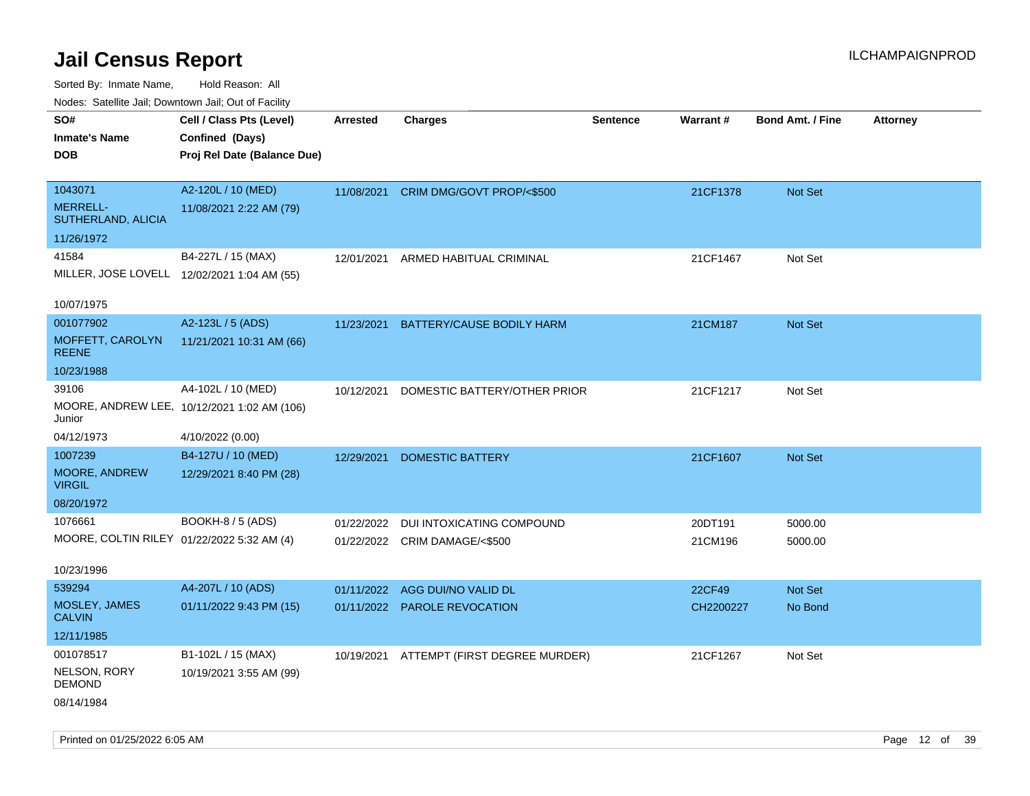Sorted By: Inmate Name, Hold Reason: All

| Nodes: Satellite Jail; Downtown Jail; Out of Facility |                                             |                 |                               |                 |           |                         |                 |
|-------------------------------------------------------|---------------------------------------------|-----------------|-------------------------------|-----------------|-----------|-------------------------|-----------------|
| SO#                                                   | Cell / Class Pts (Level)                    | <b>Arrested</b> | <b>Charges</b>                | <b>Sentence</b> | Warrant#  | <b>Bond Amt. / Fine</b> | <b>Attorney</b> |
| <b>Inmate's Name</b>                                  | Confined (Days)                             |                 |                               |                 |           |                         |                 |
| <b>DOB</b>                                            | Proj Rel Date (Balance Due)                 |                 |                               |                 |           |                         |                 |
|                                                       |                                             |                 |                               |                 |           |                         |                 |
| 1043071                                               | A2-120L / 10 (MED)                          | 11/08/2021      | CRIM DMG/GOVT PROP/<\$500     |                 | 21CF1378  | Not Set                 |                 |
| <b>MERRELL-</b><br>SUTHERLAND, ALICIA                 | 11/08/2021 2:22 AM (79)                     |                 |                               |                 |           |                         |                 |
| 11/26/1972                                            |                                             |                 |                               |                 |           |                         |                 |
| 41584                                                 | B4-227L / 15 (MAX)                          | 12/01/2021      | ARMED HABITUAL CRIMINAL       |                 | 21CF1467  | Not Set                 |                 |
|                                                       | MILLER, JOSE LOVELL 12/02/2021 1:04 AM (55) |                 |                               |                 |           |                         |                 |
|                                                       |                                             |                 |                               |                 |           |                         |                 |
| 10/07/1975                                            |                                             |                 |                               |                 |           |                         |                 |
| 001077902                                             | A2-123L / 5 (ADS)                           | 11/23/2021      | BATTERY/CAUSE BODILY HARM     |                 | 21CM187   | Not Set                 |                 |
| MOFFETT, CAROLYN<br><b>REENE</b>                      | 11/21/2021 10:31 AM (66)                    |                 |                               |                 |           |                         |                 |
| 10/23/1988                                            |                                             |                 |                               |                 |           |                         |                 |
| 39106                                                 | A4-102L / 10 (MED)                          | 10/12/2021      | DOMESTIC BATTERY/OTHER PRIOR  |                 | 21CF1217  | Not Set                 |                 |
| Junior                                                | MOORE, ANDREW LEE, 10/12/2021 1:02 AM (106) |                 |                               |                 |           |                         |                 |
| 04/12/1973                                            | 4/10/2022 (0.00)                            |                 |                               |                 |           |                         |                 |
| 1007239                                               | B4-127U / 10 (MED)                          | 12/29/2021      | <b>DOMESTIC BATTERY</b>       |                 | 21CF1607  | Not Set                 |                 |
| MOORE, ANDREW<br><b>VIRGIL</b>                        | 12/29/2021 8:40 PM (28)                     |                 |                               |                 |           |                         |                 |
| 08/20/1972                                            |                                             |                 |                               |                 |           |                         |                 |
| 1076661                                               | BOOKH-8 / 5 (ADS)                           | 01/22/2022      | DUI INTOXICATING COMPOUND     |                 | 20DT191   | 5000.00                 |                 |
| MOORE, COLTIN RILEY 01/22/2022 5:32 AM (4)            |                                             | 01/22/2022      | CRIM DAMAGE/<\$500            |                 | 21CM196   | 5000.00                 |                 |
|                                                       |                                             |                 |                               |                 |           |                         |                 |
| 10/23/1996                                            |                                             |                 |                               |                 |           |                         |                 |
| 539294                                                | A4-207L / 10 (ADS)                          | 01/11/2022      | AGG DUI/NO VALID DL           |                 | 22CF49    | Not Set                 |                 |
| MOSLEY, JAMES<br><b>CALVIN</b>                        | 01/11/2022 9:43 PM (15)                     |                 | 01/11/2022 PAROLE REVOCATION  |                 | CH2200227 | No Bond                 |                 |
| 12/11/1985                                            |                                             |                 |                               |                 |           |                         |                 |
| 001078517                                             | B1-102L / 15 (MAX)                          | 10/19/2021      | ATTEMPT (FIRST DEGREE MURDER) |                 | 21CF1267  | Not Set                 |                 |
| NELSON, RORY<br><b>DEMOND</b>                         | 10/19/2021 3:55 AM (99)                     |                 |                               |                 |           |                         |                 |
|                                                       |                                             |                 |                               |                 |           |                         |                 |

08/14/1984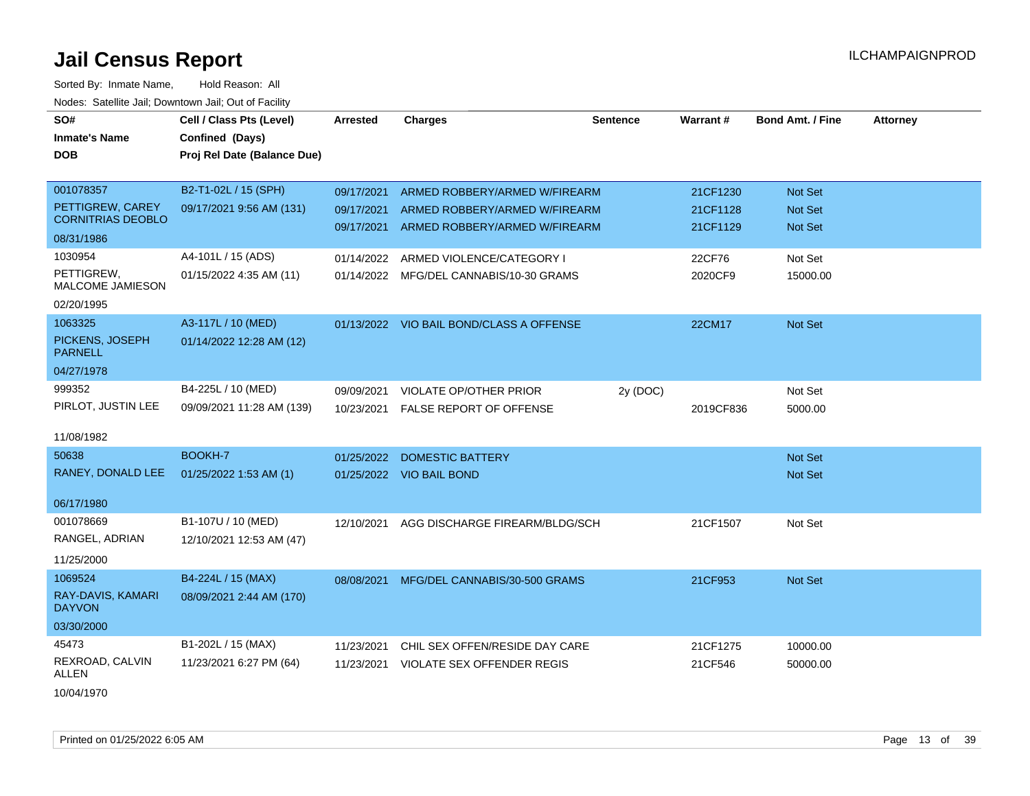| SO#<br><b>Inmate's Name</b><br><b>DOB</b>    | Cell / Class Pts (Level)<br>Confined (Days)<br>Proj Rel Date (Balance Due) | <b>Arrested</b>          | <b>Charges</b>                                                 | <b>Sentence</b> | Warrant#             | <b>Bond Amt. / Fine</b> | <b>Attorney</b> |
|----------------------------------------------|----------------------------------------------------------------------------|--------------------------|----------------------------------------------------------------|-----------------|----------------------|-------------------------|-----------------|
| 001078357                                    | B2-T1-02L / 15 (SPH)                                                       | 09/17/2021               | ARMED ROBBERY/ARMED W/FIREARM                                  |                 | 21CF1230             | Not Set                 |                 |
| PETTIGREW, CAREY<br><b>CORNITRIAS DEOBLO</b> | 09/17/2021 9:56 AM (131)                                                   | 09/17/2021<br>09/17/2021 | ARMED ROBBERY/ARMED W/FIREARM<br>ARMED ROBBERY/ARMED W/FIREARM |                 | 21CF1128<br>21CF1129 | Not Set<br>Not Set      |                 |
| 08/31/1986                                   |                                                                            |                          |                                                                |                 |                      |                         |                 |
| 1030954                                      | A4-101L / 15 (ADS)                                                         | 01/14/2022               | ARMED VIOLENCE/CATEGORY I                                      |                 | 22CF76               | Not Set                 |                 |
| PETTIGREW,<br><b>MALCOME JAMIESON</b>        | 01/15/2022 4:35 AM (11)                                                    |                          | 01/14/2022 MFG/DEL CANNABIS/10-30 GRAMS                        |                 | 2020CF9              | 15000.00                |                 |
| 02/20/1995                                   |                                                                            |                          |                                                                |                 |                      |                         |                 |
| 1063325                                      | A3-117L / 10 (MED)                                                         |                          | 01/13/2022 VIO BAIL BOND/CLASS A OFFENSE                       |                 | 22CM17               | Not Set                 |                 |
| PICKENS, JOSEPH<br><b>PARNELL</b>            | 01/14/2022 12:28 AM (12)                                                   |                          |                                                                |                 |                      |                         |                 |
| 04/27/1978                                   |                                                                            |                          |                                                                |                 |                      |                         |                 |
| 999352                                       | B4-225L / 10 (MED)                                                         | 09/09/2021               | VIOLATE OP/OTHER PRIOR                                         | 2y (DOC)        |                      | Not Set                 |                 |
| PIRLOT, JUSTIN LEE                           | 09/09/2021 11:28 AM (139)                                                  | 10/23/2021               | FALSE REPORT OF OFFENSE                                        |                 | 2019CF836            | 5000.00                 |                 |
| 11/08/1982                                   |                                                                            |                          |                                                                |                 |                      |                         |                 |
| 50638                                        | BOOKH-7                                                                    | 01/25/2022               | <b>DOMESTIC BATTERY</b>                                        |                 |                      | Not Set                 |                 |
| RANEY, DONALD LEE                            | 01/25/2022 1:53 AM (1)                                                     |                          | 01/25/2022 VIO BAIL BOND                                       |                 |                      | Not Set                 |                 |
| 06/17/1980                                   |                                                                            |                          |                                                                |                 |                      |                         |                 |
| 001078669<br>RANGEL, ADRIAN<br>11/25/2000    | B1-107U / 10 (MED)<br>12/10/2021 12:53 AM (47)                             | 12/10/2021               | AGG DISCHARGE FIREARM/BLDG/SCH                                 |                 | 21CF1507             | Not Set                 |                 |
| 1069524                                      | B4-224L / 15 (MAX)                                                         |                          | 08/08/2021 MFG/DEL CANNABIS/30-500 GRAMS                       |                 | 21CF953              | Not Set                 |                 |
| RAY-DAVIS, KAMARI<br><b>DAYVON</b>           | 08/09/2021 2:44 AM (170)                                                   |                          |                                                                |                 |                      |                         |                 |
| 03/30/2000                                   |                                                                            |                          |                                                                |                 |                      |                         |                 |
| 45473                                        | B1-202L / 15 (MAX)                                                         | 11/23/2021               | CHIL SEX OFFEN/RESIDE DAY CARE                                 |                 | 21CF1275             | 10000.00                |                 |
| REXROAD, CALVIN<br>ALLEN                     | 11/23/2021 6:27 PM (64)                                                    | 11/23/2021               | VIOLATE SEX OFFENDER REGIS                                     |                 | 21CF546              | 50000.00                |                 |
| 10/04/1970                                   |                                                                            |                          |                                                                |                 |                      |                         |                 |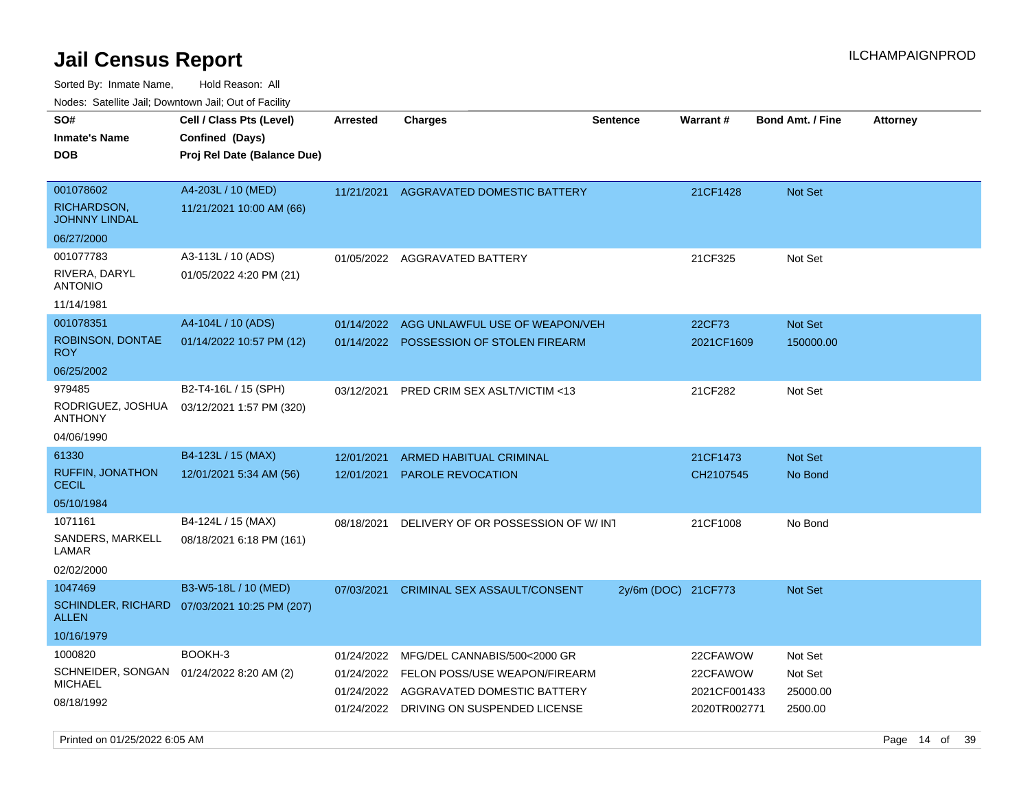| rouco. Calcinic Jan, Downtown Jan, Out of Facility                           |                                                                            |                                        |                                                                                                                                         |                     |                                                      |                                           |                 |
|------------------------------------------------------------------------------|----------------------------------------------------------------------------|----------------------------------------|-----------------------------------------------------------------------------------------------------------------------------------------|---------------------|------------------------------------------------------|-------------------------------------------|-----------------|
| SO#<br>Inmate's Name<br><b>DOB</b>                                           | Cell / Class Pts (Level)<br>Confined (Days)<br>Proj Rel Date (Balance Due) | <b>Arrested</b>                        | <b>Charges</b>                                                                                                                          | <b>Sentence</b>     | Warrant#                                             | <b>Bond Amt. / Fine</b>                   | <b>Attorney</b> |
| 001078602<br>RICHARDSON,<br>JOHNNY LINDAL<br>06/27/2000                      | A4-203L / 10 (MED)<br>11/21/2021 10:00 AM (66)                             | 11/21/2021                             | <b>AGGRAVATED DOMESTIC BATTERY</b>                                                                                                      |                     | 21CF1428                                             | <b>Not Set</b>                            |                 |
| 001077783<br>RIVERA, DARYL<br>ANTONIO<br>11/14/1981                          | A3-113L / 10 (ADS)<br>01/05/2022 4:20 PM (21)                              |                                        | 01/05/2022 AGGRAVATED BATTERY                                                                                                           |                     | 21CF325                                              | Not Set                                   |                 |
| 001078351<br>ROBINSON, DONTAE<br>ROY.<br>06/25/2002                          | A4-104L / 10 (ADS)<br>01/14/2022 10:57 PM (12)                             | 01/14/2022<br>01/14/2022               | AGG UNLAWFUL USE OF WEAPON/VEH<br><b>POSSESSION OF STOLEN FIREARM</b>                                                                   |                     | 22CF73<br>2021CF1609                                 | <b>Not Set</b><br>150000.00               |                 |
| 979485<br>RODRIGUEZ, JOSHUA<br>ANTHONY<br>04/06/1990                         | B2-T4-16L / 15 (SPH)<br>03/12/2021 1:57 PM (320)                           | 03/12/2021                             | PRED CRIM SEX ASLT/VICTIM <13                                                                                                           |                     | 21CF282                                              | Not Set                                   |                 |
| 61330<br><b>RUFFIN, JONATHON</b><br>CECIL<br>05/10/1984                      | B4-123L / 15 (MAX)<br>12/01/2021 5:34 AM (56)                              | 12/01/2021<br>12/01/2021               | <b>ARMED HABITUAL CRIMINAL</b><br>PAROLE REVOCATION                                                                                     |                     | 21CF1473<br>CH2107545                                | Not Set<br>No Bond                        |                 |
| 1071161<br>SANDERS, MARKELL<br>LAMAR<br>02/02/2000                           | B4-124L / 15 (MAX)<br>08/18/2021 6:18 PM (161)                             | 08/18/2021                             | DELIVERY OF OR POSSESSION OF W/INT                                                                                                      |                     | 21CF1008                                             | No Bond                                   |                 |
| 1047469<br>ALLEN<br>10/16/1979                                               | B3-W5-18L / 10 (MED)<br>SCHINDLER, RICHARD 07/03/2021 10:25 PM (207)       | 07/03/2021                             | <b>CRIMINAL SEX ASSAULT/CONSENT</b>                                                                                                     | 2y/6m (DOC) 21CF773 |                                                      | <b>Not Set</b>                            |                 |
| 1000820<br>SCHNEIDER, SONGAN 01/24/2022 8:20 AM (2)<br>MICHAEL<br>08/18/1992 | BOOKH-3                                                                    | 01/24/2022<br>01/24/2022<br>01/24/2022 | MFG/DEL CANNABIS/500<2000 GR<br>FELON POSS/USE WEAPON/FIREARM<br>AGGRAVATED DOMESTIC BATTERY<br>01/24/2022 DRIVING ON SUSPENDED LICENSE |                     | 22CFAWOW<br>22CFAWOW<br>2021CF001433<br>2020TR002771 | Not Set<br>Not Set<br>25000.00<br>2500.00 |                 |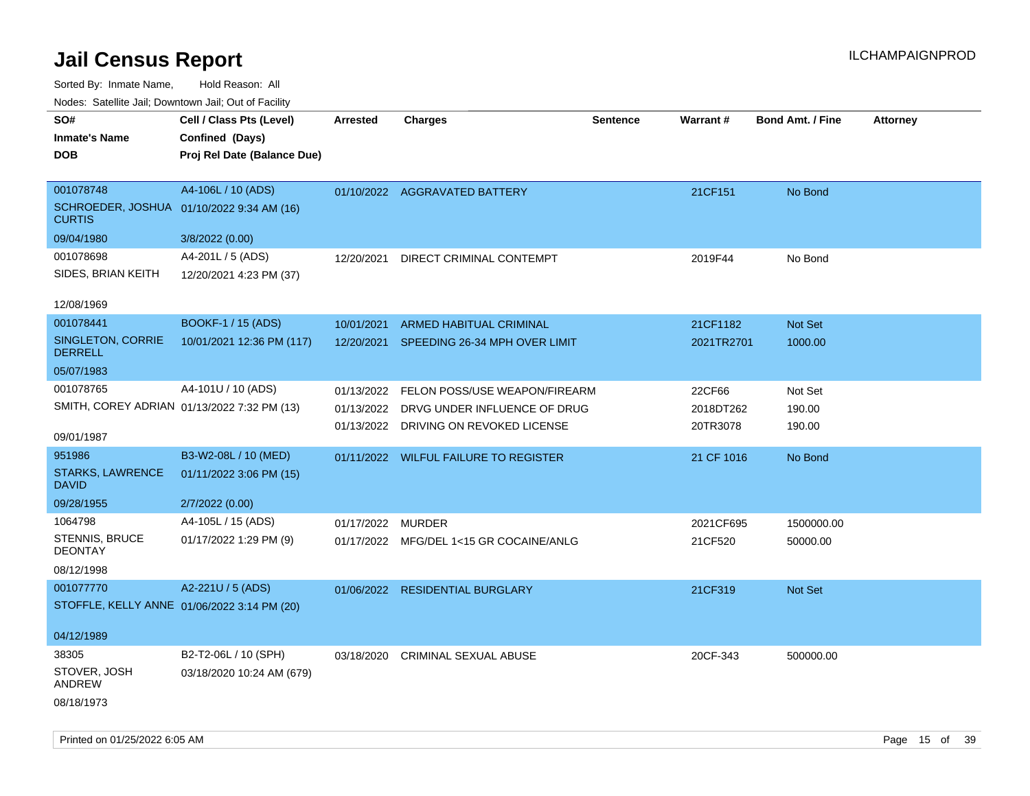| rouco. Calcinic Jan, Downtown Jan, Out of Facility         |                             |                 |                                         |                 |                 |                         |                 |
|------------------------------------------------------------|-----------------------------|-----------------|-----------------------------------------|-----------------|-----------------|-------------------------|-----------------|
| SO#                                                        | Cell / Class Pts (Level)    | <b>Arrested</b> | <b>Charges</b>                          | <b>Sentence</b> | <b>Warrant#</b> | <b>Bond Amt. / Fine</b> | <b>Attorney</b> |
| <b>Inmate's Name</b>                                       | Confined (Days)             |                 |                                         |                 |                 |                         |                 |
| <b>DOB</b>                                                 | Proj Rel Date (Balance Due) |                 |                                         |                 |                 |                         |                 |
|                                                            |                             |                 |                                         |                 |                 |                         |                 |
| 001078748                                                  | A4-106L / 10 (ADS)          |                 | 01/10/2022 AGGRAVATED BATTERY           |                 | 21CF151         | No Bond                 |                 |
| SCHROEDER, JOSHUA 01/10/2022 9:34 AM (16)<br><b>CURTIS</b> |                             |                 |                                         |                 |                 |                         |                 |
| 09/04/1980                                                 | 3/8/2022 (0.00)             |                 |                                         |                 |                 |                         |                 |
| 001078698                                                  | A4-201L / 5 (ADS)           | 12/20/2021      | DIRECT CRIMINAL CONTEMPT                |                 | 2019F44         | No Bond                 |                 |
| SIDES, BRIAN KEITH                                         | 12/20/2021 4:23 PM (37)     |                 |                                         |                 |                 |                         |                 |
|                                                            |                             |                 |                                         |                 |                 |                         |                 |
| 12/08/1969                                                 |                             |                 |                                         |                 |                 |                         |                 |
| 001078441                                                  | <b>BOOKF-1 / 15 (ADS)</b>   | 10/01/2021      | ARMED HABITUAL CRIMINAL                 |                 | 21CF1182        | Not Set                 |                 |
| SINGLETON, CORRIE<br><b>DERRELL</b>                        | 10/01/2021 12:36 PM (117)   | 12/20/2021      | SPEEDING 26-34 MPH OVER LIMIT           |                 | 2021TR2701      | 1000.00                 |                 |
| 05/07/1983                                                 |                             |                 |                                         |                 |                 |                         |                 |
| 001078765                                                  | A4-101U / 10 (ADS)          | 01/13/2022      | FELON POSS/USE WEAPON/FIREARM           |                 | 22CF66          | Not Set                 |                 |
| SMITH, COREY ADRIAN 01/13/2022 7:32 PM (13)                |                             | 01/13/2022      | DRVG UNDER INFLUENCE OF DRUG            |                 | 2018DT262       | 190.00                  |                 |
|                                                            |                             | 01/13/2022      | DRIVING ON REVOKED LICENSE              |                 | 20TR3078        | 190.00                  |                 |
| 09/01/1987                                                 |                             |                 |                                         |                 |                 |                         |                 |
| 951986                                                     | B3-W2-08L / 10 (MED)        |                 | 01/11/2022 WILFUL FAILURE TO REGISTER   |                 | 21 CF 1016      | No Bond                 |                 |
| <b>STARKS, LAWRENCE</b><br><b>DAVID</b>                    | 01/11/2022 3:06 PM (15)     |                 |                                         |                 |                 |                         |                 |
| 09/28/1955                                                 | 2/7/2022 (0.00)             |                 |                                         |                 |                 |                         |                 |
| 1064798                                                    | A4-105L / 15 (ADS)          | 01/17/2022      | <b>MURDER</b>                           |                 | 2021CF695       | 1500000.00              |                 |
| <b>STENNIS, BRUCE</b><br><b>DEONTAY</b>                    | 01/17/2022 1:29 PM (9)      |                 | 01/17/2022 MFG/DEL 1<15 GR COCAINE/ANLG |                 | 21CF520         | 50000.00                |                 |
| 08/12/1998                                                 |                             |                 |                                         |                 |                 |                         |                 |
| 001077770                                                  | A2-221U / 5 (ADS)           |                 | 01/06/2022 RESIDENTIAL BURGLARY         |                 | 21CF319         | Not Set                 |                 |
| STOFFLE, KELLY ANNE 01/06/2022 3:14 PM (20)                |                             |                 |                                         |                 |                 |                         |                 |
|                                                            |                             |                 |                                         |                 |                 |                         |                 |
| 04/12/1989                                                 |                             |                 |                                         |                 |                 |                         |                 |
| 38305                                                      | B2-T2-06L / 10 (SPH)        | 03/18/2020      | <b>CRIMINAL SEXUAL ABUSE</b>            |                 | 20CF-343        | 500000.00               |                 |
| STOVER, JOSH<br>ANDREW                                     | 03/18/2020 10:24 AM (679)   |                 |                                         |                 |                 |                         |                 |
| 08/18/1973                                                 |                             |                 |                                         |                 |                 |                         |                 |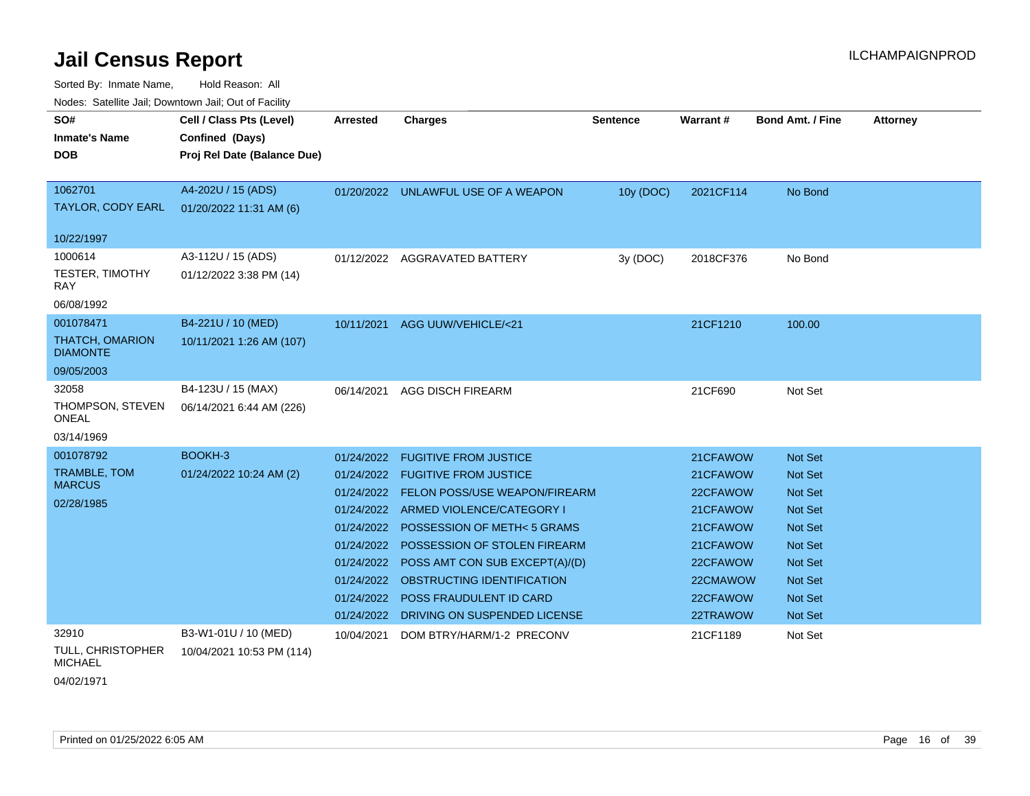Sorted By: Inmate Name, Hold Reason: All

Nodes: Satellite Jail; Downtown Jail; Out of Facility

| SO#<br><b>Inmate's Name</b><br><b>DOB</b> | Cell / Class Pts (Level)<br>Confined (Days)<br>Proj Rel Date (Balance Due) | Arrested   | <b>Charges</b>                           | <b>Sentence</b> | <b>Warrant#</b> | <b>Bond Amt. / Fine</b> | <b>Attorney</b> |
|-------------------------------------------|----------------------------------------------------------------------------|------------|------------------------------------------|-----------------|-----------------|-------------------------|-----------------|
| 1062701<br>TAYLOR, CODY EARL              | A4-202U / 15 (ADS)<br>01/20/2022 11:31 AM (6)                              |            | 01/20/2022 UNLAWFUL USE OF A WEAPON      | 10y (DOC)       | 2021CF114       | No Bond                 |                 |
| 10/22/1997                                |                                                                            |            |                                          |                 |                 |                         |                 |
| 1000614                                   | A3-112U / 15 (ADS)                                                         |            | 01/12/2022 AGGRAVATED BATTERY            | 3y (DOC)        | 2018CF376       | No Bond                 |                 |
| <b>TESTER, TIMOTHY</b><br><b>RAY</b>      | 01/12/2022 3:38 PM (14)                                                    |            |                                          |                 |                 |                         |                 |
| 06/08/1992                                |                                                                            |            |                                          |                 |                 |                         |                 |
| 001078471                                 | B4-221U / 10 (MED)                                                         | 10/11/2021 | AGG UUW/VEHICLE/<21                      |                 | 21CF1210        | 100.00                  |                 |
| <b>THATCH, OMARION</b><br><b>DIAMONTE</b> | 10/11/2021 1:26 AM (107)                                                   |            |                                          |                 |                 |                         |                 |
| 09/05/2003                                |                                                                            |            |                                          |                 |                 |                         |                 |
| 32058                                     | B4-123U / 15 (MAX)                                                         | 06/14/2021 | <b>AGG DISCH FIREARM</b>                 |                 | 21CF690         | Not Set                 |                 |
| THOMPSON, STEVEN<br><b>ONEAL</b>          | 06/14/2021 6:44 AM (226)                                                   |            |                                          |                 |                 |                         |                 |
| 03/14/1969                                |                                                                            |            |                                          |                 |                 |                         |                 |
| 001078792                                 | BOOKH-3                                                                    | 01/24/2022 | <b>FUGITIVE FROM JUSTICE</b>             |                 | 21CFAWOW        | Not Set                 |                 |
| <b>TRAMBLE, TOM</b>                       | 01/24/2022 10:24 AM (2)                                                    |            | 01/24/2022 FUGITIVE FROM JUSTICE         |                 | 21CFAWOW        | Not Set                 |                 |
| <b>MARCUS</b>                             |                                                                            |            | 01/24/2022 FELON POSS/USE WEAPON/FIREARM |                 | 22CFAWOW        | <b>Not Set</b>          |                 |
| 02/28/1985                                |                                                                            | 01/24/2022 | ARMED VIOLENCE/CATEGORY I                |                 | 21CFAWOW        | Not Set                 |                 |
|                                           |                                                                            | 01/24/2022 | POSSESSION OF METH<5 GRAMS               |                 | 21CFAWOW        | Not Set                 |                 |
|                                           |                                                                            | 01/24/2022 | POSSESSION OF STOLEN FIREARM             |                 | 21CFAWOW        | <b>Not Set</b>          |                 |
|                                           |                                                                            | 01/24/2022 | POSS AMT CON SUB EXCEPT(A)/(D)           |                 | 22CFAWOW        | <b>Not Set</b>          |                 |
|                                           |                                                                            |            | 01/24/2022 OBSTRUCTING IDENTIFICATION    |                 | 22CMAWOW        | Not Set                 |                 |
|                                           |                                                                            | 01/24/2022 | <b>POSS FRAUDULENT ID CARD</b>           |                 | 22CFAWOW        | <b>Not Set</b>          |                 |
|                                           |                                                                            | 01/24/2022 | DRIVING ON SUSPENDED LICENSE             |                 | 22TRAWOW        | Not Set                 |                 |
| 32910                                     | B3-W1-01U / 10 (MED)                                                       | 10/04/2021 | DOM BTRY/HARM/1-2 PRECONV                |                 | 21CF1189        | Not Set                 |                 |
| TULL, CHRISTOPHER<br><b>MICHAEL</b>       | 10/04/2021 10:53 PM (114)                                                  |            |                                          |                 |                 |                         |                 |

04/02/1971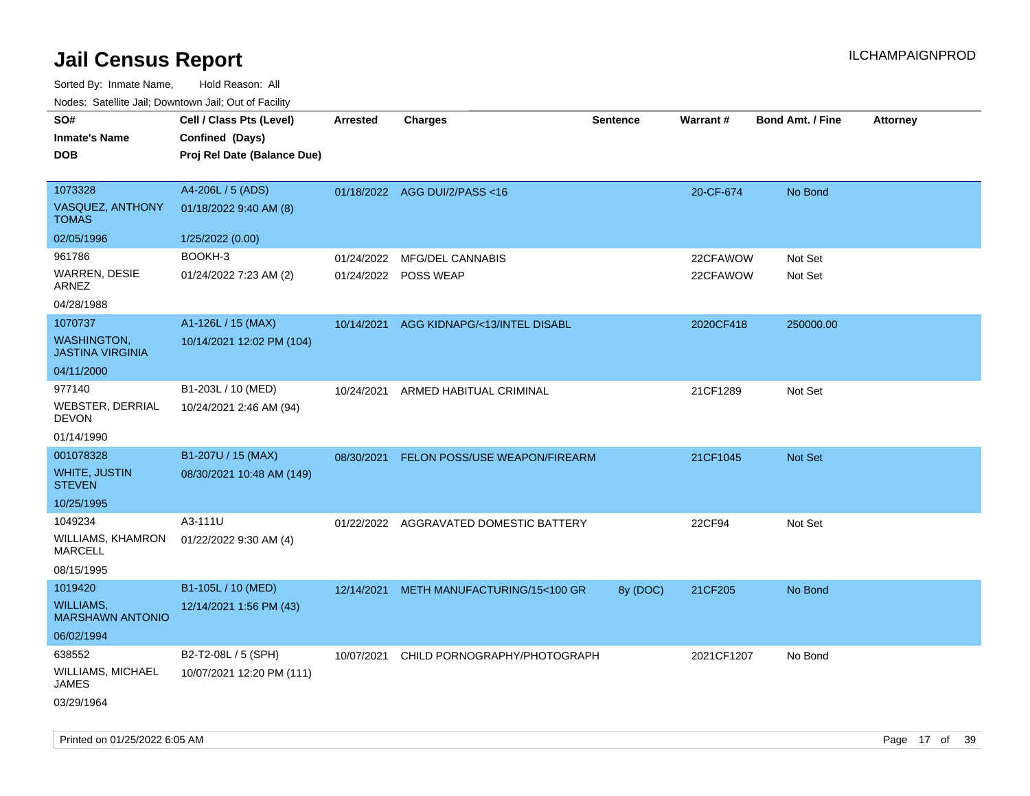| SO#                                           | Cell / Class Pts (Level)    | Arrested   | <b>Charges</b>                         | <b>Sentence</b> | <b>Warrant#</b> | <b>Bond Amt. / Fine</b> | <b>Attorney</b> |
|-----------------------------------------------|-----------------------------|------------|----------------------------------------|-----------------|-----------------|-------------------------|-----------------|
| <b>Inmate's Name</b>                          | Confined (Days)             |            |                                        |                 |                 |                         |                 |
| <b>DOB</b>                                    | Proj Rel Date (Balance Due) |            |                                        |                 |                 |                         |                 |
|                                               |                             |            |                                        |                 |                 |                         |                 |
| 1073328                                       | A4-206L / 5 (ADS)           |            | 01/18/2022 AGG DUI/2/PASS<16           |                 | 20-CF-674       | No Bond                 |                 |
| VASQUEZ, ANTHONY<br><b>TOMAS</b>              | 01/18/2022 9:40 AM (8)      |            |                                        |                 |                 |                         |                 |
| 02/05/1996                                    | 1/25/2022 (0.00)            |            |                                        |                 |                 |                         |                 |
| 961786                                        | BOOKH-3                     | 01/24/2022 | <b>MFG/DEL CANNABIS</b>                |                 | 22CFAWOW        | Not Set                 |                 |
| WARREN, DESIE<br>ARNEZ                        | 01/24/2022 7:23 AM (2)      |            | 01/24/2022 POSS WEAP                   |                 | 22CFAWOW        | Not Set                 |                 |
| 04/28/1988                                    |                             |            |                                        |                 |                 |                         |                 |
| 1070737                                       | A1-126L / 15 (MAX)          | 10/14/2021 | AGG KIDNAPG/<13/INTEL DISABL           |                 | 2020CF418       | 250000.00               |                 |
| <b>WASHINGTON,</b><br><b>JASTINA VIRGINIA</b> | 10/14/2021 12:02 PM (104)   |            |                                        |                 |                 |                         |                 |
| 04/11/2000                                    |                             |            |                                        |                 |                 |                         |                 |
| 977140                                        | B1-203L / 10 (MED)          | 10/24/2021 | ARMED HABITUAL CRIMINAL                |                 | 21CF1289        | Not Set                 |                 |
| WEBSTER, DERRIAL<br><b>DEVON</b>              | 10/24/2021 2:46 AM (94)     |            |                                        |                 |                 |                         |                 |
| 01/14/1990                                    |                             |            |                                        |                 |                 |                         |                 |
| 001078328                                     | B1-207U / 15 (MAX)          | 08/30/2021 | FELON POSS/USE WEAPON/FIREARM          |                 | 21CF1045        | Not Set                 |                 |
| <b>WHITE, JUSTIN</b><br><b>STEVEN</b>         | 08/30/2021 10:48 AM (149)   |            |                                        |                 |                 |                         |                 |
| 10/25/1995                                    |                             |            |                                        |                 |                 |                         |                 |
| 1049234                                       | A3-111U                     |            | 01/22/2022 AGGRAVATED DOMESTIC BATTERY |                 | 22CF94          | Not Set                 |                 |
| WILLIAMS, KHAMRON<br><b>MARCELL</b>           | 01/22/2022 9:30 AM (4)      |            |                                        |                 |                 |                         |                 |
| 08/15/1995                                    |                             |            |                                        |                 |                 |                         |                 |
| 1019420                                       | B1-105L / 10 (MED)          | 12/14/2021 | METH MANUFACTURING/15<100 GR           | 8y (DOC)        | 21CF205         | No Bond                 |                 |
| <b>WILLIAMS,</b><br><b>MARSHAWN ANTONIO</b>   | 12/14/2021 1:56 PM (43)     |            |                                        |                 |                 |                         |                 |
| 06/02/1994                                    |                             |            |                                        |                 |                 |                         |                 |
| 638552                                        | B2-T2-08L / 5 (SPH)         | 10/07/2021 | CHILD PORNOGRAPHY/PHOTOGRAPH           |                 | 2021CF1207      | No Bond                 |                 |
| WILLIAMS, MICHAEL<br>JAMES                    | 10/07/2021 12:20 PM (111)   |            |                                        |                 |                 |                         |                 |
| 03/29/1964                                    |                             |            |                                        |                 |                 |                         |                 |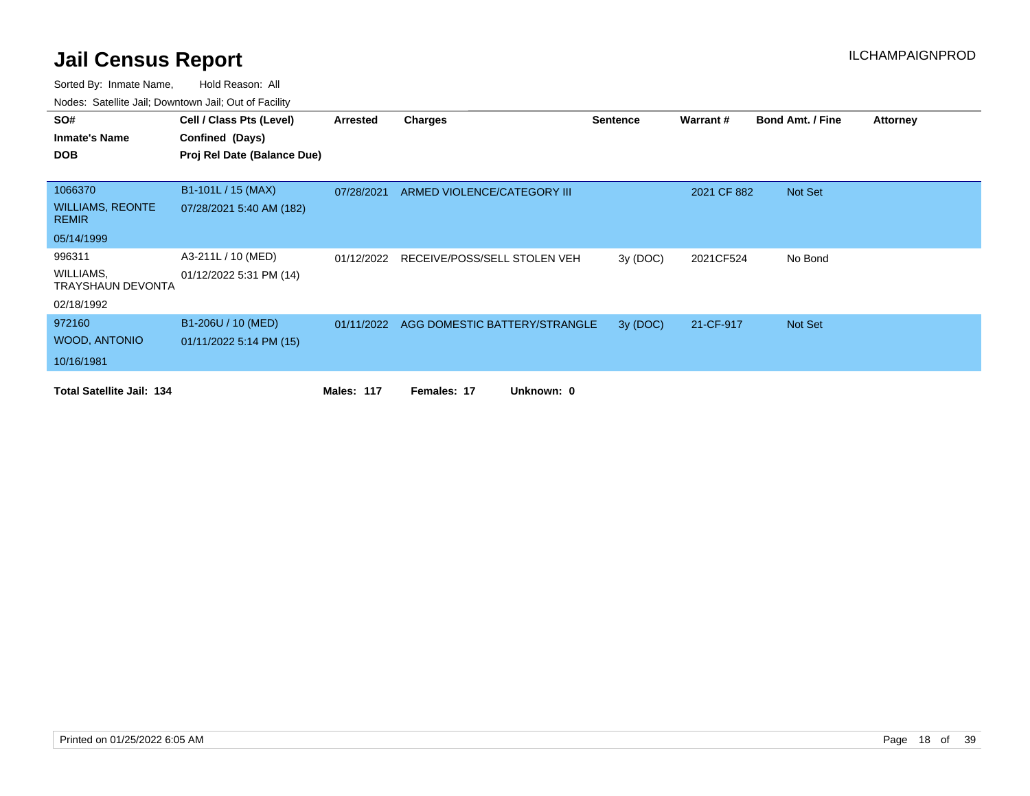| SO#                                     | Cell / Class Pts (Level)    | Arrested          | <b>Charges</b>                           | <b>Sentence</b> | Warrant#    | <b>Bond Amt. / Fine</b> | <b>Attorney</b> |
|-----------------------------------------|-----------------------------|-------------------|------------------------------------------|-----------------|-------------|-------------------------|-----------------|
| <b>Inmate's Name</b>                    | Confined (Days)             |                   |                                          |                 |             |                         |                 |
| <b>DOB</b>                              | Proj Rel Date (Balance Due) |                   |                                          |                 |             |                         |                 |
|                                         |                             |                   |                                          |                 |             |                         |                 |
| 1066370                                 | B1-101L / 15 (MAX)          | 07/28/2021        | ARMED VIOLENCE/CATEGORY III              |                 | 2021 CF 882 | Not Set                 |                 |
| <b>WILLIAMS, REONTE</b><br><b>REMIR</b> | 07/28/2021 5:40 AM (182)    |                   |                                          |                 |             |                         |                 |
| 05/14/1999                              |                             |                   |                                          |                 |             |                         |                 |
| 996311                                  | A3-211L / 10 (MED)          | 01/12/2022        | RECEIVE/POSS/SELL STOLEN VEH             | 3y(DOC)         | 2021CF524   | No Bond                 |                 |
| WILLIAMS,<br><b>TRAYSHAUN DEVONTA</b>   | 01/12/2022 5:31 PM (14)     |                   |                                          |                 |             |                         |                 |
| 02/18/1992                              |                             |                   |                                          |                 |             |                         |                 |
| 972160                                  | B1-206U / 10 (MED)          |                   | 01/11/2022 AGG DOMESTIC BATTERY/STRANGLE | 3y (DOC)        | 21-CF-917   | Not Set                 |                 |
| <b>WOOD, ANTONIO</b>                    | 01/11/2022 5:14 PM (15)     |                   |                                          |                 |             |                         |                 |
| 10/16/1981                              |                             |                   |                                          |                 |             |                         |                 |
| <b>Total Satellite Jail: 134</b>        |                             | <b>Males: 117</b> | Unknown: 0<br>Females: 17                |                 |             |                         |                 |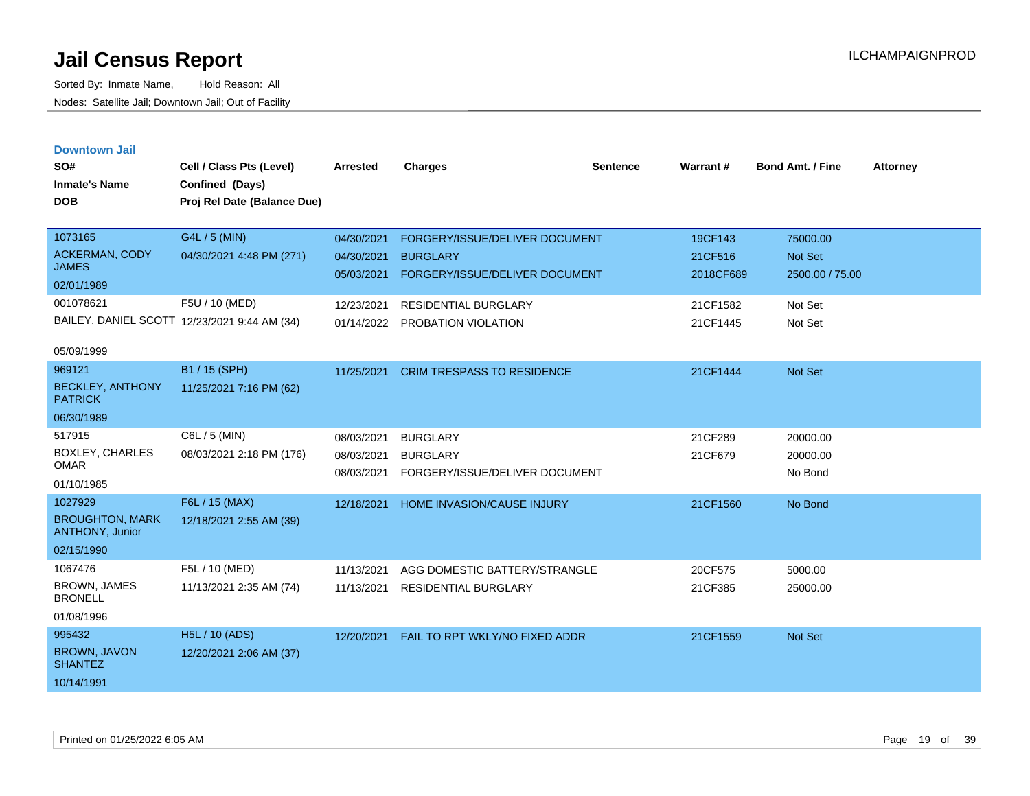| <b>Downtown Jail</b> |  |
|----------------------|--|
|                      |  |
|                      |  |

| SO#<br><b>Inmate's Name</b><br><b>DOB</b> | Cell / Class Pts (Level)<br>Confined (Days)<br>Proj Rel Date (Balance Due) | <b>Arrested</b> | <b>Charges</b>                    | <b>Sentence</b> | Warrant#  | Bond Amt. / Fine | <b>Attorney</b> |
|-------------------------------------------|----------------------------------------------------------------------------|-----------------|-----------------------------------|-----------------|-----------|------------------|-----------------|
| 1073165                                   | G4L / 5 (MIN)                                                              | 04/30/2021      | FORGERY/ISSUE/DELIVER DOCUMENT    |                 | 19CF143   | 75000.00         |                 |
| <b>ACKERMAN, CODY</b><br><b>JAMES</b>     | 04/30/2021 4:48 PM (271)                                                   | 04/30/2021      | <b>BURGLARY</b>                   |                 | 21CF516   | <b>Not Set</b>   |                 |
| 02/01/1989                                |                                                                            | 05/03/2021      | FORGERY/ISSUE/DELIVER DOCUMENT    |                 | 2018CF689 | 2500.00 / 75.00  |                 |
| 001078621                                 | F5U / 10 (MED)                                                             | 12/23/2021      | <b>RESIDENTIAL BURGLARY</b>       |                 | 21CF1582  | Not Set          |                 |
|                                           | BAILEY, DANIEL SCOTT 12/23/2021 9:44 AM (34)                               | 01/14/2022      | PROBATION VIOLATION               |                 | 21CF1445  | Not Set          |                 |
| 05/09/1999                                |                                                                            |                 |                                   |                 |           |                  |                 |
| 969121                                    | B1 / 15 (SPH)                                                              | 11/25/2021      | <b>CRIM TRESPASS TO RESIDENCE</b> |                 | 21CF1444  | <b>Not Set</b>   |                 |
| <b>BECKLEY, ANTHONY</b><br><b>PATRICK</b> | 11/25/2021 7:16 PM (62)                                                    |                 |                                   |                 |           |                  |                 |
| 06/30/1989                                |                                                                            |                 |                                   |                 |           |                  |                 |
| 517915                                    | C6L / 5 (MIN)                                                              | 08/03/2021      | <b>BURGLARY</b>                   |                 | 21CF289   | 20000.00         |                 |
| <b>BOXLEY, CHARLES</b><br><b>OMAR</b>     | 08/03/2021 2:18 PM (176)                                                   | 08/03/2021      | <b>BURGLARY</b>                   |                 | 21CF679   | 20000.00         |                 |
| 01/10/1985                                |                                                                            | 08/03/2021      | FORGERY/ISSUE/DELIVER DOCUMENT    |                 |           | No Bond          |                 |
| 1027929                                   | F6L / 15 (MAX)                                                             | 12/18/2021      | <b>HOME INVASION/CAUSE INJURY</b> |                 | 21CF1560  | No Bond          |                 |
| <b>BROUGHTON, MARK</b><br>ANTHONY, Junior | 12/18/2021 2:55 AM (39)                                                    |                 |                                   |                 |           |                  |                 |
| 02/15/1990                                |                                                                            |                 |                                   |                 |           |                  |                 |
| 1067476                                   | F5L / 10 (MED)                                                             | 11/13/2021      | AGG DOMESTIC BATTERY/STRANGLE     |                 | 20CF575   | 5000.00          |                 |
| <b>BROWN, JAMES</b><br><b>BRONELL</b>     | 11/13/2021 2:35 AM (74)                                                    | 11/13/2021      | <b>RESIDENTIAL BURGLARY</b>       |                 | 21CF385   | 25000.00         |                 |
| 01/08/1996                                |                                                                            |                 |                                   |                 |           |                  |                 |
| 995432                                    | <b>H5L / 10 (ADS)</b>                                                      | 12/20/2021      | FAIL TO RPT WKLY/NO FIXED ADDR    |                 | 21CF1559  | Not Set          |                 |
| <b>BROWN, JAVON</b><br><b>SHANTEZ</b>     | 12/20/2021 2:06 AM (37)                                                    |                 |                                   |                 |           |                  |                 |
| 10/14/1991                                |                                                                            |                 |                                   |                 |           |                  |                 |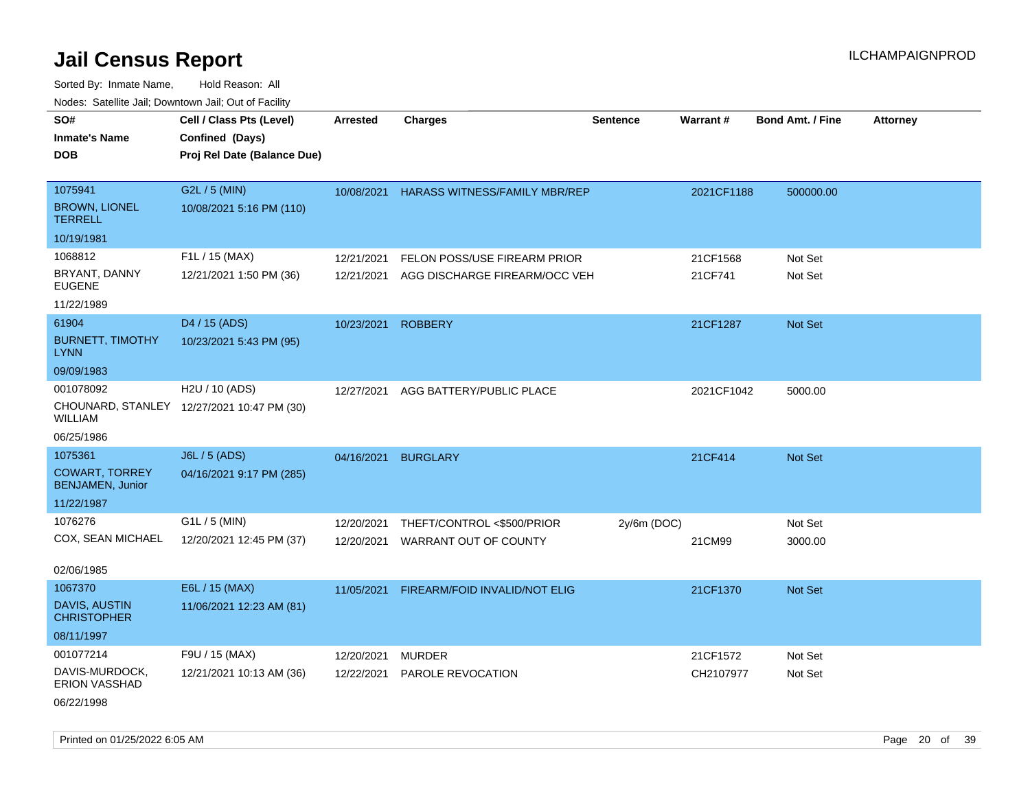Sorted By: Inmate Name, Hold Reason: All Nodes: Satellite Jail; Downtown Jail; Out of Facility

| roaco. Catolino cali, Domntonn cali, Out of Facility |                                                                            |                 |                                      |                 |            |                         |                 |
|------------------------------------------------------|----------------------------------------------------------------------------|-----------------|--------------------------------------|-----------------|------------|-------------------------|-----------------|
| SO#<br><b>Inmate's Name</b><br><b>DOB</b>            | Cell / Class Pts (Level)<br>Confined (Days)<br>Proj Rel Date (Balance Due) | <b>Arrested</b> | <b>Charges</b>                       | <b>Sentence</b> | Warrant#   | <b>Bond Amt. / Fine</b> | <b>Attorney</b> |
| 1075941<br><b>BROWN, LIONEL</b>                      | G2L / 5 (MIN)<br>10/08/2021 5:16 PM (110)                                  | 10/08/2021      | <b>HARASS WITNESS/FAMILY MBR/REP</b> |                 | 2021CF1188 | 500000.00               |                 |
| <b>TERRELL</b>                                       |                                                                            |                 |                                      |                 |            |                         |                 |
| 10/19/1981                                           |                                                                            |                 |                                      |                 |            |                         |                 |
| 1068812                                              | F1L / 15 (MAX)                                                             | 12/21/2021      | FELON POSS/USE FIREARM PRIOR         |                 | 21CF1568   | Not Set                 |                 |
| BRYANT, DANNY<br><b>EUGENE</b>                       | 12/21/2021 1:50 PM (36)                                                    | 12/21/2021      | AGG DISCHARGE FIREARM/OCC VEH        |                 | 21CF741    | Not Set                 |                 |
| 11/22/1989                                           |                                                                            |                 |                                      |                 |            |                         |                 |
| 61904                                                | D4 / 15 (ADS)                                                              | 10/23/2021      | <b>ROBBERY</b>                       |                 | 21CF1287   | <b>Not Set</b>          |                 |
| <b>BURNETT, TIMOTHY</b><br><b>LYNN</b>               | 10/23/2021 5:43 PM (95)                                                    |                 |                                      |                 |            |                         |                 |
| 09/09/1983                                           |                                                                            |                 |                                      |                 |            |                         |                 |
| 001078092                                            | H2U / 10 (ADS)                                                             | 12/27/2021      | AGG BATTERY/PUBLIC PLACE             |                 | 2021CF1042 | 5000.00                 |                 |
| WILLIAM                                              | CHOUNARD, STANLEY 12/27/2021 10:47 PM (30)                                 |                 |                                      |                 |            |                         |                 |
| 06/25/1986                                           |                                                                            |                 |                                      |                 |            |                         |                 |
| 1075361                                              | <b>J6L / 5 (ADS)</b>                                                       | 04/16/2021      | <b>BURGLARY</b>                      |                 | 21CF414    | Not Set                 |                 |
| <b>COWART, TORREY</b><br><b>BENJAMEN, Junior</b>     | 04/16/2021 9:17 PM (285)                                                   |                 |                                      |                 |            |                         |                 |
| 11/22/1987                                           |                                                                            |                 |                                      |                 |            |                         |                 |
| 1076276                                              | G1L / 5 (MIN)                                                              | 12/20/2021      | THEFT/CONTROL <\$500/PRIOR           | $2y/6m$ (DOC)   |            | Not Set                 |                 |
| COX, SEAN MICHAEL                                    | 12/20/2021 12:45 PM (37)                                                   | 12/20/2021      | WARRANT OUT OF COUNTY                |                 | 21CM99     | 3000.00                 |                 |
| 02/06/1985                                           |                                                                            |                 |                                      |                 |            |                         |                 |
| 1067370                                              | E6L / 15 (MAX)                                                             | 11/05/2021      | FIREARM/FOID INVALID/NOT ELIG        |                 | 21CF1370   | <b>Not Set</b>          |                 |
| DAVIS, AUSTIN<br><b>CHRISTOPHER</b>                  | 11/06/2021 12:23 AM (81)                                                   |                 |                                      |                 |            |                         |                 |
| 08/11/1997                                           |                                                                            |                 |                                      |                 |            |                         |                 |
| 001077214                                            | F9U / 15 (MAX)                                                             | 12/20/2021      | <b>MURDER</b>                        |                 | 21CF1572   | Not Set                 |                 |
| DAVIS-MURDOCK,<br><b>ERION VASSHAD</b>               | 12/21/2021 10:13 AM (36)                                                   | 12/22/2021      | PAROLE REVOCATION                    |                 | CH2107977  | Not Set                 |                 |

06/22/1998

Printed on 01/25/2022 6:05 AM Page 20 of 39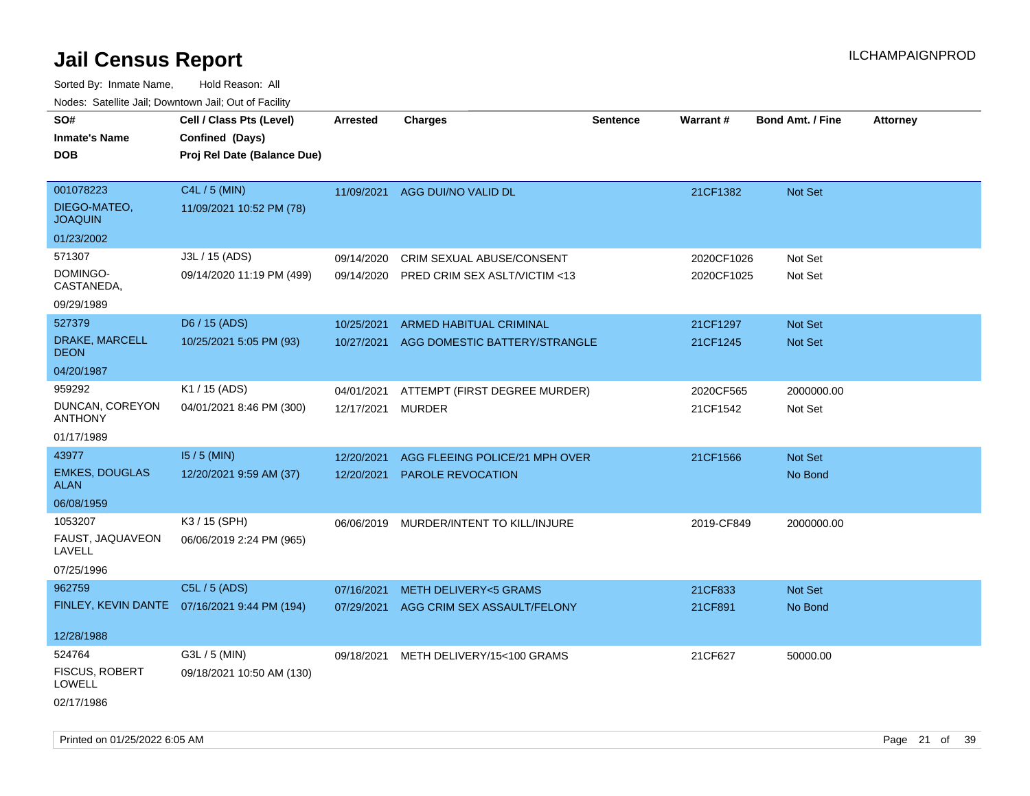Sorted By: Inmate Name, Hold Reason: All Nodes: Satellite Jail; Downtown Jail; Out of Facility

| SO#<br><b>Inmate's Name</b><br><b>DOB</b>                   | Cell / Class Pts (Level)<br>Confined (Days)<br>Proj Rel Date (Balance Due) | Arrested                        | <b>Charges</b>                                                       | <b>Sentence</b> | Warrant#                 | <b>Bond Amt. / Fine</b>   | <b>Attorney</b> |
|-------------------------------------------------------------|----------------------------------------------------------------------------|---------------------------------|----------------------------------------------------------------------|-----------------|--------------------------|---------------------------|-----------------|
| 001078223<br>DIEGO-MATEO,<br><b>JOAQUIN</b>                 | C4L / 5 (MIN)<br>11/09/2021 10:52 PM (78)                                  | 11/09/2021                      | AGG DUI/NO VALID DL                                                  |                 | 21CF1382                 | Not Set                   |                 |
| 01/23/2002                                                  |                                                                            |                                 |                                                                      |                 |                          |                           |                 |
| 571307<br>DOMINGO-<br>CASTANEDA,                            | J3L / 15 (ADS)<br>09/14/2020 11:19 PM (499)                                | 09/14/2020<br>09/14/2020        | CRIM SEXUAL ABUSE/CONSENT<br><b>PRED CRIM SEX ASLT/VICTIM &lt;13</b> |                 | 2020CF1026<br>2020CF1025 | Not Set<br>Not Set        |                 |
| 09/29/1989                                                  |                                                                            |                                 |                                                                      |                 |                          |                           |                 |
| 527379<br>DRAKE, MARCELL<br><b>DEON</b>                     | D6 / 15 (ADS)<br>10/25/2021 5:05 PM (93)                                   | 10/25/2021<br>10/27/2021        | <b>ARMED HABITUAL CRIMINAL</b><br>AGG DOMESTIC BATTERY/STRANGLE      |                 | 21CF1297<br>21CF1245     | Not Set<br>Not Set        |                 |
| 04/20/1987                                                  |                                                                            |                                 |                                                                      |                 |                          |                           |                 |
| 959292<br>DUNCAN, COREYON<br><b>ANTHONY</b>                 | K1 / 15 (ADS)<br>04/01/2021 8:46 PM (300)                                  | 04/01/2021<br>12/17/2021 MURDER | ATTEMPT (FIRST DEGREE MURDER)                                        |                 | 2020CF565<br>21CF1542    | 2000000.00<br>Not Set     |                 |
| 01/17/1989                                                  |                                                                            |                                 |                                                                      |                 |                          |                           |                 |
| 43977<br><b>EMKES, DOUGLAS</b><br><b>ALAN</b><br>06/08/1959 | $15/5$ (MIN)<br>12/20/2021 9:59 AM (37)                                    | 12/20/2021<br>12/20/2021        | AGG FLEEING POLICE/21 MPH OVER<br><b>PAROLE REVOCATION</b>           |                 | 21CF1566                 | Not Set<br>No Bond        |                 |
| 1053207                                                     | K3 / 15 (SPH)                                                              |                                 |                                                                      |                 |                          |                           |                 |
| FAUST, JAQUAVEON<br>LAVELL                                  | 06/06/2019 2:24 PM (965)                                                   |                                 | 06/06/2019 MURDER/INTENT TO KILL/INJURE                              |                 | 2019-CF849               | 2000000.00                |                 |
| 07/25/1996                                                  |                                                                            |                                 |                                                                      |                 |                          |                           |                 |
| 962759                                                      | C5L / 5 (ADS)<br>FINLEY, KEVIN DANTE  07/16/2021 9:44 PM (194)             | 07/16/2021<br>07/29/2021        | <b>METH DELIVERY&lt;5 GRAMS</b><br>AGG CRIM SEX ASSAULT/FELONY       |                 | 21CF833<br>21CF891       | <b>Not Set</b><br>No Bond |                 |
| 12/28/1988                                                  |                                                                            |                                 |                                                                      |                 |                          |                           |                 |
| 524764<br><b>FISCUS, ROBERT</b><br>LOWELL<br>02/17/1986     | G3L / 5 (MIN)<br>09/18/2021 10:50 AM (130)                                 | 09/18/2021                      | METH DELIVERY/15<100 GRAMS                                           |                 | 21CF627                  | 50000.00                  |                 |

Printed on 01/25/2022 6:05 AM Page 21 of 39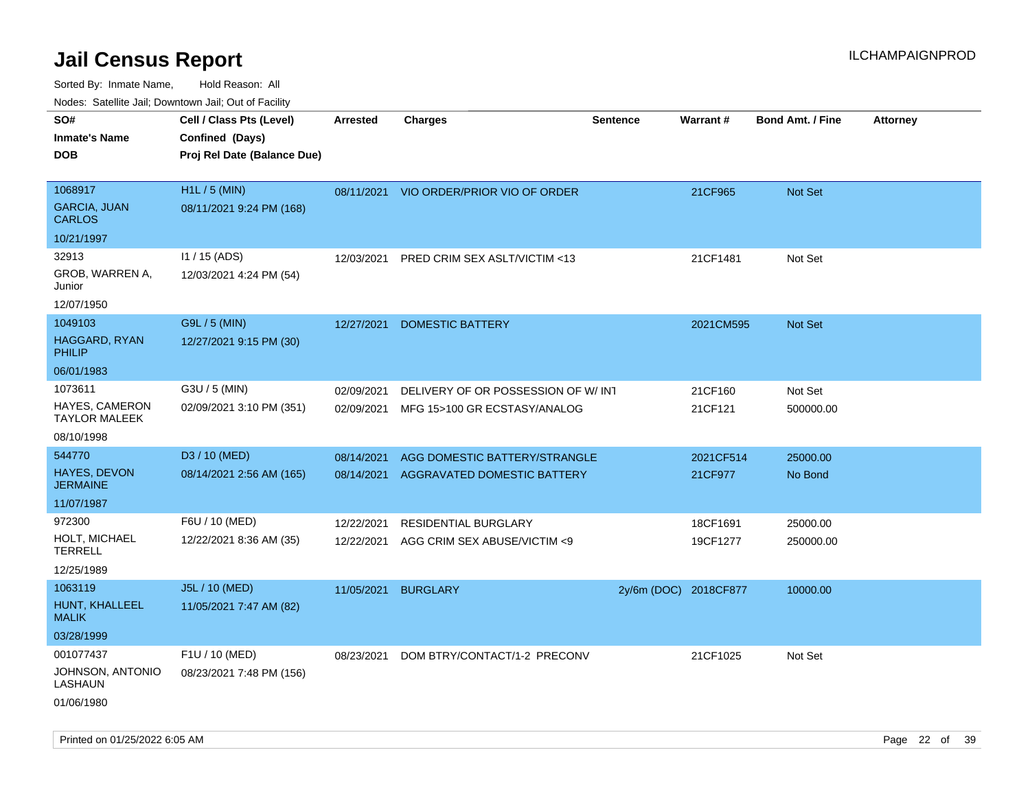Sorted By: Inmate Name, Hold Reason: All Nodes: Satellite Jail; Downtown Jail; Out of Facility

| Noues. Salemie Jan, Downlown Jan, Out of Facility |                             |            |                                         |                       |           |                         |                 |
|---------------------------------------------------|-----------------------------|------------|-----------------------------------------|-----------------------|-----------|-------------------------|-----------------|
| SO#                                               | Cell / Class Pts (Level)    | Arrested   | <b>Charges</b>                          | <b>Sentence</b>       | Warrant#  | <b>Bond Amt. / Fine</b> | <b>Attorney</b> |
| <b>Inmate's Name</b>                              | Confined (Days)             |            |                                         |                       |           |                         |                 |
| DOB                                               | Proj Rel Date (Balance Due) |            |                                         |                       |           |                         |                 |
|                                                   |                             |            |                                         |                       |           |                         |                 |
| 1068917                                           | H1L / 5 (MIN)               |            | 08/11/2021 VIO ORDER/PRIOR VIO OF ORDER |                       | 21CF965   | Not Set                 |                 |
| <b>GARCIA, JUAN</b><br><b>CARLOS</b>              | 08/11/2021 9:24 PM (168)    |            |                                         |                       |           |                         |                 |
| 10/21/1997                                        |                             |            |                                         |                       |           |                         |                 |
| 32913                                             | I1 / 15 (ADS)               | 12/03/2021 | PRED CRIM SEX ASLT/VICTIM <13           |                       | 21CF1481  | Not Set                 |                 |
| GROB, WARREN A,<br>Junior                         | 12/03/2021 4:24 PM (54)     |            |                                         |                       |           |                         |                 |
| 12/07/1950                                        |                             |            |                                         |                       |           |                         |                 |
| 1049103                                           | G9L / 5 (MIN)               | 12/27/2021 | <b>DOMESTIC BATTERY</b>                 |                       | 2021CM595 | <b>Not Set</b>          |                 |
| HAGGARD, RYAN<br>PHILIP                           | 12/27/2021 9:15 PM (30)     |            |                                         |                       |           |                         |                 |
| 06/01/1983                                        |                             |            |                                         |                       |           |                         |                 |
| 1073611                                           | G3U / 5 (MIN)               | 02/09/2021 | DELIVERY OF OR POSSESSION OF W/INT      |                       | 21CF160   | Not Set                 |                 |
| HAYES, CAMERON<br><b>TAYLOR MALEEK</b>            | 02/09/2021 3:10 PM (351)    | 02/09/2021 | MFG 15>100 GR ECSTASY/ANALOG            |                       | 21CF121   | 500000.00               |                 |
| 08/10/1998                                        |                             |            |                                         |                       |           |                         |                 |
| 544770                                            | D3 / 10 (MED)               | 08/14/2021 | AGG DOMESTIC BATTERY/STRANGLE           |                       | 2021CF514 | 25000.00                |                 |
| HAYES, DEVON<br><b>JERMAINE</b>                   | 08/14/2021 2:56 AM (165)    | 08/14/2021 | <b>AGGRAVATED DOMESTIC BATTERY</b>      |                       | 21CF977   | No Bond                 |                 |
| 11/07/1987                                        |                             |            |                                         |                       |           |                         |                 |
| 972300                                            | F6U / 10 (MED)              | 12/22/2021 | RESIDENTIAL BURGLARY                    |                       | 18CF1691  | 25000.00                |                 |
| HOLT, MICHAEL<br><b>TERRELL</b>                   | 12/22/2021 8:36 AM (35)     | 12/22/2021 | AGG CRIM SEX ABUSE/VICTIM <9            |                       | 19CF1277  | 250000.00               |                 |
| 12/25/1989                                        |                             |            |                                         |                       |           |                         |                 |
| 1063119                                           | J5L / 10 (MED)              | 11/05/2021 | <b>BURGLARY</b>                         | 2y/6m (DOC) 2018CF877 |           | 10000.00                |                 |
| HUNT, KHALLEEL<br><b>MALIK</b>                    | 11/05/2021 7:47 AM (82)     |            |                                         |                       |           |                         |                 |
| 03/28/1999                                        |                             |            |                                         |                       |           |                         |                 |
| 001077437                                         | F1U / 10 (MED)              | 08/23/2021 | DOM BTRY/CONTACT/1-2 PRECONV            |                       | 21CF1025  | Not Set                 |                 |
| JOHNSON, ANTONIO<br>LASHAUN                       | 08/23/2021 7:48 PM (156)    |            |                                         |                       |           |                         |                 |
| 01/06/1980                                        |                             |            |                                         |                       |           |                         |                 |

Printed on 01/25/2022 6:05 AM Page 22 of 39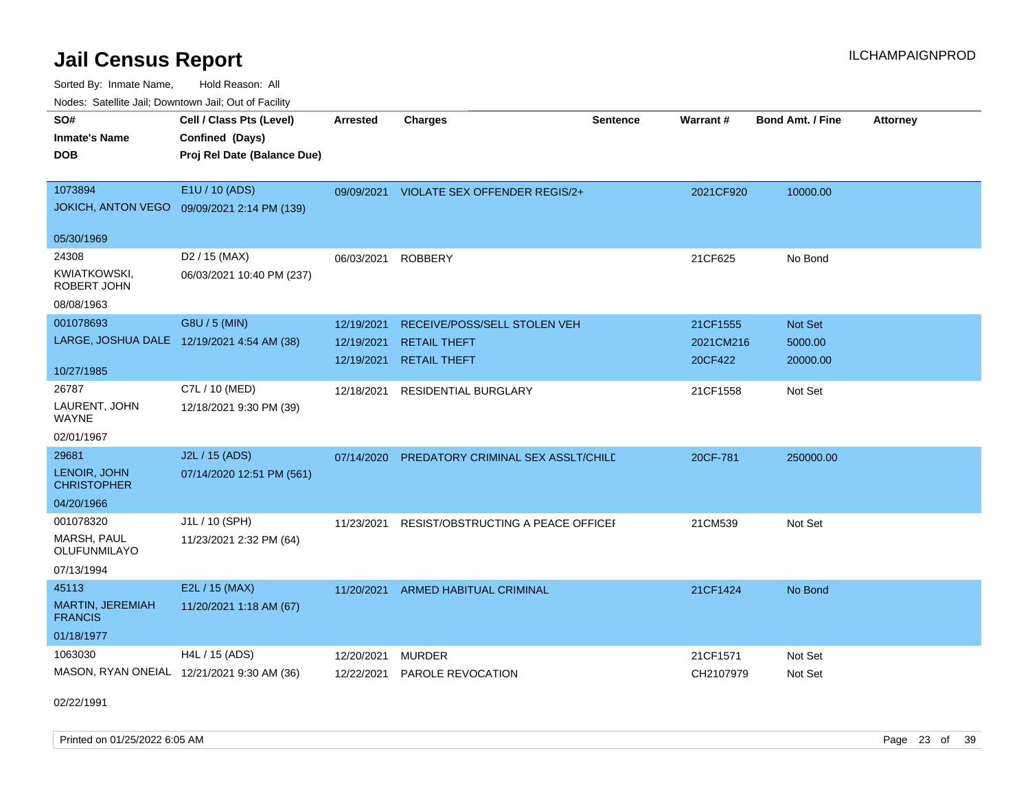Sorted By: Inmate Name, Hold Reason: All Nodes: Satellite Jail; Downtown Jail; Out of Facility

| rougs. Calcing Jan, Downtown Jan, Out of Facility |                                                |                 |                                          |                 |                 |                         |                 |
|---------------------------------------------------|------------------------------------------------|-----------------|------------------------------------------|-----------------|-----------------|-------------------------|-----------------|
| SO#<br><b>Inmate's Name</b>                       | Cell / Class Pts (Level)                       | <b>Arrested</b> | <b>Charges</b>                           | <b>Sentence</b> | <b>Warrant#</b> | <b>Bond Amt. / Fine</b> | <b>Attorney</b> |
| <b>DOB</b>                                        | Confined (Days)<br>Proj Rel Date (Balance Due) |                 |                                          |                 |                 |                         |                 |
|                                                   |                                                |                 |                                          |                 |                 |                         |                 |
| 1073894                                           | E1U / 10 (ADS)                                 |                 | 09/09/2021 VIOLATE SEX OFFENDER REGIS/2+ |                 | 2021CF920       | 10000.00                |                 |
|                                                   | JOKICH, ANTON VEGO 09/09/2021 2:14 PM (139)    |                 |                                          |                 |                 |                         |                 |
| 05/30/1969                                        |                                                |                 |                                          |                 |                 |                         |                 |
| 24308                                             | D2 / 15 (MAX)                                  | 06/03/2021      | <b>ROBBERY</b>                           |                 | 21CF625         | No Bond                 |                 |
| KWIATKOWSKI,<br>ROBERT JOHN                       | 06/03/2021 10:40 PM (237)                      |                 |                                          |                 |                 |                         |                 |
| 08/08/1963                                        |                                                |                 |                                          |                 |                 |                         |                 |
| 001078693                                         | G8U / 5 (MIN)                                  | 12/19/2021      | RECEIVE/POSS/SELL STOLEN VEH             |                 | 21CF1555        | Not Set                 |                 |
| LARGE, JOSHUA DALE 12/19/2021 4:54 AM (38)        |                                                | 12/19/2021      | <b>RETAIL THEFT</b>                      |                 | 2021CM216       | 5000.00                 |                 |
| 10/27/1985                                        |                                                | 12/19/2021      | <b>RETAIL THEFT</b>                      |                 | 20CF422         | 20000.00                |                 |
| 26787                                             | C7L / 10 (MED)                                 | 12/18/2021      | <b>RESIDENTIAL BURGLARY</b>              |                 | 21CF1558        | Not Set                 |                 |
| LAURENT, JOHN<br>WAYNE                            | 12/18/2021 9:30 PM (39)                        |                 |                                          |                 |                 |                         |                 |
| 02/01/1967                                        |                                                |                 |                                          |                 |                 |                         |                 |
| 29681                                             | J2L / 15 (ADS)                                 | 07/14/2020      | PREDATORY CRIMINAL SEX ASSLT/CHILD       |                 | 20CF-781        | 250000.00               |                 |
| LENOIR, JOHN<br><b>CHRISTOPHER</b>                | 07/14/2020 12:51 PM (561)                      |                 |                                          |                 |                 |                         |                 |
| 04/20/1966                                        |                                                |                 |                                          |                 |                 |                         |                 |
| 001078320                                         | J1L / 10 (SPH)                                 | 11/23/2021      | RESIST/OBSTRUCTING A PEACE OFFICEL       |                 | 21CM539         | Not Set                 |                 |
| MARSH, PAUL<br><b>OLUFUNMILAYO</b>                | 11/23/2021 2:32 PM (64)                        |                 |                                          |                 |                 |                         |                 |
| 07/13/1994                                        |                                                |                 |                                          |                 |                 |                         |                 |
| 45113                                             | E2L / 15 (MAX)                                 | 11/20/2021      | ARMED HABITUAL CRIMINAL                  |                 | 21CF1424        | No Bond                 |                 |
| <b>MARTIN, JEREMIAH</b><br><b>FRANCIS</b>         | 11/20/2021 1:18 AM (67)                        |                 |                                          |                 |                 |                         |                 |
| 01/18/1977                                        |                                                |                 |                                          |                 |                 |                         |                 |
| 1063030                                           | H4L / 15 (ADS)                                 | 12/20/2021      | <b>MURDER</b>                            |                 | 21CF1571        | Not Set                 |                 |
| MASON, RYAN ONEIAL 12/21/2021 9:30 AM (36)        |                                                | 12/22/2021      | PAROLE REVOCATION                        |                 | CH2107979       | Not Set                 |                 |

02/22/1991

Printed on 01/25/2022 6:05 AM Page 23 of 39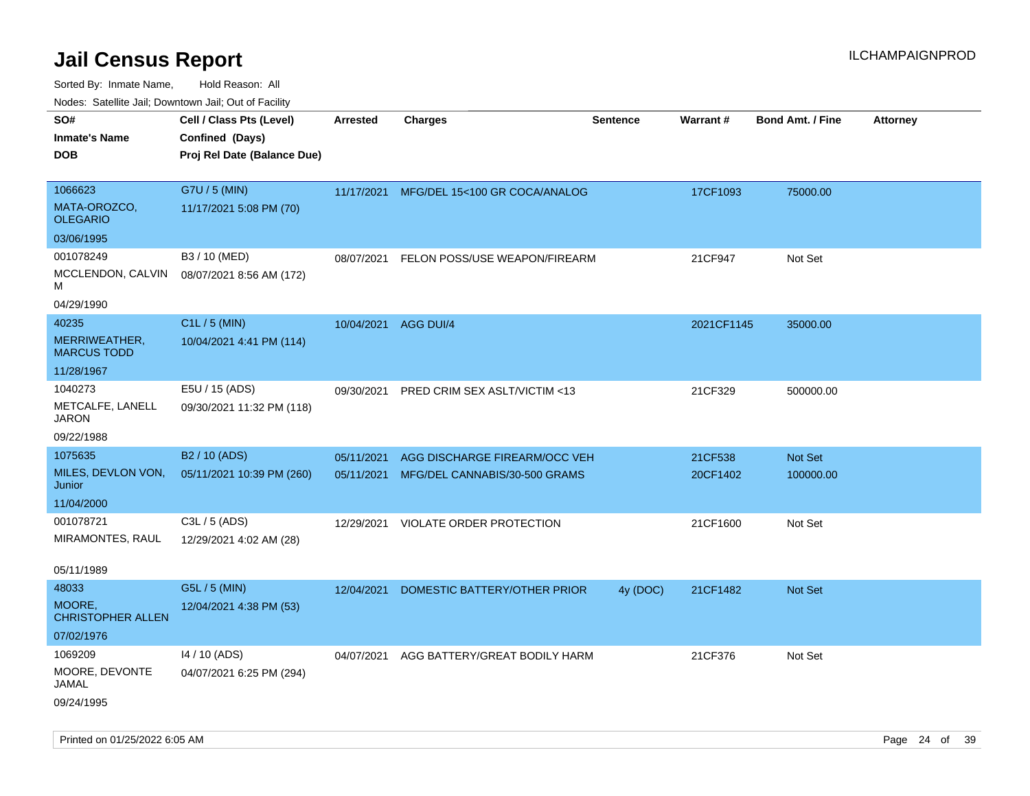Sorted By: Inmate Name, Hold Reason: All

| Nodes: Satellite Jail; Downtown Jail; Out of Facility |                             |                 |                               |                 |            |                         |                 |
|-------------------------------------------------------|-----------------------------|-----------------|-------------------------------|-----------------|------------|-------------------------|-----------------|
| SO#                                                   | Cell / Class Pts (Level)    | <b>Arrested</b> | <b>Charges</b>                | <b>Sentence</b> | Warrant#   | <b>Bond Amt. / Fine</b> | <b>Attorney</b> |
| <b>Inmate's Name</b>                                  | Confined (Days)             |                 |                               |                 |            |                         |                 |
| <b>DOB</b>                                            | Proj Rel Date (Balance Due) |                 |                               |                 |            |                         |                 |
|                                                       |                             |                 |                               |                 |            |                         |                 |
| 1066623                                               | G7U / 5 (MIN)               | 11/17/2021      | MFG/DEL 15<100 GR COCA/ANALOG |                 | 17CF1093   | 75000.00                |                 |
| MATA-OROZCO,<br><b>OLEGARIO</b>                       | 11/17/2021 5:08 PM (70)     |                 |                               |                 |            |                         |                 |
| 03/06/1995                                            |                             |                 |                               |                 |            |                         |                 |
| 001078249                                             | B3 / 10 (MED)               | 08/07/2021      | FELON POSS/USE WEAPON/FIREARM |                 | 21CF947    | Not Set                 |                 |
| MCCLENDON, CALVIN<br>M                                | 08/07/2021 8:56 AM (172)    |                 |                               |                 |            |                         |                 |
| 04/29/1990                                            |                             |                 |                               |                 |            |                         |                 |
| 40235                                                 | C1L / 5 (MIN)               | 10/04/2021      | AGG DUI/4                     |                 | 2021CF1145 | 35000.00                |                 |
| MERRIWEATHER,<br><b>MARCUS TODD</b>                   | 10/04/2021 4:41 PM (114)    |                 |                               |                 |            |                         |                 |
| 11/28/1967                                            |                             |                 |                               |                 |            |                         |                 |
| 1040273                                               | E5U / 15 (ADS)              | 09/30/2021      | PRED CRIM SEX ASLT/VICTIM <13 |                 | 21CF329    | 500000.00               |                 |
| METCALFE, LANELL<br><b>JARON</b>                      | 09/30/2021 11:32 PM (118)   |                 |                               |                 |            |                         |                 |
| 09/22/1988                                            |                             |                 |                               |                 |            |                         |                 |
| 1075635                                               | B <sub>2</sub> / 10 (ADS)   | 05/11/2021      | AGG DISCHARGE FIREARM/OCC VEH |                 | 21CF538    | Not Set                 |                 |
| MILES, DEVLON VON,                                    | 05/11/2021 10:39 PM (260)   | 05/11/2021      | MFG/DEL CANNABIS/30-500 GRAMS |                 | 20CF1402   | 100000.00               |                 |
| Junior                                                |                             |                 |                               |                 |            |                         |                 |
| 11/04/2000                                            |                             |                 |                               |                 |            |                         |                 |
| 001078721<br>MIRAMONTES, RAUL                         | C3L / 5 (ADS)               | 12/29/2021      | VIOLATE ORDER PROTECTION      |                 | 21CF1600   | Not Set                 |                 |
|                                                       | 12/29/2021 4:02 AM (28)     |                 |                               |                 |            |                         |                 |
| 05/11/1989                                            |                             |                 |                               |                 |            |                         |                 |
| 48033                                                 | G5L / 5 (MIN)               | 12/04/2021      | DOMESTIC BATTERY/OTHER PRIOR  | 4y (DOC)        | 21CF1482   | Not Set                 |                 |
| MOORE,<br><b>CHRISTOPHER ALLEN</b>                    | 12/04/2021 4:38 PM (53)     |                 |                               |                 |            |                         |                 |
| 07/02/1976                                            |                             |                 |                               |                 |            |                         |                 |
| 1069209                                               | 14 / 10 (ADS)               | 04/07/2021      | AGG BATTERY/GREAT BODILY HARM |                 | 21CF376    | Not Set                 |                 |
| MOORE, DEVONTE<br>JAMAL                               | 04/07/2021 6:25 PM (294)    |                 |                               |                 |            |                         |                 |
| 09/24/1995                                            |                             |                 |                               |                 |            |                         |                 |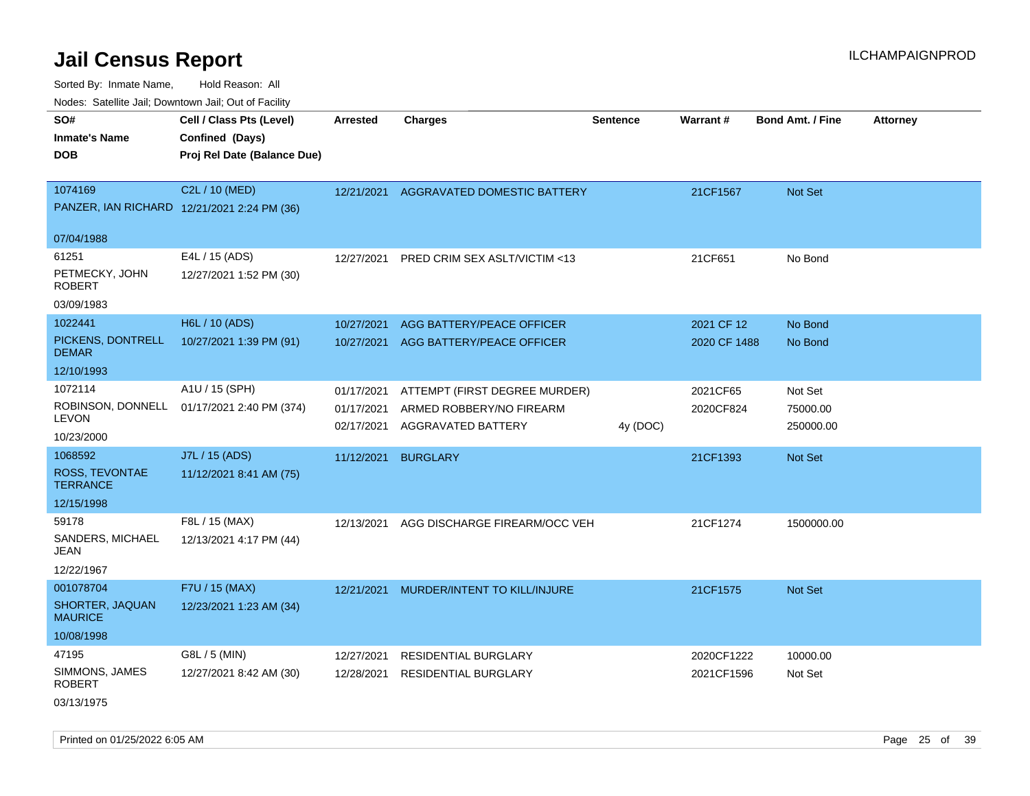Sorted By: Inmate Name, Hold Reason: All

| Nodes: Satellite Jail; Downtown Jail; Out of Facility |                                             |                 |                                        |                 |              |                         |                 |  |  |  |
|-------------------------------------------------------|---------------------------------------------|-----------------|----------------------------------------|-----------------|--------------|-------------------------|-----------------|--|--|--|
| SO#                                                   | Cell / Class Pts (Level)                    | <b>Arrested</b> | <b>Charges</b>                         | <b>Sentence</b> | Warrant#     | <b>Bond Amt. / Fine</b> | <b>Attorney</b> |  |  |  |
| <b>Inmate's Name</b>                                  | Confined (Days)                             |                 |                                        |                 |              |                         |                 |  |  |  |
| <b>DOB</b>                                            | Proj Rel Date (Balance Due)                 |                 |                                        |                 |              |                         |                 |  |  |  |
|                                                       |                                             |                 |                                        |                 |              |                         |                 |  |  |  |
| 1074169                                               | C2L / 10 (MED)                              |                 | 12/21/2021 AGGRAVATED DOMESTIC BATTERY |                 | 21CF1567     | Not Set                 |                 |  |  |  |
|                                                       | PANZER, IAN RICHARD 12/21/2021 2:24 PM (36) |                 |                                        |                 |              |                         |                 |  |  |  |
| 07/04/1988                                            |                                             |                 |                                        |                 |              |                         |                 |  |  |  |
| 61251                                                 | E4L / 15 (ADS)                              |                 |                                        |                 |              |                         |                 |  |  |  |
| PETMECKY, JOHN                                        |                                             | 12/27/2021      | PRED CRIM SEX ASLT/VICTIM <13          |                 | 21CF651      | No Bond                 |                 |  |  |  |
| <b>ROBERT</b>                                         | 12/27/2021 1:52 PM (30)                     |                 |                                        |                 |              |                         |                 |  |  |  |
| 03/09/1983                                            |                                             |                 |                                        |                 |              |                         |                 |  |  |  |
| 1022441                                               | H6L / 10 (ADS)                              | 10/27/2021      | AGG BATTERY/PEACE OFFICER              |                 | 2021 CF 12   | No Bond                 |                 |  |  |  |
| PICKENS, DONTRELL                                     | 10/27/2021 1:39 PM (91)                     | 10/27/2021      | AGG BATTERY/PEACE OFFICER              |                 | 2020 CF 1488 | No Bond                 |                 |  |  |  |
| <b>DEMAR</b>                                          |                                             |                 |                                        |                 |              |                         |                 |  |  |  |
| 12/10/1993                                            |                                             |                 |                                        |                 |              |                         |                 |  |  |  |
| 1072114                                               | A1U / 15 (SPH)                              | 01/17/2021      | ATTEMPT (FIRST DEGREE MURDER)          |                 | 2021CF65     | Not Set                 |                 |  |  |  |
| ROBINSON, DONNELL<br>LEVON                            | 01/17/2021 2:40 PM (374)                    | 01/17/2021      | ARMED ROBBERY/NO FIREARM               |                 | 2020CF824    | 75000.00                |                 |  |  |  |
| 10/23/2000                                            |                                             | 02/17/2021      | AGGRAVATED BATTERY                     | 4y (DOC)        |              | 250000.00               |                 |  |  |  |
| 1068592                                               | J7L / 15 (ADS)                              | 11/12/2021      | <b>BURGLARY</b>                        |                 | 21CF1393     |                         |                 |  |  |  |
| ROSS, TEVONTAE                                        | 11/12/2021 8:41 AM (75)                     |                 |                                        |                 |              | Not Set                 |                 |  |  |  |
| <b>TERRANCE</b>                                       |                                             |                 |                                        |                 |              |                         |                 |  |  |  |
| 12/15/1998                                            |                                             |                 |                                        |                 |              |                         |                 |  |  |  |
| 59178                                                 | F8L / 15 (MAX)                              | 12/13/2021      | AGG DISCHARGE FIREARM/OCC VEH          |                 | 21CF1274     | 1500000.00              |                 |  |  |  |
| SANDERS, MICHAEL                                      | 12/13/2021 4:17 PM (44)                     |                 |                                        |                 |              |                         |                 |  |  |  |
| JEAN                                                  |                                             |                 |                                        |                 |              |                         |                 |  |  |  |
| 12/22/1967                                            |                                             |                 |                                        |                 |              |                         |                 |  |  |  |
| 001078704                                             | F7U / 15 (MAX)                              | 12/21/2021      | MURDER/INTENT TO KILL/INJURE           |                 | 21CF1575     | <b>Not Set</b>          |                 |  |  |  |
| SHORTER, JAQUAN<br><b>MAURICE</b>                     | 12/23/2021 1:23 AM (34)                     |                 |                                        |                 |              |                         |                 |  |  |  |
| 10/08/1998                                            |                                             |                 |                                        |                 |              |                         |                 |  |  |  |
| 47195                                                 | G8L / 5 (MIN)                               | 12/27/2021      | <b>RESIDENTIAL BURGLARY</b>            |                 | 2020CF1222   | 10000.00                |                 |  |  |  |
| SIMMONS, JAMES                                        | 12/27/2021 8:42 AM (30)                     | 12/28/2021      | <b>RESIDENTIAL BURGLARY</b>            |                 | 2021CF1596   | Not Set                 |                 |  |  |  |
| <b>ROBERT</b>                                         |                                             |                 |                                        |                 |              |                         |                 |  |  |  |
| 03/13/1975                                            |                                             |                 |                                        |                 |              |                         |                 |  |  |  |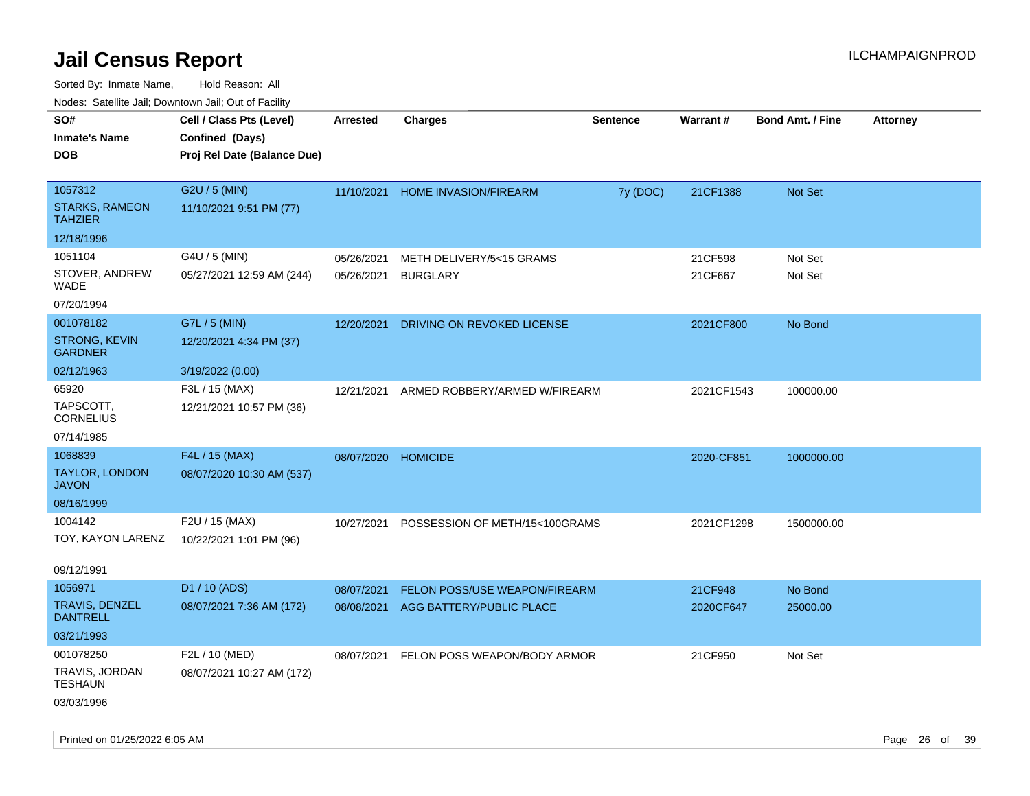Sorted By: Inmate Name, Hold Reason: All

|                                          | Nodes: Satellite Jail; Downtown Jail; Out of Facility |                 |                                |          |            |                         |          |
|------------------------------------------|-------------------------------------------------------|-----------------|--------------------------------|----------|------------|-------------------------|----------|
| SO#                                      | Cell / Class Pts (Level)                              | <b>Arrested</b> | <b>Charges</b>                 | Sentence | Warrant#   | <b>Bond Amt. / Fine</b> | Attorney |
| <b>Inmate's Name</b>                     | Confined (Days)                                       |                 |                                |          |            |                         |          |
| <b>DOB</b>                               | Proj Rel Date (Balance Due)                           |                 |                                |          |            |                         |          |
|                                          |                                                       |                 |                                |          |            |                         |          |
| 1057312                                  | G2U / 5 (MIN)                                         | 11/10/2021      | <b>HOME INVASION/FIREARM</b>   | 7y (DOC) | 21CF1388   | Not Set                 |          |
| <b>STARKS, RAMEON</b><br><b>TAHZIER</b>  | 11/10/2021 9:51 PM (77)                               |                 |                                |          |            |                         |          |
| 12/18/1996                               |                                                       |                 |                                |          |            |                         |          |
| 1051104                                  | G4U / 5 (MIN)                                         | 05/26/2021      | METH DELIVERY/5<15 GRAMS       |          | 21CF598    | Not Set                 |          |
| STOVER, ANDREW<br><b>WADE</b>            | 05/27/2021 12:59 AM (244)                             | 05/26/2021      | <b>BURGLARY</b>                |          | 21CF667    | Not Set                 |          |
| 07/20/1994                               |                                                       |                 |                                |          |            |                         |          |
| 001078182                                | G7L / 5 (MIN)                                         | 12/20/2021      | DRIVING ON REVOKED LICENSE     |          | 2021CF800  | No Bond                 |          |
| <b>STRONG, KEVIN</b><br><b>GARDNER</b>   | 12/20/2021 4:34 PM (37)                               |                 |                                |          |            |                         |          |
| 02/12/1963                               | 3/19/2022 (0.00)                                      |                 |                                |          |            |                         |          |
| 65920                                    | F3L / 15 (MAX)                                        | 12/21/2021      | ARMED ROBBERY/ARMED W/FIREARM  |          | 2021CF1543 | 100000.00               |          |
| TAPSCOTT.<br><b>CORNELIUS</b>            | 12/21/2021 10:57 PM (36)                              |                 |                                |          |            |                         |          |
| 07/14/1985                               |                                                       |                 |                                |          |            |                         |          |
| 1068839                                  | F4L / 15 (MAX)                                        |                 | 08/07/2020 HOMICIDE            |          | 2020-CF851 | 1000000.00              |          |
| <b>TAYLOR, LONDON</b><br><b>JAVON</b>    | 08/07/2020 10:30 AM (537)                             |                 |                                |          |            |                         |          |
| 08/16/1999                               |                                                       |                 |                                |          |            |                         |          |
| 1004142                                  | F2U / 15 (MAX)                                        | 10/27/2021      | POSSESSION OF METH/15<100GRAMS |          | 2021CF1298 | 1500000.00              |          |
| TOY, KAYON LARENZ                        | 10/22/2021 1:01 PM (96)                               |                 |                                |          |            |                         |          |
| 09/12/1991                               |                                                       |                 |                                |          |            |                         |          |
| 1056971                                  | D1 / 10 (ADS)                                         | 08/07/2021      | FELON POSS/USE WEAPON/FIREARM  |          | 21CF948    | No Bond                 |          |
| <b>TRAVIS, DENZEL</b><br><b>DANTRELL</b> | 08/07/2021 7:36 AM (172)                              | 08/08/2021      | AGG BATTERY/PUBLIC PLACE       |          | 2020CF647  | 25000.00                |          |
| 03/21/1993                               |                                                       |                 |                                |          |            |                         |          |
| 001078250                                | F2L / 10 (MED)                                        | 08/07/2021      | FELON POSS WEAPON/BODY ARMOR   |          | 21CF950    | Not Set                 |          |
| TRAVIS, JORDAN<br><b>TESHAUN</b>         | 08/07/2021 10:27 AM (172)                             |                 |                                |          |            |                         |          |
| 03/03/1996                               |                                                       |                 |                                |          |            |                         |          |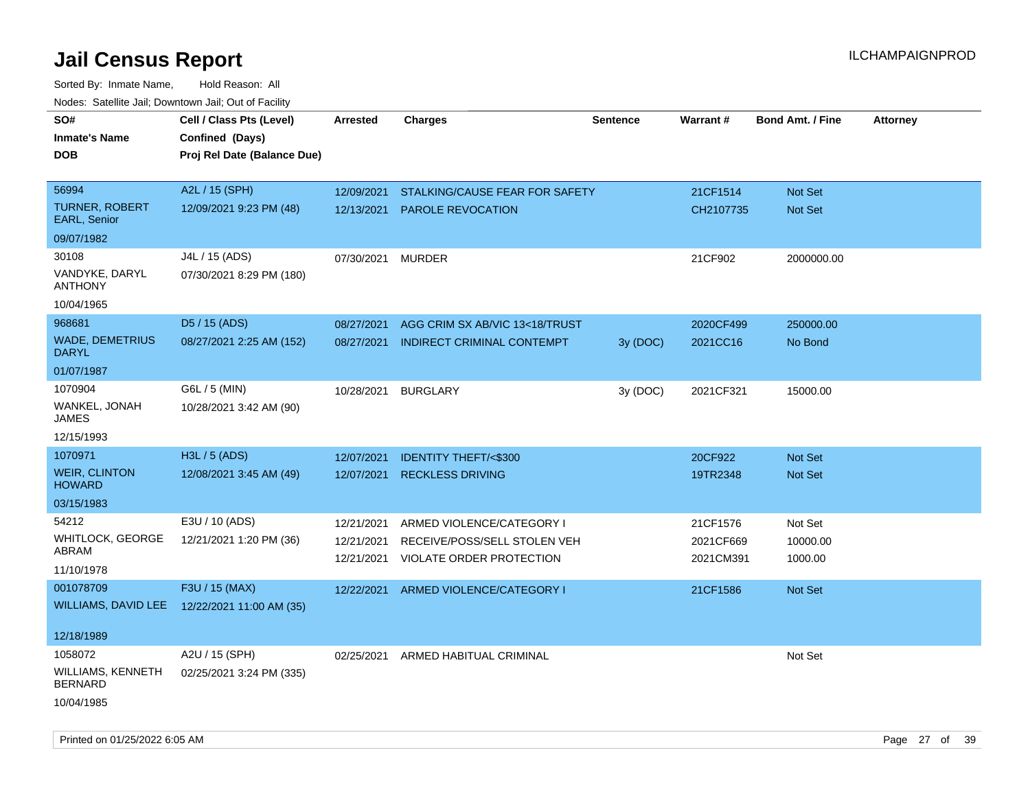| roaco. Catolino dall, Downtown dall, Out of Fability |                                              |                 |                                   |                 |           |                         |                 |
|------------------------------------------------------|----------------------------------------------|-----------------|-----------------------------------|-----------------|-----------|-------------------------|-----------------|
| SO#                                                  | Cell / Class Pts (Level)                     | <b>Arrested</b> | <b>Charges</b>                    | <b>Sentence</b> | Warrant#  | <b>Bond Amt. / Fine</b> | <b>Attorney</b> |
| <b>Inmate's Name</b>                                 | Confined (Days)                              |                 |                                   |                 |           |                         |                 |
| <b>DOB</b>                                           | Proj Rel Date (Balance Due)                  |                 |                                   |                 |           |                         |                 |
|                                                      |                                              |                 |                                   |                 |           |                         |                 |
| 56994                                                | A2L / 15 (SPH)                               | 12/09/2021      | STALKING/CAUSE FEAR FOR SAFETY    |                 | 21CF1514  | Not Set                 |                 |
| <b>TURNER, ROBERT</b><br>EARL, Senior                | 12/09/2021 9:23 PM (48)                      | 12/13/2021      | PAROLE REVOCATION                 |                 | CH2107735 | Not Set                 |                 |
| 09/07/1982                                           |                                              |                 |                                   |                 |           |                         |                 |
| 30108                                                | J4L / 15 (ADS)                               | 07/30/2021      | <b>MURDER</b>                     |                 | 21CF902   | 2000000.00              |                 |
| VANDYKE, DARYL<br><b>ANTHONY</b>                     | 07/30/2021 8:29 PM (180)                     |                 |                                   |                 |           |                         |                 |
| 10/04/1965                                           |                                              |                 |                                   |                 |           |                         |                 |
| 968681                                               | D5 / 15 (ADS)                                | 08/27/2021      | AGG CRIM SX AB/VIC 13<18/TRUST    |                 | 2020CF499 | 250000.00               |                 |
| <b>WADE, DEMETRIUS</b><br><b>DARYL</b>               | 08/27/2021 2:25 AM (152)                     | 08/27/2021      | <b>INDIRECT CRIMINAL CONTEMPT</b> | 3y(DOC)         | 2021CC16  | No Bond                 |                 |
| 01/07/1987                                           |                                              |                 |                                   |                 |           |                         |                 |
| 1070904                                              | G6L / 5 (MIN)                                | 10/28/2021      | <b>BURGLARY</b>                   | 3y (DOC)        | 2021CF321 | 15000.00                |                 |
| WANKEL, JONAH<br><b>JAMES</b>                        | 10/28/2021 3:42 AM (90)                      |                 |                                   |                 |           |                         |                 |
| 12/15/1993                                           |                                              |                 |                                   |                 |           |                         |                 |
| 1070971                                              | H3L / 5 (ADS)                                | 12/07/2021      | <b>IDENTITY THEFT/&lt;\$300</b>   |                 | 20CF922   | Not Set                 |                 |
| <b>WEIR, CLINTON</b><br><b>HOWARD</b>                | 12/08/2021 3:45 AM (49)                      | 12/07/2021      | <b>RECKLESS DRIVING</b>           |                 | 19TR2348  | <b>Not Set</b>          |                 |
| 03/15/1983                                           |                                              |                 |                                   |                 |           |                         |                 |
| 54212                                                | E3U / 10 (ADS)                               | 12/21/2021      | ARMED VIOLENCE/CATEGORY I         |                 | 21CF1576  | Not Set                 |                 |
| WHITLOCK, GEORGE                                     | 12/21/2021 1:20 PM (36)                      | 12/21/2021      | RECEIVE/POSS/SELL STOLEN VEH      |                 | 2021CF669 | 10000.00                |                 |
| ABRAM                                                |                                              | 12/21/2021      | VIOLATE ORDER PROTECTION          |                 | 2021CM391 | 1000.00                 |                 |
| 11/10/1978                                           |                                              |                 |                                   |                 |           |                         |                 |
| 001078709                                            | F3U / 15 (MAX)                               | 12/22/2021      | ARMED VIOLENCE/CATEGORY I         |                 | 21CF1586  | <b>Not Set</b>          |                 |
|                                                      | WILLIAMS, DAVID LEE 12/22/2021 11:00 AM (35) |                 |                                   |                 |           |                         |                 |
|                                                      |                                              |                 |                                   |                 |           |                         |                 |
| 12/18/1989                                           |                                              |                 |                                   |                 |           |                         |                 |
| 1058072                                              | A2U / 15 (SPH)                               | 02/25/2021      | ARMED HABITUAL CRIMINAL           |                 |           | Not Set                 |                 |
| WILLIAMS, KENNETH<br><b>BERNARD</b>                  | 02/25/2021 3:24 PM (335)                     |                 |                                   |                 |           |                         |                 |
| 10/04/1985                                           |                                              |                 |                                   |                 |           |                         |                 |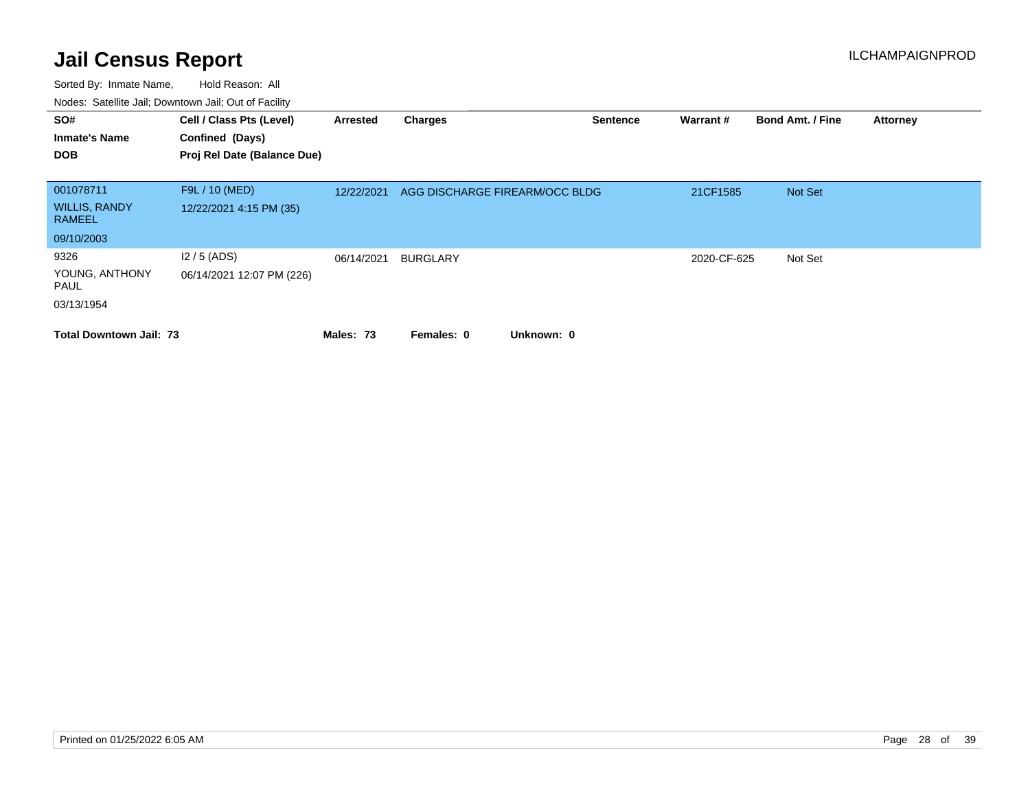| SO#<br><b>Inmate's Name</b><br><b>DOB</b>          | Cell / Class Pts (Level)<br>Confined (Days)<br>Proj Rel Date (Balance Due) | Arrested   | <b>Charges</b>                 | <b>Sentence</b> | Warrant#    | <b>Bond Amt. / Fine</b> | <b>Attorney</b> |
|----------------------------------------------------|----------------------------------------------------------------------------|------------|--------------------------------|-----------------|-------------|-------------------------|-----------------|
| 001078711<br><b>WILLIS, RANDY</b><br><b>RAMEEL</b> | F9L / 10 (MED)<br>12/22/2021 4:15 PM (35)                                  | 12/22/2021 | AGG DISCHARGE FIREARM/OCC BLDG |                 | 21CF1585    | Not Set                 |                 |
| 09/10/2003                                         |                                                                            |            |                                |                 |             |                         |                 |
| 9326<br>YOUNG, ANTHONY<br>PAUL<br>03/13/1954       | $12/5$ (ADS)<br>06/14/2021 12:07 PM (226)                                  | 06/14/2021 | <b>BURGLARY</b>                |                 | 2020-CF-625 | Not Set                 |                 |
| <b>Total Downtown Jail: 73</b>                     |                                                                            | Males: 73  | Unknown: 0<br>Females: 0       |                 |             |                         |                 |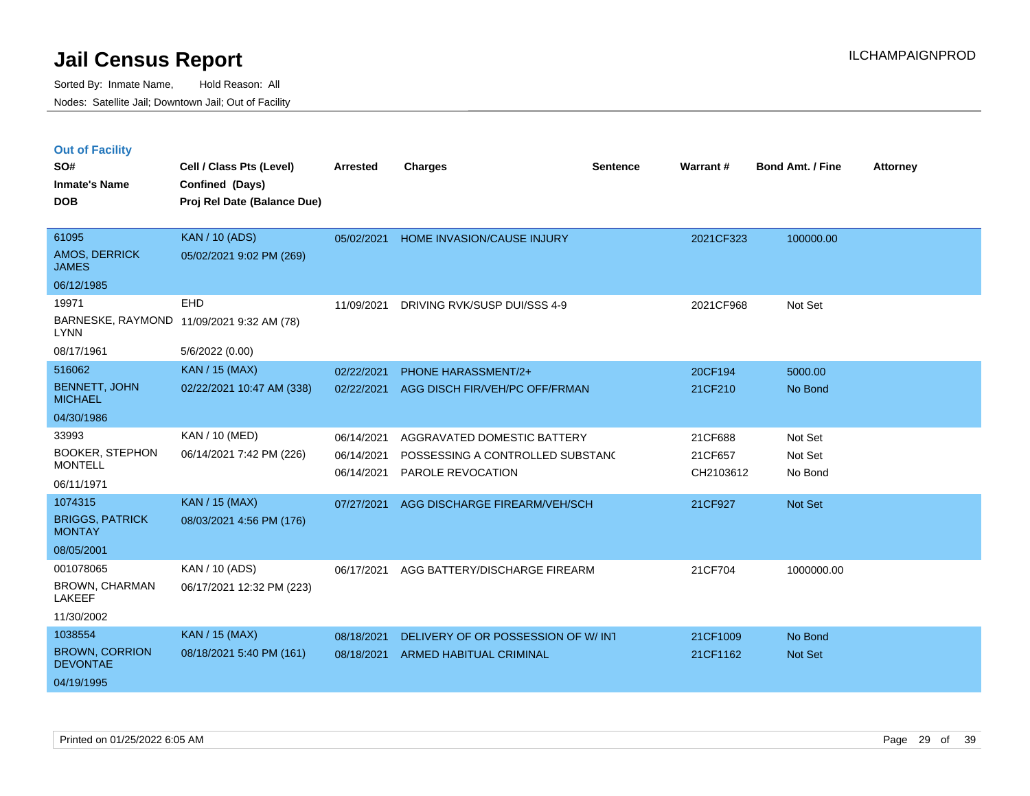|  | <b>Out of Facility</b> |  |
|--|------------------------|--|
|--|------------------------|--|

| SO#<br><b>Inmate's Name</b><br><b>DOB</b>                         | Cell / Class Pts (Level)<br>Confined (Days)<br>Proj Rel Date (Balance Due) | <b>Arrested</b>                        | <b>Charges</b>                                                                       | <b>Sentence</b> | Warrant#                        | <b>Bond Amt. / Fine</b>       | <b>Attorney</b> |
|-------------------------------------------------------------------|----------------------------------------------------------------------------|----------------------------------------|--------------------------------------------------------------------------------------|-----------------|---------------------------------|-------------------------------|-----------------|
| 61095<br>AMOS, DERRICK<br><b>JAMES</b>                            | <b>KAN / 10 (ADS)</b><br>05/02/2021 9:02 PM (269)                          | 05/02/2021                             | <b>HOME INVASION/CAUSE INJURY</b>                                                    |                 | 2021CF323                       | 100000.00                     |                 |
| 06/12/1985<br>19971<br><b>LYNN</b><br>08/17/1961                  | EHD<br>BARNESKE, RAYMOND 11/09/2021 9:32 AM (78)<br>5/6/2022 (0.00)        | 11/09/2021                             | DRIVING RVK/SUSP DUI/SSS 4-9                                                         |                 | 2021CF968                       | Not Set                       |                 |
| 516062<br><b>BENNETT, JOHN</b><br><b>MICHAEL</b><br>04/30/1986    | <b>KAN / 15 (MAX)</b><br>02/22/2021 10:47 AM (338)                         | 02/22/2021<br>02/22/2021               | PHONE HARASSMENT/2+<br>AGG DISCH FIR/VEH/PC OFF/FRMAN                                |                 | 20CF194<br>21CF210              | 5000.00<br>No Bond            |                 |
| 33993<br><b>BOOKER, STEPHON</b><br><b>MONTELL</b><br>06/11/1971   | KAN / 10 (MED)<br>06/14/2021 7:42 PM (226)                                 | 06/14/2021<br>06/14/2021<br>06/14/2021 | AGGRAVATED DOMESTIC BATTERY<br>POSSESSING A CONTROLLED SUBSTANC<br>PAROLE REVOCATION |                 | 21CF688<br>21CF657<br>CH2103612 | Not Set<br>Not Set<br>No Bond |                 |
| 1074315<br><b>BRIGGS, PATRICK</b><br><b>MONTAY</b><br>08/05/2001  | KAN / 15 (MAX)<br>08/03/2021 4:56 PM (176)                                 | 07/27/2021                             | AGG DISCHARGE FIREARM/VEH/SCH                                                        |                 | 21CF927                         | Not Set                       |                 |
| 001078065<br>BROWN, CHARMAN<br>LAKEEF<br>11/30/2002               | KAN / 10 (ADS)<br>06/17/2021 12:32 PM (223)                                | 06/17/2021                             | AGG BATTERY/DISCHARGE FIREARM                                                        |                 | 21CF704                         | 1000000.00                    |                 |
| 1038554<br><b>BROWN, CORRION</b><br><b>DEVONTAE</b><br>04/19/1995 | <b>KAN / 15 (MAX)</b><br>08/18/2021 5:40 PM (161)                          | 08/18/2021<br>08/18/2021               | DELIVERY OF OR POSSESSION OF W/INT<br>ARMED HABITUAL CRIMINAL                        |                 | 21CF1009<br>21CF1162            | No Bond<br>Not Set            |                 |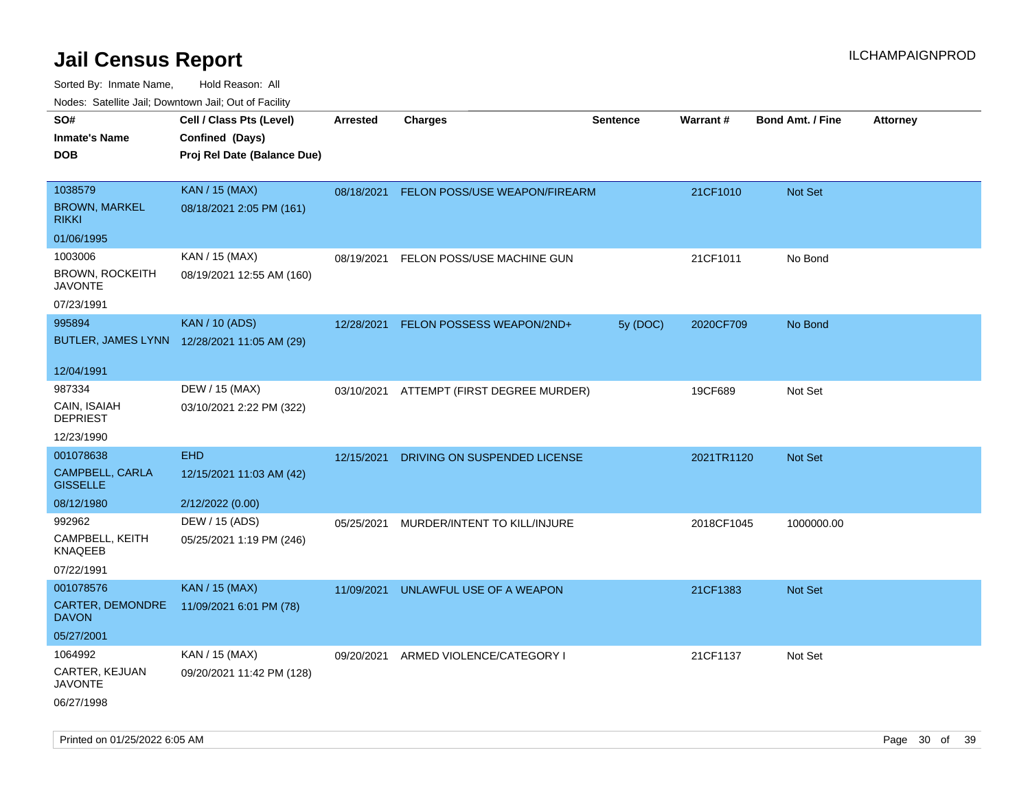| ivouss. Satellite Jali, Downtown Jali, Out of Facility                     |                  |                              |                                                        |                                                                           |                         |                          |
|----------------------------------------------------------------------------|------------------|------------------------------|--------------------------------------------------------|---------------------------------------------------------------------------|-------------------------|--------------------------|
| Cell / Class Pts (Level)<br>Confined (Days)<br>Proj Rel Date (Balance Due) | Arrested         | <b>Charges</b>               | <b>Sentence</b>                                        | <b>Warrant#</b>                                                           | <b>Bond Amt. / Fine</b> | <b>Attorney</b>          |
| <b>KAN / 15 (MAX)</b><br>08/18/2021 2:05 PM (161)                          | 08/18/2021       |                              |                                                        | 21CF1010                                                                  | Not Set                 |                          |
| KAN / 15 (MAX)<br>08/19/2021 12:55 AM (160)                                | 08/19/2021       | FELON POSS/USE MACHINE GUN   |                                                        | 21CF1011                                                                  | No Bond                 |                          |
| <b>KAN / 10 (ADS)</b><br>BUTLER, JAMES LYNN 12/28/2021 11:05 AM (29)       | 12/28/2021       |                              | 5y (DOC)                                               | 2020CF709                                                                 | No Bond                 |                          |
| DEW / 15 (MAX)<br>03/10/2021 2:22 PM (322)                                 |                  |                              |                                                        | 19CF689                                                                   | Not Set                 |                          |
| <b>EHD</b><br>12/15/2021 11:03 AM (42)                                     | 12/15/2021       | DRIVING ON SUSPENDED LICENSE |                                                        |                                                                           | <b>Not Set</b>          |                          |
| DEW / 15 (ADS)<br>05/25/2021 1:19 PM (246)                                 | 05/25/2021       | MURDER/INTENT TO KILL/INJURE |                                                        |                                                                           | 1000000.00              |                          |
| <b>KAN / 15 (MAX)</b><br>11/09/2021 6:01 PM (78)                           | 11/09/2021       | UNLAWFUL USE OF A WEAPON     |                                                        | 21CF1383                                                                  | <b>Not Set</b>          |                          |
| KAN / 15 (MAX)<br>09/20/2021 11:42 PM (128)                                | 09/20/2021       |                              |                                                        | 21CF1137                                                                  | Not Set                 |                          |
|                                                                            | 2/12/2022 (0.00) |                              | FELON POSSESS WEAPON/2ND+<br>ARMED VIOLENCE/CATEGORY I | FELON POSS/USE WEAPON/FIREARM<br>03/10/2021 ATTEMPT (FIRST DEGREE MURDER) |                         | 2021TR1120<br>2018CF1045 |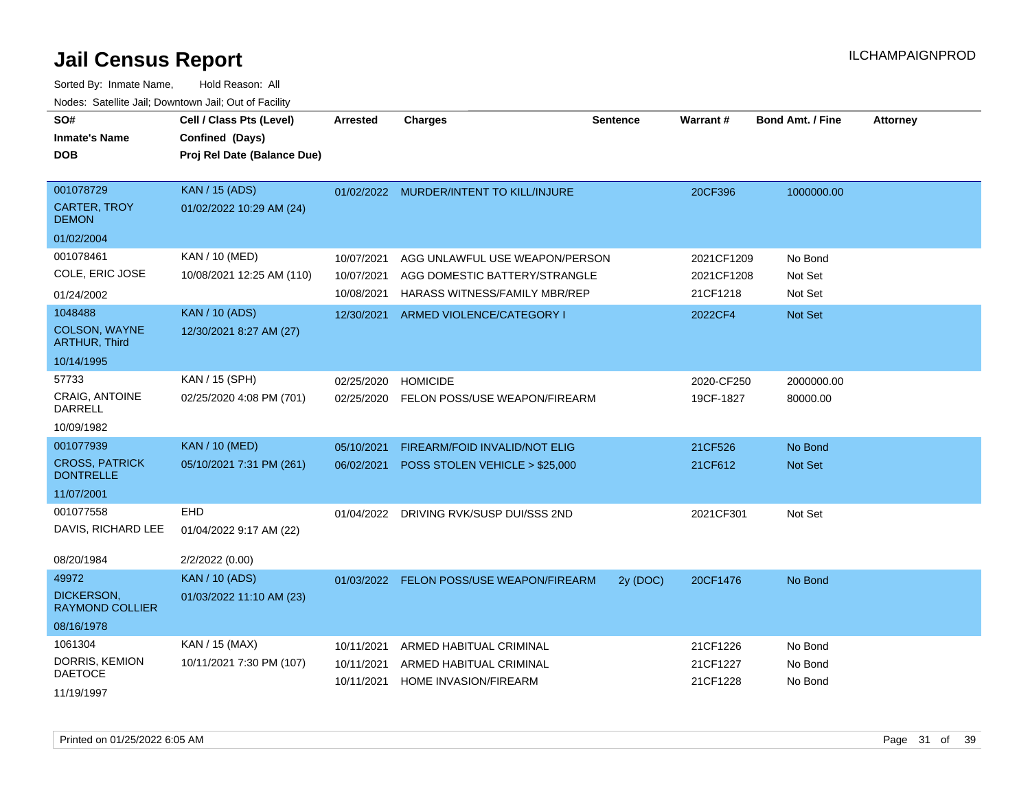| SO#<br><b>Inmate's Name</b><br><b>DOB</b> | Cell / Class Pts (Level)<br>Confined (Days)<br>Proj Rel Date (Balance Due) | <b>Arrested</b> | <b>Charges</b>                           | <b>Sentence</b> | <b>Warrant#</b> | <b>Bond Amt. / Fine</b> | <b>Attorney</b> |
|-------------------------------------------|----------------------------------------------------------------------------|-----------------|------------------------------------------|-----------------|-----------------|-------------------------|-----------------|
| 001078729                                 | <b>KAN / 15 (ADS)</b>                                                      |                 | 01/02/2022 MURDER/INTENT TO KILL/INJURE  |                 | 20CF396         | 1000000.00              |                 |
| <b>CARTER, TROY</b><br><b>DEMON</b>       | 01/02/2022 10:29 AM (24)                                                   |                 |                                          |                 |                 |                         |                 |
| 01/02/2004                                |                                                                            |                 |                                          |                 |                 |                         |                 |
| 001078461                                 | KAN / 10 (MED)                                                             | 10/07/2021      | AGG UNLAWFUL USE WEAPON/PERSON           |                 | 2021CF1209      | No Bond                 |                 |
| COLE, ERIC JOSE                           | 10/08/2021 12:25 AM (110)                                                  | 10/07/2021      | AGG DOMESTIC BATTERY/STRANGLE            |                 | 2021CF1208      | Not Set                 |                 |
| 01/24/2002                                |                                                                            | 10/08/2021      | HARASS WITNESS/FAMILY MBR/REP            |                 | 21CF1218        | Not Set                 |                 |
| 1048488                                   | <b>KAN / 10 (ADS)</b>                                                      | 12/30/2021      | ARMED VIOLENCE/CATEGORY I                |                 | 2022CF4         | Not Set                 |                 |
| COLSON, WAYNE<br><b>ARTHUR, Third</b>     | 12/30/2021 8:27 AM (27)                                                    |                 |                                          |                 |                 |                         |                 |
| 10/14/1995                                |                                                                            |                 |                                          |                 |                 |                         |                 |
| 57733                                     | KAN / 15 (SPH)                                                             | 02/25/2020      | <b>HOMICIDE</b>                          |                 | 2020-CF250      | 2000000.00              |                 |
| <b>CRAIG, ANTOINE</b><br><b>DARRELL</b>   | 02/25/2020 4:08 PM (701)                                                   | 02/25/2020      | FELON POSS/USE WEAPON/FIREARM            |                 | 19CF-1827       | 80000.00                |                 |
| 10/09/1982                                |                                                                            |                 |                                          |                 |                 |                         |                 |
| 001077939                                 | <b>KAN / 10 (MED)</b>                                                      | 05/10/2021      | FIREARM/FOID INVALID/NOT ELIG            |                 | 21CF526         | No Bond                 |                 |
| <b>CROSS, PATRICK</b><br><b>DONTRELLE</b> | 05/10/2021 7:31 PM (261)                                                   | 06/02/2021      | POSS STOLEN VEHICLE > \$25,000           |                 | 21CF612         | Not Set                 |                 |
| 11/07/2001                                |                                                                            |                 |                                          |                 |                 |                         |                 |
| 001077558                                 | <b>EHD</b>                                                                 | 01/04/2022      | DRIVING RVK/SUSP DUI/SSS 2ND             |                 | 2021CF301       | Not Set                 |                 |
| DAVIS, RICHARD LEE                        | 01/04/2022 9:17 AM (22)                                                    |                 |                                          |                 |                 |                         |                 |
| 08/20/1984                                | 2/2/2022 (0.00)                                                            |                 |                                          |                 |                 |                         |                 |
| 49972                                     | <b>KAN / 10 (ADS)</b>                                                      |                 | 01/03/2022 FELON POSS/USE WEAPON/FIREARM | 2y (DOC)        | 20CF1476        | No Bond                 |                 |
| DICKERSON,<br><b>RAYMOND COLLIER</b>      | 01/03/2022 11:10 AM (23)                                                   |                 |                                          |                 |                 |                         |                 |
| 08/16/1978                                |                                                                            |                 |                                          |                 |                 |                         |                 |
| 1061304                                   | KAN / 15 (MAX)                                                             | 10/11/2021      | ARMED HABITUAL CRIMINAL                  |                 | 21CF1226        | No Bond                 |                 |
| DORRIS, KEMION                            | 10/11/2021 7:30 PM (107)                                                   | 10/11/2021      | ARMED HABITUAL CRIMINAL                  |                 | 21CF1227        | No Bond                 |                 |
| <b>DAETOCE</b><br>11/19/1997              |                                                                            | 10/11/2021      | HOME INVASION/FIREARM                    |                 | 21CF1228        | No Bond                 |                 |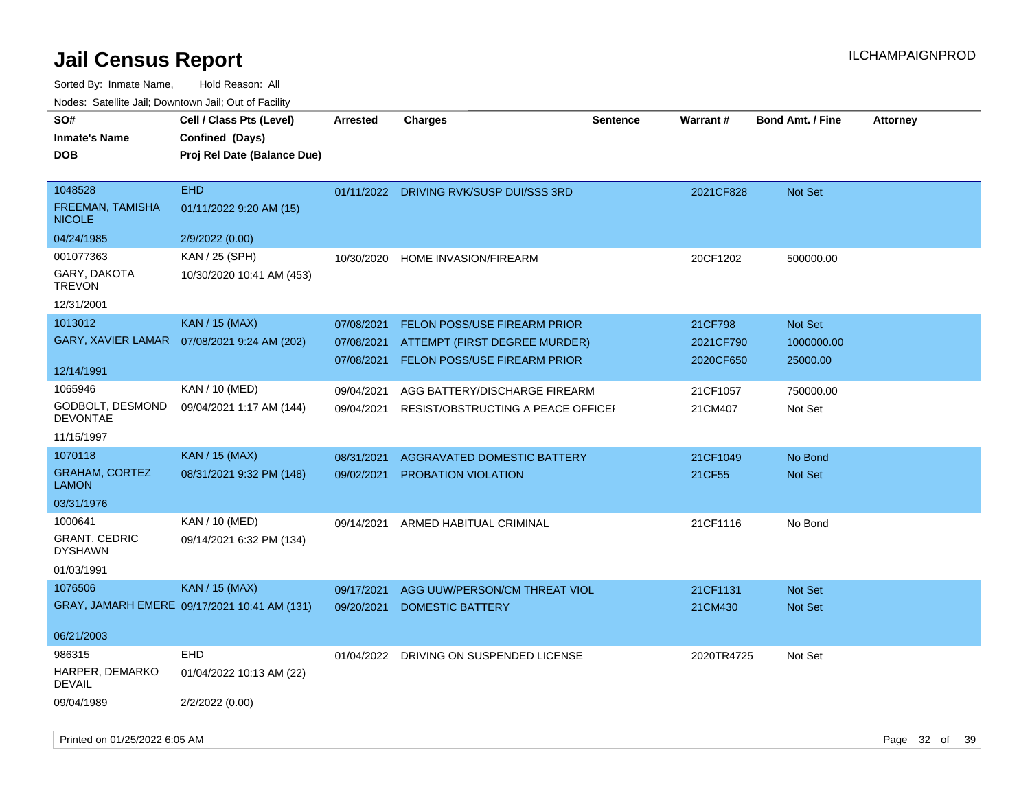Sorted By: Inmate Name, Hold Reason: All Nodes: Satellite Jail; Downtown Jail; Out of Facility

| SO#<br><b>Inmate's Name</b><br><b>DOB</b>                       | Cell / Class Pts (Level)<br>Confined (Days)<br>Proj Rel Date (Balance Due) | <b>Arrested</b>                        | <b>Charges</b>                                                                                              | <b>Sentence</b> | <b>Warrant#</b>                   | <b>Bond Amt. / Fine</b>           | <b>Attorney</b> |
|-----------------------------------------------------------------|----------------------------------------------------------------------------|----------------------------------------|-------------------------------------------------------------------------------------------------------------|-----------------|-----------------------------------|-----------------------------------|-----------------|
| 1048528<br>FREEMAN, TAMISHA<br><b>NICOLE</b>                    | <b>EHD</b><br>01/11/2022 9:20 AM (15)                                      |                                        | 01/11/2022 DRIVING RVK/SUSP DUI/SSS 3RD                                                                     |                 | 2021CF828                         | Not Set                           |                 |
| 04/24/1985                                                      | 2/9/2022 (0.00)                                                            |                                        |                                                                                                             |                 |                                   |                                   |                 |
| 001077363<br>GARY, DAKOTA<br><b>TREVON</b>                      | KAN / 25 (SPH)<br>10/30/2020 10:41 AM (453)                                | 10/30/2020                             | <b>HOME INVASION/FIREARM</b>                                                                                |                 | 20CF1202                          | 500000.00                         |                 |
| 12/31/2001                                                      |                                                                            |                                        |                                                                                                             |                 |                                   |                                   |                 |
| 1013012<br>GARY, XAVIER LAMAR                                   | <b>KAN / 15 (MAX)</b><br>07/08/2021 9:24 AM (202)                          | 07/08/2021<br>07/08/2021<br>07/08/2021 | <b>FELON POSS/USE FIREARM PRIOR</b><br>ATTEMPT (FIRST DEGREE MURDER)<br><b>FELON POSS/USE FIREARM PRIOR</b> |                 | 21CF798<br>2021CF790<br>2020CF650 | Not Set<br>1000000.00<br>25000.00 |                 |
| 12/14/1991                                                      |                                                                            |                                        |                                                                                                             |                 |                                   |                                   |                 |
| 1065946<br>GODBOLT, DESMOND<br><b>DEVONTAE</b>                  | KAN / 10 (MED)<br>09/04/2021 1:17 AM (144)                                 | 09/04/2021<br>09/04/2021               | AGG BATTERY/DISCHARGE FIREARM<br>RESIST/OBSTRUCTING A PEACE OFFICEI                                         |                 | 21CF1057<br>21CM407               | 750000.00<br>Not Set              |                 |
| 11/15/1997                                                      |                                                                            |                                        |                                                                                                             |                 |                                   |                                   |                 |
| 1070118                                                         | <b>KAN / 15 (MAX)</b>                                                      | 08/31/2021                             | AGGRAVATED DOMESTIC BATTERY                                                                                 |                 | 21CF1049                          | No Bond                           |                 |
| <b>GRAHAM, CORTEZ</b><br><b>LAMON</b>                           | 08/31/2021 9:32 PM (148)                                                   | 09/02/2021                             | PROBATION VIOLATION                                                                                         |                 | 21CF55                            | Not Set                           |                 |
| 03/31/1976                                                      |                                                                            |                                        |                                                                                                             |                 |                                   |                                   |                 |
| 1000641<br><b>GRANT, CEDRIC</b><br><b>DYSHAWN</b><br>01/03/1991 | KAN / 10 (MED)<br>09/14/2021 6:32 PM (134)                                 | 09/14/2021                             | ARMED HABITUAL CRIMINAL                                                                                     |                 | 21CF1116                          | No Bond                           |                 |
| 1076506                                                         | <b>KAN / 15 (MAX)</b>                                                      | 09/17/2021                             | AGG UUW/PERSON/CM THREAT VIOL                                                                               |                 | 21CF1131                          | <b>Not Set</b>                    |                 |
|                                                                 | GRAY, JAMARH EMERE 09/17/2021 10:41 AM (131)                               | 09/20/2021                             | <b>DOMESTIC BATTERY</b>                                                                                     |                 | 21CM430                           | <b>Not Set</b>                    |                 |
| 06/21/2003                                                      |                                                                            |                                        |                                                                                                             |                 |                                   |                                   |                 |
| 986315<br>HARPER, DEMARKO<br><b>DEVAIL</b>                      | <b>EHD</b><br>01/04/2022 10:13 AM (22)                                     | 01/04/2022                             | DRIVING ON SUSPENDED LICENSE                                                                                |                 | 2020TR4725                        | Not Set                           |                 |
| 09/04/1989                                                      | 2/2/2022 (0.00)                                                            |                                        |                                                                                                             |                 |                                   |                                   |                 |

Printed on 01/25/2022 6:05 AM Page 32 of 39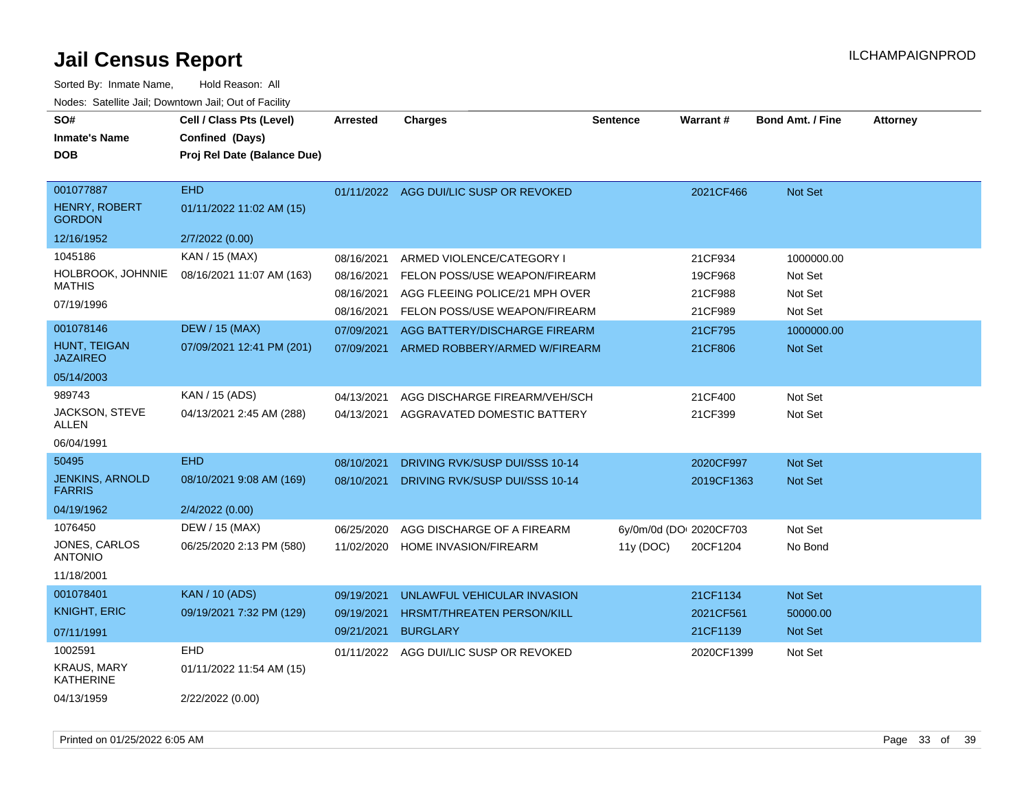| SO#<br><b>Inmate's Name</b><br>DOB                 | Cell / Class Pts (Level)<br>Confined (Days)<br>Proj Rel Date (Balance Due) | <b>Arrested</b> | <b>Charges</b>                 | <b>Sentence</b>         | <b>Warrant#</b> | <b>Bond Amt. / Fine</b> | <b>Attorney</b> |
|----------------------------------------------------|----------------------------------------------------------------------------|-----------------|--------------------------------|-------------------------|-----------------|-------------------------|-----------------|
| 001077887<br><b>HENRY, ROBERT</b><br><b>GORDON</b> | <b>EHD</b><br>01/11/2022 11:02 AM (15)                                     | 01/11/2022      | AGG DUI/LIC SUSP OR REVOKED    |                         | 2021CF466       | <b>Not Set</b>          |                 |
| 12/16/1952                                         | 2/7/2022 (0.00)                                                            |                 |                                |                         |                 |                         |                 |
| 1045186                                            | KAN / 15 (MAX)                                                             | 08/16/2021      | ARMED VIOLENCE/CATEGORY I      |                         | 21CF934         | 1000000.00              |                 |
| HOLBROOK, JOHNNIE<br><b>MATHIS</b>                 | 08/16/2021 11:07 AM (163)                                                  | 08/16/2021      | FELON POSS/USE WEAPON/FIREARM  |                         | 19CF968         | Not Set                 |                 |
| 07/19/1996                                         |                                                                            | 08/16/2021      | AGG FLEEING POLICE/21 MPH OVER |                         | 21CF988         | Not Set                 |                 |
|                                                    |                                                                            | 08/16/2021      | FELON POSS/USE WEAPON/FIREARM  |                         | 21CF989         | Not Set                 |                 |
| 001078146                                          | <b>DEW / 15 (MAX)</b>                                                      | 07/09/2021      | AGG BATTERY/DISCHARGE FIREARM  |                         | 21CF795         | 1000000.00              |                 |
| HUNT, TEIGAN<br>JAZAIREO                           | 07/09/2021 12:41 PM (201)                                                  | 07/09/2021      | ARMED ROBBERY/ARMED W/FIREARM  |                         | 21CF806         | Not Set                 |                 |
| 05/14/2003                                         |                                                                            |                 |                                |                         |                 |                         |                 |
| 989743                                             | KAN / 15 (ADS)                                                             | 04/13/2021      | AGG DISCHARGE FIREARM/VEH/SCH  |                         | 21CF400         | Not Set                 |                 |
| JACKSON, STEVE<br>ALLEN                            | 04/13/2021 2:45 AM (288)                                                   | 04/13/2021      | AGGRAVATED DOMESTIC BATTERY    |                         | 21CF399         | Not Set                 |                 |
| 06/04/1991                                         |                                                                            |                 |                                |                         |                 |                         |                 |
| 50495                                              | <b>EHD</b>                                                                 | 08/10/2021      | DRIVING RVK/SUSP DUI/SSS 10-14 |                         | 2020CF997       | <b>Not Set</b>          |                 |
| JENKINS, ARNOLD<br><b>FARRIS</b>                   | 08/10/2021 9:08 AM (169)                                                   | 08/10/2021      | DRIVING RVK/SUSP DUI/SSS 10-14 |                         | 2019CF1363      | <b>Not Set</b>          |                 |
| 04/19/1962                                         | 2/4/2022 (0.00)                                                            |                 |                                |                         |                 |                         |                 |
| 1076450                                            | DEW / 15 (MAX)                                                             | 06/25/2020      | AGG DISCHARGE OF A FIREARM     | 6y/0m/0d (DOI 2020CF703 |                 | Not Set                 |                 |
| JONES, CARLOS<br><b>ANTONIO</b>                    | 06/25/2020 2:13 PM (580)                                                   | 11/02/2020      | HOME INVASION/FIREARM          | 11y(DOC)                | 20CF1204        | No Bond                 |                 |
| 11/18/2001                                         |                                                                            |                 |                                |                         |                 |                         |                 |
| 001078401                                          | <b>KAN / 10 (ADS)</b>                                                      | 09/19/2021      | UNLAWFUL VEHICULAR INVASION    |                         | 21CF1134        | Not Set                 |                 |
| <b>KNIGHT, ERIC</b>                                | 09/19/2021 7:32 PM (129)                                                   | 09/19/2021      | HRSMT/THREATEN PERSON/KILL     |                         | 2021CF561       | 50000.00                |                 |
| 07/11/1991                                         |                                                                            | 09/21/2021      | <b>BURGLARY</b>                |                         | 21CF1139        | Not Set                 |                 |
| 1002591                                            | <b>EHD</b>                                                                 | 01/11/2022      | AGG DUI/LIC SUSP OR REVOKED    |                         | 2020CF1399      | Not Set                 |                 |
| <b>KRAUS, MARY</b><br><b>KATHERINE</b>             | 01/11/2022 11:54 AM (15)                                                   |                 |                                |                         |                 |                         |                 |
| 04/13/1959                                         | 2/22/2022 (0.00)                                                           |                 |                                |                         |                 |                         |                 |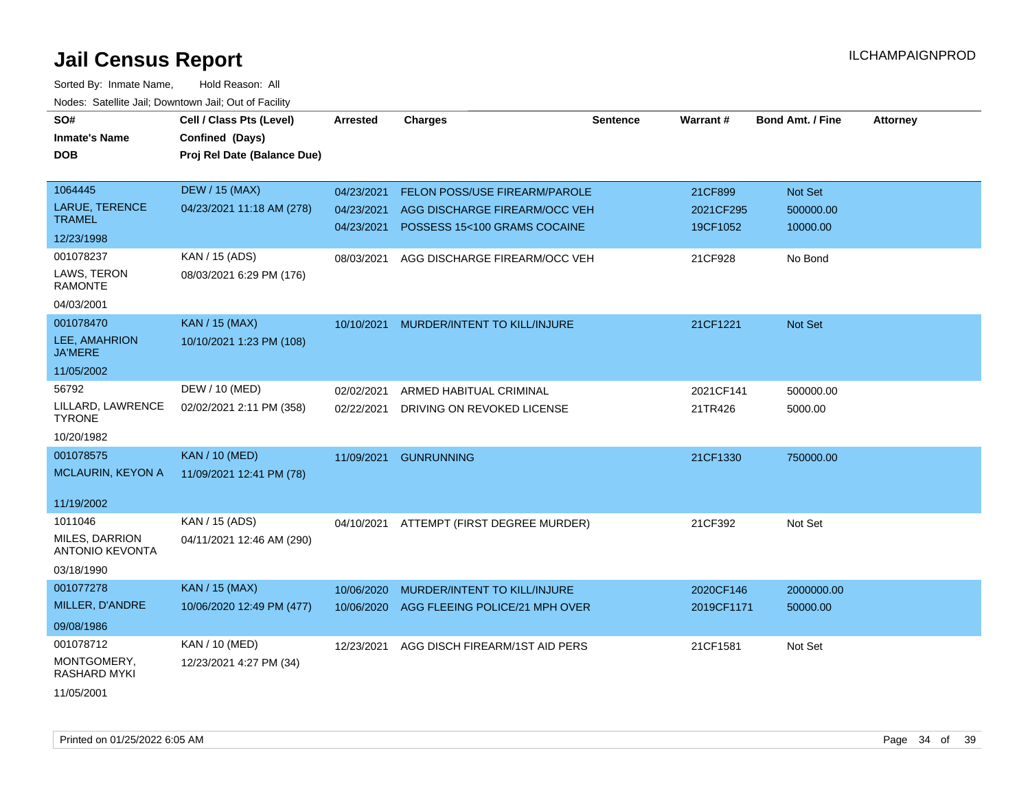| SO#                                      | Cell / Class Pts (Level)    | <b>Arrested</b> | <b>Charges</b>                 | Sentence | Warrant#   | <b>Bond Amt. / Fine</b> | <b>Attorney</b> |
|------------------------------------------|-----------------------------|-----------------|--------------------------------|----------|------------|-------------------------|-----------------|
| <b>Inmate's Name</b>                     | Confined (Days)             |                 |                                |          |            |                         |                 |
| <b>DOB</b>                               | Proj Rel Date (Balance Due) |                 |                                |          |            |                         |                 |
|                                          |                             |                 |                                |          |            |                         |                 |
| 1064445                                  | <b>DEW / 15 (MAX)</b>       | 04/23/2021      | FELON POSS/USE FIREARM/PAROLE  |          | 21CF899    | Not Set                 |                 |
| <b>LARUE, TERENCE</b>                    | 04/23/2021 11:18 AM (278)   | 04/23/2021      | AGG DISCHARGE FIREARM/OCC VEH  |          | 2021CF295  | 500000.00               |                 |
| <b>TRAMEL</b>                            |                             | 04/23/2021      | POSSESS 15<100 GRAMS COCAINE   |          | 19CF1052   | 10000.00                |                 |
| 12/23/1998                               |                             |                 |                                |          |            |                         |                 |
| 001078237                                | KAN / 15 (ADS)              | 08/03/2021      | AGG DISCHARGE FIREARM/OCC VEH  |          | 21CF928    | No Bond                 |                 |
| LAWS, TERON<br><b>RAMONTE</b>            | 08/03/2021 6:29 PM (176)    |                 |                                |          |            |                         |                 |
| 04/03/2001                               |                             |                 |                                |          |            |                         |                 |
| 001078470                                | <b>KAN / 15 (MAX)</b>       | 10/10/2021      | MURDER/INTENT TO KILL/INJURE   |          | 21CF1221   | Not Set                 |                 |
| LEE, AMAHRION<br><b>JA'MERE</b>          | 10/10/2021 1:23 PM (108)    |                 |                                |          |            |                         |                 |
| 11/05/2002                               |                             |                 |                                |          |            |                         |                 |
| 56792                                    | DEW / 10 (MED)              | 02/02/2021      | ARMED HABITUAL CRIMINAL        |          | 2021CF141  | 500000.00               |                 |
| LILLARD, LAWRENCE<br><b>TYRONE</b>       | 02/02/2021 2:11 PM (358)    | 02/22/2021      | DRIVING ON REVOKED LICENSE     |          | 21TR426    | 5000.00                 |                 |
| 10/20/1982                               |                             |                 |                                |          |            |                         |                 |
| 001078575                                | <b>KAN / 10 (MED)</b>       | 11/09/2021      | <b>GUNRUNNING</b>              |          | 21CF1330   | 750000.00               |                 |
| MCLAURIN, KEYON A                        | 11/09/2021 12:41 PM (78)    |                 |                                |          |            |                         |                 |
|                                          |                             |                 |                                |          |            |                         |                 |
| 11/19/2002                               |                             |                 |                                |          |            |                         |                 |
| 1011046                                  | KAN / 15 (ADS)              | 04/10/2021      | ATTEMPT (FIRST DEGREE MURDER)  |          | 21CF392    | Not Set                 |                 |
| MILES, DARRION<br><b>ANTONIO KEVONTA</b> | 04/11/2021 12:46 AM (290)   |                 |                                |          |            |                         |                 |
| 03/18/1990                               |                             |                 |                                |          |            |                         |                 |
| 001077278                                | <b>KAN / 15 (MAX)</b>       | 10/06/2020      | MURDER/INTENT TO KILL/INJURE   |          | 2020CF146  | 2000000.00              |                 |
| MILLER, D'ANDRE                          | 10/06/2020 12:49 PM (477)   | 10/06/2020      | AGG FLEEING POLICE/21 MPH OVER |          | 2019CF1171 | 50000.00                |                 |
| 09/08/1986                               |                             |                 |                                |          |            |                         |                 |
| 001078712                                | KAN / 10 (MED)              | 12/23/2021      | AGG DISCH FIREARM/1ST AID PERS |          | 21CF1581   | Not Set                 |                 |
| MONTGOMERY,<br><b>RASHARD MYKI</b>       | 12/23/2021 4:27 PM (34)     |                 |                                |          |            |                         |                 |
| 11/05/2001                               |                             |                 |                                |          |            |                         |                 |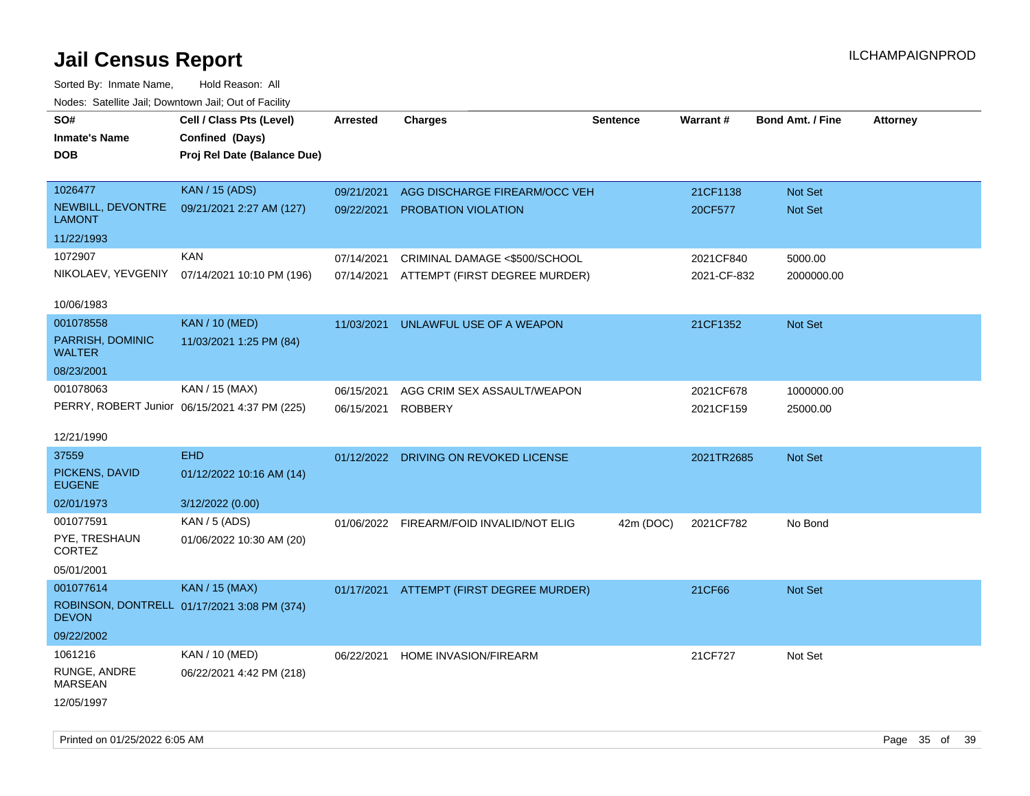| Noues. Salemie Jan, Downtown Jan, Out of Facility |                                               |                 |                                          |                 |             |                         |                 |
|---------------------------------------------------|-----------------------------------------------|-----------------|------------------------------------------|-----------------|-------------|-------------------------|-----------------|
| SO#                                               | Cell / Class Pts (Level)                      | <b>Arrested</b> | <b>Charges</b>                           | <b>Sentence</b> | Warrant#    | <b>Bond Amt. / Fine</b> | <b>Attorney</b> |
| <b>Inmate's Name</b>                              | Confined (Days)                               |                 |                                          |                 |             |                         |                 |
| DOB                                               | Proj Rel Date (Balance Due)                   |                 |                                          |                 |             |                         |                 |
|                                                   |                                               |                 |                                          |                 |             |                         |                 |
| 1026477                                           | <b>KAN / 15 (ADS)</b>                         | 09/21/2021      | AGG DISCHARGE FIREARM/OCC VEH            |                 | 21CF1138    | Not Set                 |                 |
| NEWBILL, DEVONTRE<br><b>LAMONT</b>                | 09/21/2021 2:27 AM (127)                      | 09/22/2021      | <b>PROBATION VIOLATION</b>               |                 | 20CF577     | Not Set                 |                 |
| 11/22/1993                                        |                                               |                 |                                          |                 |             |                         |                 |
| 1072907                                           | <b>KAN</b>                                    | 07/14/2021      | CRIMINAL DAMAGE <\$500/SCHOOL            |                 | 2021CF840   | 5000.00                 |                 |
|                                                   | NIKOLAEV, YEVGENIY 07/14/2021 10:10 PM (196)  | 07/14/2021      | ATTEMPT (FIRST DEGREE MURDER)            |                 | 2021-CF-832 | 2000000.00              |                 |
|                                                   |                                               |                 |                                          |                 |             |                         |                 |
| 10/06/1983                                        |                                               |                 |                                          |                 |             |                         |                 |
| 001078558                                         | <b>KAN / 10 (MED)</b>                         | 11/03/2021      | UNLAWFUL USE OF A WEAPON                 |                 | 21CF1352    | Not Set                 |                 |
| PARRISH, DOMINIC<br><b>WALTER</b>                 | 11/03/2021 1:25 PM (84)                       |                 |                                          |                 |             |                         |                 |
| 08/23/2001                                        |                                               |                 |                                          |                 |             |                         |                 |
| 001078063                                         | KAN / 15 (MAX)                                | 06/15/2021      | AGG CRIM SEX ASSAULT/WEAPON              |                 | 2021CF678   | 1000000.00              |                 |
|                                                   | PERRY, ROBERT Junior 06/15/2021 4:37 PM (225) | 06/15/2021      | <b>ROBBERY</b>                           |                 | 2021CF159   | 25000.00                |                 |
|                                                   |                                               |                 |                                          |                 |             |                         |                 |
| 12/21/1990                                        |                                               |                 |                                          |                 |             |                         |                 |
| 37559                                             | <b>EHD</b>                                    |                 | 01/12/2022 DRIVING ON REVOKED LICENSE    |                 | 2021TR2685  | <b>Not Set</b>          |                 |
| PICKENS, DAVID<br><b>EUGENE</b>                   | 01/12/2022 10:16 AM (14)                      |                 |                                          |                 |             |                         |                 |
| 02/01/1973                                        | 3/12/2022 (0.00)                              |                 |                                          |                 |             |                         |                 |
| 001077591                                         | KAN / 5 (ADS)                                 |                 | 01/06/2022 FIREARM/FOID INVALID/NOT ELIG | 42m (DOC)       | 2021CF782   | No Bond                 |                 |
| PYE, TRESHAUN<br><b>CORTEZ</b>                    | 01/06/2022 10:30 AM (20)                      |                 |                                          |                 |             |                         |                 |
| 05/01/2001                                        |                                               |                 |                                          |                 |             |                         |                 |
| 001077614                                         | <b>KAN / 15 (MAX)</b>                         |                 | 01/17/2021 ATTEMPT (FIRST DEGREE MURDER) |                 | 21CF66      | Not Set                 |                 |
| <b>DEVON</b>                                      | ROBINSON, DONTRELL 01/17/2021 3:08 PM (374)   |                 |                                          |                 |             |                         |                 |
| 09/22/2002                                        |                                               |                 |                                          |                 |             |                         |                 |
| 1061216                                           | KAN / 10 (MED)                                | 06/22/2021      | HOME INVASION/FIREARM                    |                 | 21CF727     | Not Set                 |                 |
| RUNGE, ANDRE<br><b>MARSEAN</b>                    | 06/22/2021 4:42 PM (218)                      |                 |                                          |                 |             |                         |                 |
| 12/05/1997                                        |                                               |                 |                                          |                 |             |                         |                 |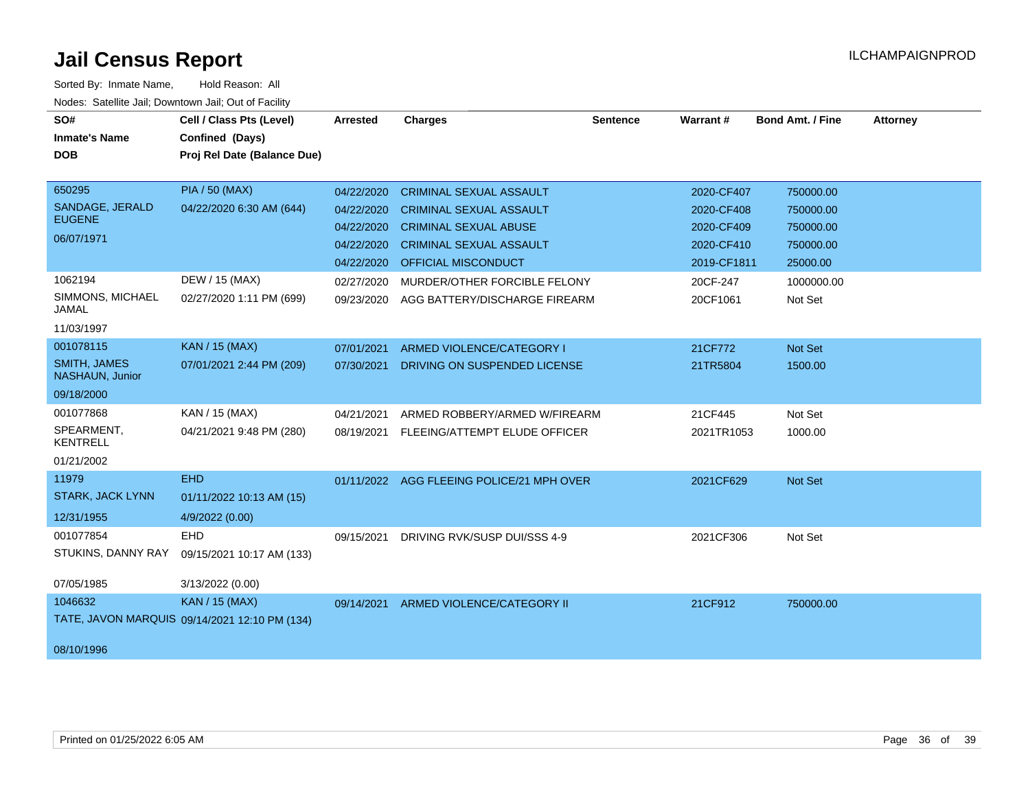| SO#                                    | Cell / Class Pts (Level)                      | <b>Arrested</b> | <b>Charges</b>                            | <b>Sentence</b> | Warrant#    | <b>Bond Amt. / Fine</b> | <b>Attorney</b> |
|----------------------------------------|-----------------------------------------------|-----------------|-------------------------------------------|-----------------|-------------|-------------------------|-----------------|
| <b>Inmate's Name</b>                   | Confined (Days)                               |                 |                                           |                 |             |                         |                 |
| <b>DOB</b>                             | Proj Rel Date (Balance Due)                   |                 |                                           |                 |             |                         |                 |
|                                        |                                               |                 |                                           |                 |             |                         |                 |
| 650295                                 | <b>PIA / 50 (MAX)</b>                         | 04/22/2020      | <b>CRIMINAL SEXUAL ASSAULT</b>            |                 | 2020-CF407  | 750000.00               |                 |
| SANDAGE, JERALD                        | 04/22/2020 6:30 AM (644)                      | 04/22/2020      | <b>CRIMINAL SEXUAL ASSAULT</b>            |                 | 2020-CF408  | 750000.00               |                 |
| <b>EUGENE</b>                          |                                               | 04/22/2020      | <b>CRIMINAL SEXUAL ABUSE</b>              |                 | 2020-CF409  | 750000.00               |                 |
| 06/07/1971                             |                                               | 04/22/2020      | <b>CRIMINAL SEXUAL ASSAULT</b>            |                 | 2020-CF410  | 750000.00               |                 |
|                                        |                                               | 04/22/2020      | OFFICIAL MISCONDUCT                       |                 | 2019-CF1811 | 25000.00                |                 |
| 1062194                                | DEW / 15 (MAX)                                | 02/27/2020      | MURDER/OTHER FORCIBLE FELONY              |                 | 20CF-247    | 1000000.00              |                 |
| SIMMONS, MICHAEL<br><b>JAMAL</b>       | 02/27/2020 1:11 PM (699)                      | 09/23/2020      | AGG BATTERY/DISCHARGE FIREARM             |                 | 20CF1061    | Not Set                 |                 |
| 11/03/1997                             |                                               |                 |                                           |                 |             |                         |                 |
| 001078115                              | <b>KAN / 15 (MAX)</b>                         | 07/01/2021      | ARMED VIOLENCE/CATEGORY I                 |                 | 21CF772     | Not Set                 |                 |
| <b>SMITH, JAMES</b><br>NASHAUN, Junior | 07/01/2021 2:44 PM (209)                      | 07/30/2021      | DRIVING ON SUSPENDED LICENSE              |                 | 21TR5804    | 1500.00                 |                 |
| 09/18/2000                             |                                               |                 |                                           |                 |             |                         |                 |
| 001077868                              | KAN / 15 (MAX)                                | 04/21/2021      | ARMED ROBBERY/ARMED W/FIREARM             |                 | 21CF445     | Not Set                 |                 |
| SPEARMENT,<br><b>KENTRELL</b>          | 04/21/2021 9:48 PM (280)                      | 08/19/2021      | FLEEING/ATTEMPT ELUDE OFFICER             |                 | 2021TR1053  | 1000.00                 |                 |
| 01/21/2002                             |                                               |                 |                                           |                 |             |                         |                 |
| 11979                                  | <b>EHD</b>                                    |                 | 01/11/2022 AGG FLEEING POLICE/21 MPH OVER |                 | 2021CF629   | Not Set                 |                 |
| <b>STARK, JACK LYNN</b>                | 01/11/2022 10:13 AM (15)                      |                 |                                           |                 |             |                         |                 |
| 12/31/1955                             | 4/9/2022 (0.00)                               |                 |                                           |                 |             |                         |                 |
| 001077854                              | <b>EHD</b>                                    | 09/15/2021      | DRIVING RVK/SUSP DUI/SSS 4-9              |                 | 2021CF306   | Not Set                 |                 |
| STUKINS, DANNY RAY                     | 09/15/2021 10:17 AM (133)                     |                 |                                           |                 |             |                         |                 |
| 07/05/1985                             | 3/13/2022 (0.00)                              |                 |                                           |                 |             |                         |                 |
| 1046632                                | <b>KAN / 15 (MAX)</b>                         | 09/14/2021      | ARMED VIOLENCE/CATEGORY II                |                 | 21CF912     | 750000.00               |                 |
|                                        | TATE, JAVON MARQUIS 09/14/2021 12:10 PM (134) |                 |                                           |                 |             |                         |                 |
| 08/10/1996                             |                                               |                 |                                           |                 |             |                         |                 |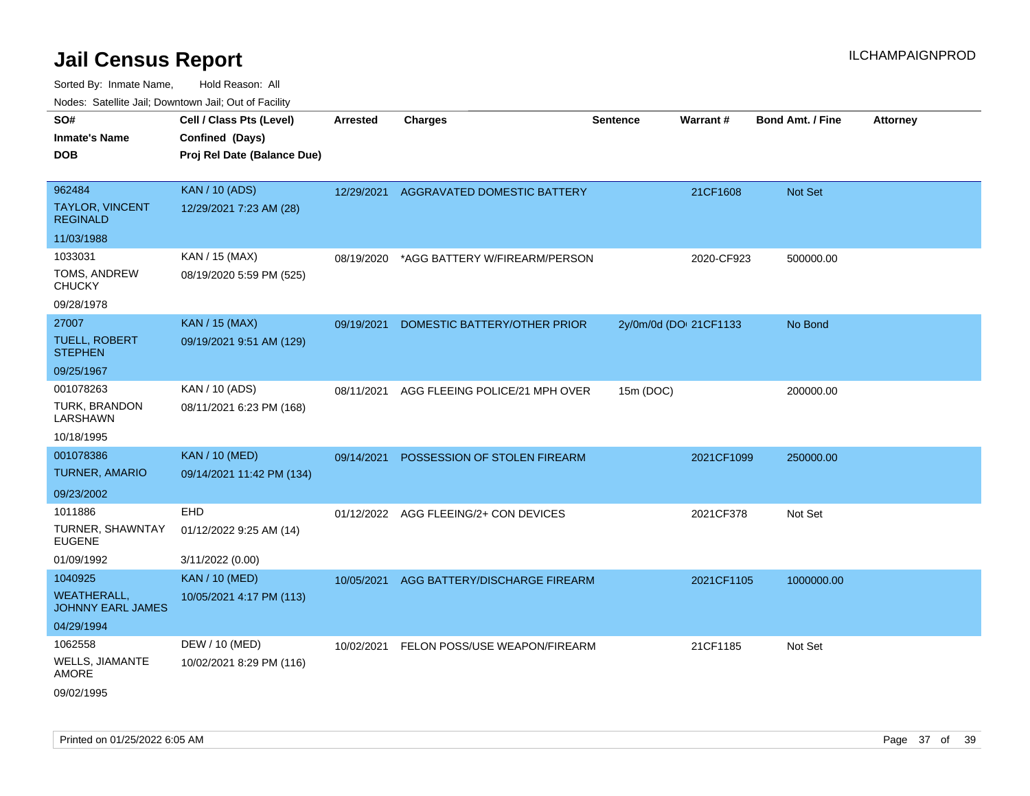| 10000. Catolino can, Dominomii can, Out of Faoint<br>SO# | Cell / Class Pts (Level)    | <b>Arrested</b> | <b>Charges</b>                        | <b>Sentence</b> | Warrant#               | <b>Bond Amt. / Fine</b> | <b>Attorney</b> |
|----------------------------------------------------------|-----------------------------|-----------------|---------------------------------------|-----------------|------------------------|-------------------------|-----------------|
| <b>Inmate's Name</b>                                     | Confined (Days)             |                 |                                       |                 |                        |                         |                 |
| <b>DOB</b>                                               | Proj Rel Date (Balance Due) |                 |                                       |                 |                        |                         |                 |
|                                                          |                             |                 |                                       |                 |                        |                         |                 |
| 962484                                                   | <b>KAN / 10 (ADS)</b>       | 12/29/2021      | AGGRAVATED DOMESTIC BATTERY           |                 | 21CF1608               | Not Set                 |                 |
| <b>TAYLOR, VINCENT</b><br><b>REGINALD</b>                | 12/29/2021 7:23 AM (28)     |                 |                                       |                 |                        |                         |                 |
| 11/03/1988                                               |                             |                 |                                       |                 |                        |                         |                 |
| 1033031                                                  | KAN / 15 (MAX)              | 08/19/2020      | *AGG BATTERY W/FIREARM/PERSON         |                 | 2020-CF923             | 500000.00               |                 |
| TOMS, ANDREW<br><b>CHUCKY</b>                            | 08/19/2020 5:59 PM (525)    |                 |                                       |                 |                        |                         |                 |
| 09/28/1978                                               |                             |                 |                                       |                 |                        |                         |                 |
| 27007                                                    | <b>KAN / 15 (MAX)</b>       | 09/19/2021      | DOMESTIC BATTERY/OTHER PRIOR          |                 | 2y/0m/0d (DOI 21CF1133 | No Bond                 |                 |
| <b>TUELL, ROBERT</b><br><b>STEPHEN</b>                   | 09/19/2021 9:51 AM (129)    |                 |                                       |                 |                        |                         |                 |
| 09/25/1967                                               |                             |                 |                                       |                 |                        |                         |                 |
| 001078263                                                | KAN / 10 (ADS)              | 08/11/2021      | AGG FLEEING POLICE/21 MPH OVER        | 15m (DOC)       |                        | 200000.00               |                 |
| TURK, BRANDON<br>LARSHAWN                                | 08/11/2021 6:23 PM (168)    |                 |                                       |                 |                        |                         |                 |
| 10/18/1995                                               |                             |                 |                                       |                 |                        |                         |                 |
| 001078386                                                | <b>KAN / 10 (MED)</b>       | 09/14/2021      | POSSESSION OF STOLEN FIREARM          |                 | 2021CF1099             | 250000.00               |                 |
| TURNER, AMARIO                                           | 09/14/2021 11:42 PM (134)   |                 |                                       |                 |                        |                         |                 |
| 09/23/2002                                               |                             |                 |                                       |                 |                        |                         |                 |
| 1011886                                                  | <b>EHD</b>                  |                 | 01/12/2022 AGG FLEEING/2+ CON DEVICES |                 | 2021CF378              | Not Set                 |                 |
| TURNER, SHAWNTAY<br><b>EUGENE</b>                        | 01/12/2022 9:25 AM (14)     |                 |                                       |                 |                        |                         |                 |
| 01/09/1992                                               | 3/11/2022 (0.00)            |                 |                                       |                 |                        |                         |                 |
| 1040925                                                  | <b>KAN / 10 (MED)</b>       | 10/05/2021      | AGG BATTERY/DISCHARGE FIREARM         |                 | 2021CF1105             | 1000000.00              |                 |
| <b>WEATHERALL,</b><br><b>JOHNNY EARL JAMES</b>           | 10/05/2021 4:17 PM (113)    |                 |                                       |                 |                        |                         |                 |
| 04/29/1994                                               |                             |                 |                                       |                 |                        |                         |                 |
| 1062558                                                  | DEW / 10 (MED)              | 10/02/2021      | FELON POSS/USE WEAPON/FIREARM         |                 | 21CF1185               | Not Set                 |                 |
| WELLS, JIAMANTE<br>AMORE                                 | 10/02/2021 8:29 PM (116)    |                 |                                       |                 |                        |                         |                 |
| 09/02/1995                                               |                             |                 |                                       |                 |                        |                         |                 |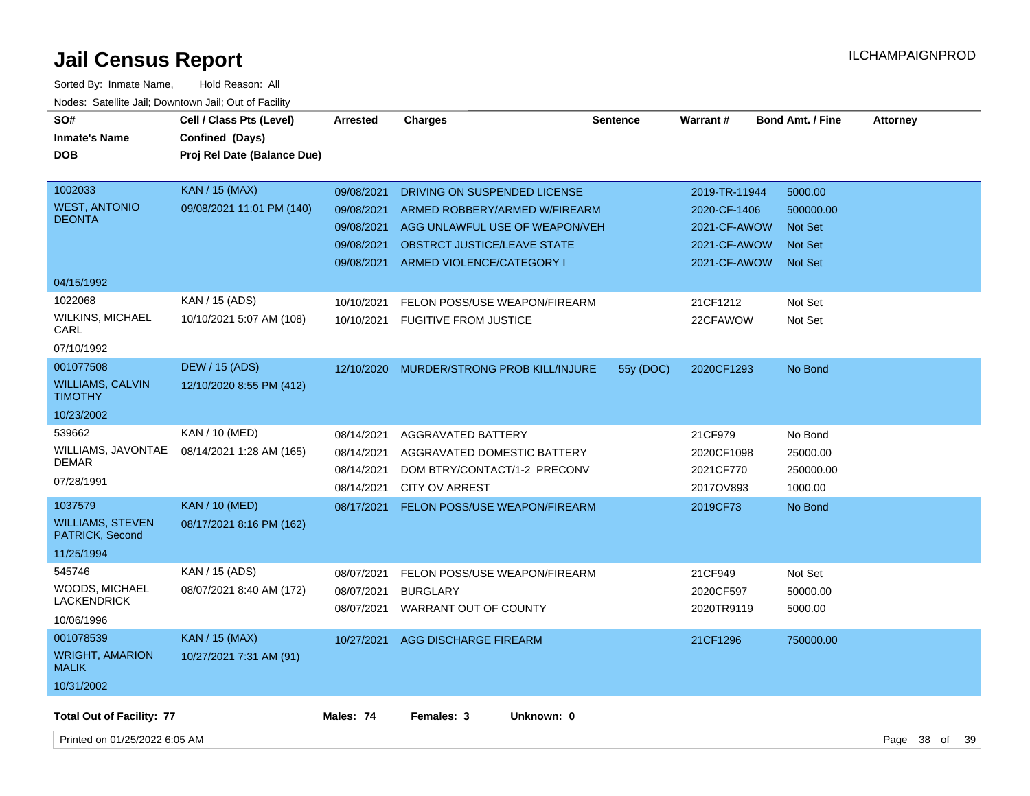| SO#<br><b>Inmate's Name</b><br><b>DOB</b>                           | Cell / Class Pts (Level)<br>Confined (Days)<br>Proj Rel Date (Balance Due) | <b>Arrested</b>                                                    | <b>Charges</b>                                                                                                                                                     | <b>Sentence</b> | Warrant#                                                                      | <b>Bond Amt. / Fine</b>                                                    | <b>Attorney</b> |    |
|---------------------------------------------------------------------|----------------------------------------------------------------------------|--------------------------------------------------------------------|--------------------------------------------------------------------------------------------------------------------------------------------------------------------|-----------------|-------------------------------------------------------------------------------|----------------------------------------------------------------------------|-----------------|----|
| 1002033<br><b>WEST, ANTONIO</b><br><b>DEONTA</b>                    | <b>KAN / 15 (MAX)</b><br>09/08/2021 11:01 PM (140)                         | 09/08/2021<br>09/08/2021<br>09/08/2021<br>09/08/2021<br>09/08/2021 | DRIVING ON SUSPENDED LICENSE<br>ARMED ROBBERY/ARMED W/FIREARM<br>AGG UNLAWFUL USE OF WEAPON/VEH<br><b>OBSTRCT JUSTICE/LEAVE STATE</b><br>ARMED VIOLENCE/CATEGORY I |                 | 2019-TR-11944<br>2020-CF-1406<br>2021-CF-AWOW<br>2021-CF-AWOW<br>2021-CF-AWOW | 5000.00<br>500000.00<br><b>Not Set</b><br><b>Not Set</b><br><b>Not Set</b> |                 |    |
| 04/15/1992                                                          |                                                                            |                                                                    |                                                                                                                                                                    |                 |                                                                               |                                                                            |                 |    |
| 1022068<br><b>WILKINS, MICHAEL</b><br>CARL<br>07/10/1992            | KAN / 15 (ADS)<br>10/10/2021 5:07 AM (108)                                 | 10/10/2021<br>10/10/2021                                           | FELON POSS/USE WEAPON/FIREARM<br><b>FUGITIVE FROM JUSTICE</b>                                                                                                      |                 | 21CF1212<br>22CFAWOW                                                          | Not Set<br>Not Set                                                         |                 |    |
| 001077508<br><b>WILLIAMS, CALVIN</b><br><b>TIMOTHY</b>              | <b>DEW / 15 (ADS)</b><br>12/10/2020 8:55 PM (412)                          | 12/10/2020                                                         | MURDER/STRONG PROB KILL/INJURE                                                                                                                                     | 55y (DOC)       | 2020CF1293                                                                    | No Bond                                                                    |                 |    |
| 10/23/2002                                                          |                                                                            |                                                                    |                                                                                                                                                                    |                 |                                                                               |                                                                            |                 |    |
| 539662<br>WILLIAMS, JAVONTAE<br>DEMAR<br>07/28/1991                 | KAN / 10 (MED)<br>08/14/2021 1:28 AM (165)                                 | 08/14/2021<br>08/14/2021<br>08/14/2021<br>08/14/2021               | <b>AGGRAVATED BATTERY</b><br>AGGRAVATED DOMESTIC BATTERY<br>DOM BTRY/CONTACT/1-2 PRECONV<br><b>CITY OV ARREST</b>                                                  |                 | 21CF979<br>2020CF1098<br>2021CF770<br>2017OV893                               | No Bond<br>25000.00<br>250000.00<br>1000.00                                |                 |    |
| 1037579<br><b>WILLIAMS, STEVEN</b><br>PATRICK, Second<br>11/25/1994 | <b>KAN / 10 (MED)</b><br>08/17/2021 8:16 PM (162)                          | 08/17/2021                                                         | <b>FELON POSS/USE WEAPON/FIREARM</b>                                                                                                                               |                 | 2019CF73                                                                      | No Bond                                                                    |                 |    |
| 545746<br><b>WOODS, MICHAEL</b><br><b>LACKENDRICK</b><br>10/06/1996 | KAN / 15 (ADS)<br>08/07/2021 8:40 AM (172)                                 | 08/07/2021<br>08/07/2021<br>08/07/2021                             | FELON POSS/USE WEAPON/FIREARM<br><b>BURGLARY</b><br>WARRANT OUT OF COUNTY                                                                                          |                 | 21CF949<br>2020CF597<br>2020TR9119                                            | Not Set<br>50000.00<br>5000.00                                             |                 |    |
| 001078539<br><b>WRIGHT, AMARION</b><br><b>MALIK</b><br>10/31/2002   | <b>KAN / 15 (MAX)</b><br>10/27/2021 7:31 AM (91)                           | 10/27/2021                                                         | AGG DISCHARGE FIREARM                                                                                                                                              |                 | 21CF1296                                                                      | 750000.00                                                                  |                 |    |
| <b>Total Out of Facility: 77</b>                                    |                                                                            | Males: 74                                                          | Females: 3<br>Unknown: 0                                                                                                                                           |                 |                                                                               |                                                                            |                 |    |
| Printed on 01/25/2022 6:05 AM                                       |                                                                            |                                                                    |                                                                                                                                                                    |                 |                                                                               |                                                                            | Page 38 of      | 39 |